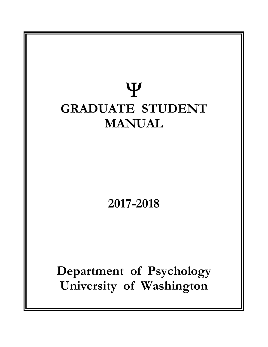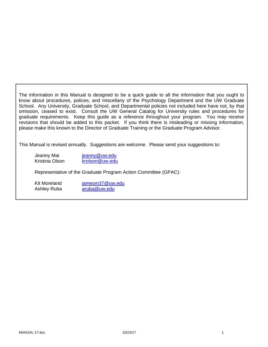The information in this Manual is designed to be a quick guide to all the information that you ought to know about procedures, polices, and miscellany of the Psychology Department and the UW Graduate School. Any University, Graduate School, and Departmental policies not included here have not, by that omission, ceased to exist. Consult the UW General Catalog for University rules and procedures for graduate requirements. Keep this guide as a reference throughout your program. You may receive revisions that should be added to this packet. If you think there is misleading or missing information, please make this known to the Director of Graduate Training or the Graduate Program Advisor.

This Manual is revised annually. Suggestions are welcome. Please send your suggestions to:

Jeanny Mai jeanny@uw.edu Kristina Olson krolson@uw.edu

Representative of the Graduate Program Action Committee (GPAC):

Kit Moreland jamesm37@uw.edu Ashley Ruba aruba@uw.edu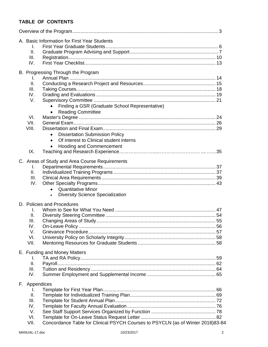## **TABLE OF CONTENTS**

|  |               | A. Basic Information for First Year Students                                    |  |
|--|---------------|---------------------------------------------------------------------------------|--|
|  | Τ.            |                                                                                 |  |
|  | Ⅱ.            |                                                                                 |  |
|  | Ш.            |                                                                                 |  |
|  | IV.           |                                                                                 |  |
|  |               |                                                                                 |  |
|  | I.            | B. Progressing Through the Program                                              |  |
|  |               |                                                                                 |  |
|  | II.           |                                                                                 |  |
|  | III.          |                                                                                 |  |
|  | IV.           |                                                                                 |  |
|  | V.            |                                                                                 |  |
|  |               | Finding a GSR (Graduate School Representative)                                  |  |
|  |               | <b>Reading Committee</b><br>$\bullet$                                           |  |
|  | VI.           |                                                                                 |  |
|  | VII.          |                                                                                 |  |
|  | VIII.         |                                                                                 |  |
|  |               | <b>Dissertation Submission Policy</b><br>$\bullet$                              |  |
|  |               | Of interest to Clinical student interns<br>$\bullet$                            |  |
|  |               | <b>Hooding and Commencement</b><br>$\bullet$                                    |  |
|  | IX.           |                                                                                 |  |
|  |               |                                                                                 |  |
|  |               | C. Areas of Study and Area Course Requirements                                  |  |
|  | I.            |                                                                                 |  |
|  | II.           |                                                                                 |  |
|  | III.          |                                                                                 |  |
|  | IV.           |                                                                                 |  |
|  |               | <b>Quantitative Minor</b><br>$\bullet$                                          |  |
|  |               | <b>Diversity Science Specialization</b>                                         |  |
|  |               | D. Policies and Procedures                                                      |  |
|  | I.            |                                                                                 |  |
|  | Ш.            |                                                                                 |  |
|  | Ш.            |                                                                                 |  |
|  | IV.           |                                                                                 |  |
|  | V.            |                                                                                 |  |
|  | VI.           |                                                                                 |  |
|  | VII.          |                                                                                 |  |
|  |               | E. Funding and Money Matters                                                    |  |
|  | I.            |                                                                                 |  |
|  | II.           |                                                                                 |  |
|  | III.          |                                                                                 |  |
|  |               |                                                                                 |  |
|  | IV.           |                                                                                 |  |
|  | F. Appendices |                                                                                 |  |
|  | I.            |                                                                                 |  |
|  | Ⅱ.            |                                                                                 |  |
|  | III.          |                                                                                 |  |
|  | IV.           |                                                                                 |  |
|  | V.            |                                                                                 |  |
|  | VI.           |                                                                                 |  |
|  | VII.          | Concordance Table for Clinical PSYCH Courses to PSYCLN (as of Winter 2018)83-84 |  |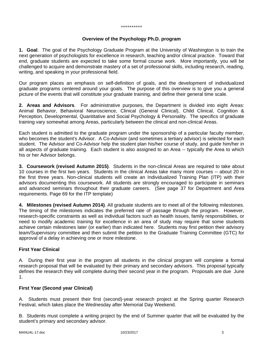#### \*\*\*\*\*\*\*\*\*\*

#### **Overview of the Psychology Ph.D. program**

**1. Goal**. The goal of the Psychology Graduate Program at the University of Washington is to train the next generation of psychologists for excellence in research, teaching and/or clinical practice. Toward that end, graduate students are expected to take some formal course work. More importantly, you will be challenged to acquire and demonstrate mastery of a set of professional skills, including research, reading, writing, and speaking in your professional field.

Our program places an emphasis on self-definition of goals, and the development of individualized graduate programs centered around your goals. The purpose of this overview is to give you a general picture of the events that will constitute your graduate training, and define their general time scale.

**2. Areas and Advisors**. For administrative purposes, the Department is divided into eight Areas: Animal Behavior, Behavioral Neuroscience, Clinical (General Clinical), Child Clinical, Cognition & Perception, Developmental, Quantitative and Social Psychology & Personality. The specifics of graduate training vary somewhat among Areas, particularly between the clinical and non-clinical Areas.

Each student is admitted to the graduate program under the sponsorship of a particular faculty member, who becomes the student's Advisor. A Co-Advisor (and sometimes a tertiary advisor) is selected for each student. The Advisor and Co-Advisor help the student plan his/her course of study, and guide him/her in all aspects of graduate training. Each student is also assigned to an Area -- typically the Area to which his or her Advisor belongs.

**3. Coursework (revised Autumn 2015)**. Students in the non-clinical Areas are required to take about 10 courses in the first two years. Students in the clinical Areas take many more courses -- about 20 in the first three years. Non-clinical students will create an Individualized Training Plan (ITP) with their advisors documenting this coursework. All students are strongly encouraged to participate in seminars and advanced seminars throughout their graduate careers. (See page 37 for Department and Area requirements. Page 69 for the ITP template)

**4. Milestones (revised Autumn 2014)**. All graduate students are to meet all of the following milestones. The timing of the milestones indicates the preferred rate of passage through the program. However, research-specific constraints as well as individual factors such as health issues, family responsibilities, or need to modify academic training for excellence in an area of study may require that some students achieve certain milestones later (or earlier) than indicated here. Students may first petition their advisory team/Supervisory committee and then submit the petition to the Graduate Training Committee (GTC) for approval of a delay in achieving one or more milestone.

## **First Year Clinical**

A. During their first year in the program all students in the clinical program will complete a formal research proposal that will be evaluated by their primary and secondary advisors. This proposal typically defines the research they will complete during their second year in the program. Proposals are due June 1.

#### **First Year (Second year Clinical)**

A. Students must present their first (second)-year research project at the Spring quarter Research Festival, which takes place the Wednesday after Memorial Day Weekend.

B. Students must complete a writing project by the end of Summer quarter that will be evaluated by the student's primary and secondary advisor.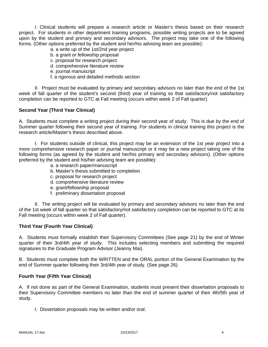I. Clinical students will prepare a research article or Master's thesis based on their research project. For students in other department training programs, possible writing projects are to be agreed upon by the student and primary and secondary advisors. The project may take one of the following forms. (Other options preferred by the student and her/his advising team are possible):

- a. a write up of the 1st/2nd year project
- b. a grant or fellowship proposal
- c. proposal for research project
- d. comprehensive literature review
- e. journal manuscript
- f. a rigorous and detailed methods section

 II. Project must be evaluated by primary and secondary advisors no later than the end of the 1st week of fall quarter of the student's second (third) year of training so that satisfactory/not satisfactory completion can be reported to GTC at Fall meeting (occurs within week 2 of Fall quarter).

#### **Second Year (Third Year Clinical)**

A. Students must complete a writing project during their second year of study. This is due by the end of Summer quarter following their second year of training. For students in clinical training this project is the research article/Master's thesis described above.

 I. For students outside of clinical, this project may be an extension of the 1st year project into a more comprehensive research paper or journal manuscript or it may be a new project taking one of the following forms (as agreed by the student and her/his primary and secondary advisors). (Other options preferred by the student and his/her advising team are possible):

- a. a research paper/manuscript
- b. Master's thesis submitted to completion
- c. proposal for research project
- d. comprehensive literature review
- e. grant/fellowship proposal
- f. preliminary dissertation proposal

 II. The writing project will be evaluated by primary and secondary advisors no later than the end of the 1st week of fall quarter so that satisfactory/not satisfactory completion can be reported to GTC at its Fall meeting (occurs within week 2 of Fall quarter).

#### **Third Year (Fourth Year Clinical)**

A. Students must formally establish their Supervisory Committees (See page 21) by the end of Winter quarter of their 3rd/4th year of study. This includes selecting members and submitting the required signatures to the Graduate Program Advisor (Jeanny Mai).

B. Students must complete both the WRITTEN and the ORAL portion of the General Examination by the end of Summer quarter following their 3rd/4th year of study. (See page 26)

### **Fourth Year (Fifth Year Clinical)**

A. If not done as part of the General Examination, students must present their dissertation proposals to their Supervisory Committee members no later than the end of summer quarter of their 4th/5th year of study.

I. Dissertation proposals may be written and/or oral.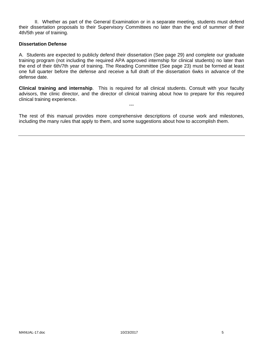II. Whether as part of the General Examination or in a separate meeting, students must defend their dissertation proposals to their Supervisory Committees no later than the end of summer of their 4th/5th year of training.

#### **Dissertation Defense**

A. Students are expected to publicly defend their dissertation (See page 29) and complete our graduate training program (not including the required APA approved internship for clinical students) no later than the end of their 6th/7th year of training. The Reading Committee (See page 23) must be formed at least one full quarter before the defense and receive a full draft of the dissertation 6wks in advance of the defense date.

**Clinical training and internship**. This is required for all clinical students. Consult with your faculty advisors, the clinic director, and the director of clinical training about how to prepare for this required clinical training experience.

---

The rest of this manual provides more comprehensive descriptions of course work and milestones, including the many rules that apply to them, and some suggestions about how to accomplish them.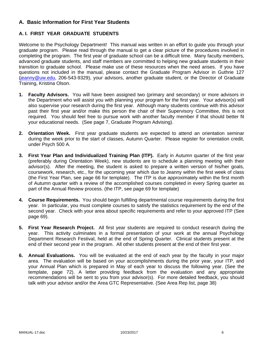## **A. Basic Information for First Year Students**

## **A. I. FIRST YEAR GRADUATE STUDENTS**

Welcome to the Psychology Department! This manual was written in an effort to guide you through your graduate program. Please read through the manual to get a clear picture of the procedures involved in completing the program. The first year of graduate school can be a difficult time. Many faculty members, advanced graduate students, and staff members are committed to helping new graduate students in their transition to graduate school. Please make use of these resources when the need arises. If you have questions not included in the manual, please contact the Graduate Program Advisor in Guthrie 127 (jeanny@uw.edu, 206-543-9329), your advisors, another graduate student, or the Director of Graduate Training, Kristina Olson.

- **1. Faculty Advisors.** You will have been assigned two (primary and secondary) or more advisors in the Department who will assist you with planning your program for the first year. Your advisor(s) will also supervise your research during the first year. Although many students continue with this advisor past their first year and/or make this person the chair of their Supervisory Committee, this is not required. You should feel free to pursue work with another faculty member if that should better fit your educational needs. (See page 7, Graduate Program Advising).
- **2. Orientation Week.** First year graduate students are expected to attend an orientation seminar during the week prior to the start of classes, Autumn Quarter. Please register for orientation credit, under Psych 500 A.
- **3. First Year Plan and Individualized Training Plan (ITP).** Early in Autumn quarter of the first year (preferably during Orientation Week), new students are to schedule a planning meeting with their advisor(s). After the meeting, the student is asked to prepare a written version of his/her goals, coursework, research, etc., for the upcoming year which due to Jeanny within the first week of class (the First Year Plan, see page 66 for template). The ITP is due approximately within the first month of Autumn quarter with a review of the accomplished courses completed in every Spring quarter as part of the Annual Review process. (the ITP, see page 69 for template)
- **4. Course Requirements.** You should begin fulfilling departmental course requirements during the first year. In particular, you must complete courses to satisfy the statistics requirement by the end of the second year. Check with your area about specific requirements and refer to your approved ITP (See page 69).
- **5. First Year Research Project.** All first year students are required to conduct research during the year. This activity culminates in a formal presentation of your work at the annual Psychology Department Research Festival, held at the end of Spring Quarter. Clinical students present at the end of their second year in the program. All other students present at the end of their first year.
- **6. Annual Evaluations.** You will be evaluated at the end of each year by the faculty in your major area. The evaluation will be based on your accomplishments during the prior year, your ITP, and your Annual Plan which is prepared in May of each year to discuss the following year. (See the template, page 72). A letter providing feedback from the evaluation and any appropriate recommendations will be sent to you from your advisor(s). For more detailed feedback, you should talk with your advisor and/or the Area GTC Representative. (See Area Rep list, page 38)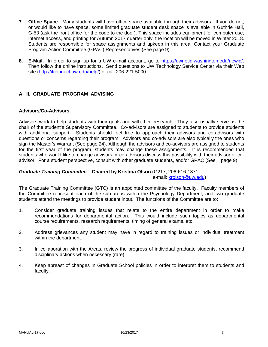- **7. Office Space.** Many students will have office space available through their advisors. If you do not, or would like to have space, some limited graduate student desk space is available in Guthrie Hall, G-53 (ask the front office for the code to the door). This space includes equipment for computer use, internet access, and printing for Autumn 2017 quarter only, the location will be moved in Winter 2018. Students are responsible for space assignments and upkeep in this area. Contact your Graduate Program Action Committee (GPAC) Representatives (See page 9).
- **8. E-Mail.** In order to sign up for a UW e-mail account, go to https://uwnetid.washington.edu/newid/. Then follow the online instructions. Send questions to UW Technology Service Center via their Web site (http://itconnect.uw.edu/help/) or call 206-221-5000.

## **A. II. GRADUATE PROGRAM ADVISING**

#### **Advisors/Co-Advisors**

Advisors work to help students with their goals and with their research. They also usually serve as the chair of the student's Supervisory Committee. Co-advisors are assigned to students to provide students with additional support. Students should feel free to approach their advisors and co-advisors with questions or concerns regarding their program. Advisors and co-advisors are also typically the ones who sign the Master's Warrant (See page 24). Although the advisors and co-advisors are assigned to students for the first year of the program, students may change these assignments. It is recommended that students who would like to change advisors or co-advisors discuss this possibility with their advisor or coadvisor. For a student perspective, consult with other graduate students, and/or GPAC (See page 9).

# *Graduate Training Committee –* **Chaired by Kristina Olson** (G217, 206-616-1371,

e-mail: krolson@uw.edu)

The Graduate Training Committee (GTC) is an appointed committee of the faculty. Faculty members of the Committee represent each of the sub-areas within the Psychology Department, and two graduate students attend the meetings to provide student input. The functions of the Committee are to:

- 1. Consider graduate training issues that relate to the entire department in order to make recommendations for departmental action. This would include such topics as departmental course requirements, research requirements, timing of general exams, etc.
- 2. Address grievances any student may have in regard to training issues or individual treatment within the department.
- 3. In collaboration with the Areas, review the progress of individual graduate students, recommend disciplinary actions when necessary (rare).
- 4. Keep abreast of changes in Graduate School policies in order to interpret them to students and faculty.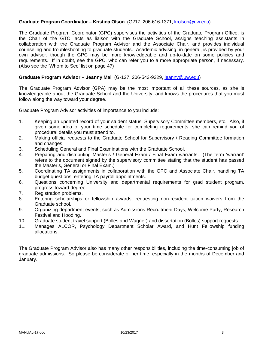#### **Graduate Program Coordinator – Kristina Olson** (G217, 206-616-1371, krolson@uw.edu)

The Graduate Program Coordinator (GPC) supervises the activities of the Graduate Program Office, is the Chair of the GTC, acts as liaison with the Graduate School, assigns teaching assistants in collaboration with the Graduate Program Advisor and the Associate Chair, and provides individual counseling and troubleshooting to graduate students. Academic advising, in general, is provided by your own advisor, though the GPC may be more knowledgeable and up-to-date on some policies and requirements. If in doubt, see the GPC, who can refer you to a more appropriate person, if necessary. (Also see the 'Whom to See' list on page 47)

#### **Graduate Program Advisor – Jeanny Mai** (G-127, 206-543-9329, jeanny@uw.edu)

The Graduate Program Advisor (GPA) may be the most important of all these sources, as she is knowledgeable about the Graduate School and the University, and knows the procedures that you must follow along the way toward your degree.

Graduate Program Advisor activities of importance to you include:

- 1. Keeping an updated record of your student status, Supervisory Committee members, etc. Also, if given some idea of your time schedule for completing requirements, she can remind you of procedural details you must attend to.
- 2. Making official requests to the Graduate School for Supervisory / Reading Committee formation and changes.
- 3. Scheduling General and Final Examinations with the Graduate School.
- 4. Preparing and distributing Master's / General Exam / Final Exam warrants. (The term 'warrant' refers to the document signed by the supervisory committee stating that the student has passed the Master's, General or Final Exam.)
- 5. Coordinating TA assignments in collaboration with the GPC and Associate Chair, handling TA budget questions, entering TA payroll appointments.
- 6. Questions concerning University and departmental requirements for grad student program, progress toward degree.
- 7. Registration problems.
- 8. Entering scholarships or fellowship awards, requesting non-resident tuition waivers from the Graduate school.
- 9. Organizing department events, such as Admissions Recruitment Days, Welcome Party, Research Festival and Hooding.
- 10. Graduate student travel support (Bolles and Wagner) and dissertation (Bolles) support requests.
- 11. Manages ALCOR, Psychology Department Scholar Award, and Hunt Fellowship funding allocations.

The Graduate Program Advisor also has many other responsibilities, including the time-consuming job of graduate admissions. So please be considerate of her time, especially in the months of December and January.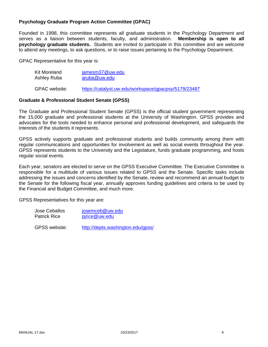### **Psychology Graduate Program Action Committee (GPAC)**

Founded in 1998, this committee represents all graduate students in the Psychology Department and serves as a liaison between students, faculty, and administration. **Membership is open to all psychology graduate students.** Students are invited to participate in this committee and are welcome to attend any meetings, to ask questions, or to raise issues pertaining to the Psychology Department.

GPAC Representative for this year is:

| Kit Moreland  | jamesm37@uw.edu                                      |  |
|---------------|------------------------------------------------------|--|
| Ashley Ruba   | aruba@uw.edu                                         |  |
| GPAC website: | https://catalyst.uw.edu/workspace/gpacpsy/5179/23487 |  |

#### **Graduate & Professional Student Senate (GPSS)**

The Graduate and Professional Student Senate (GPSS) is the official student government representing the 15,000 graduate and professional students at the University of Washington. GPSS provides and advocates for the tools needed to enhance personal and professional development, and safeguards the interests of the students it represents.

GPSS actively supports graduate and professional students and builds community among them with regular communications and opportunities for involvement as well as social events throughout the year. GPSS represents students to the University and the Legislature, funds graduate programming, and hosts regular social events.

Each year, senators are elected to serve on the GPSS Executive Committee. The Executive Committee is responsible for a multitude of various issues related to GPSS and the Senate. Specific tasks include addressing the issues and concerns identified by the Senate, review and recommend an annual budget to the Senate for the following fiscal year, annually approves funding guidelines and criteria to be used by the Financial and Budget Committee, and much more.

GPSS Representatives for this year are:

| Jose Ceballos       | josemceb@uw.edu |
|---------------------|-----------------|
| <b>Patrick Rice</b> | pirice@uw.edu   |
|                     |                 |

GPSS website: http://depts.washington.edu/gpss/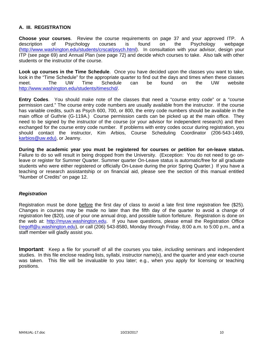## **A. III. REGISTRATION**

**Choose your courses**. Review the course requirements on page 37 and your approved ITP. A description of Psychology courses is found on the Psychology webpage (http://www.washington.edu/students/crscat/psych.html). In consultation with your advisor, design your ITP (see page 69) and Annual Plan (see page 72) and decide which courses to take. Also talk with other students or the instructor of the course.

**Look up courses in the Time Schedule**. Once you have decided upon the classes you want to take, look in the "Time Schedule" for the appropriate quarter to find out the days and times when these classes meet. The UW Time Schedule can be found on the UW website http://www.washington.edu/students/timeschd/.

**Entry Codes**. You should make note of the classes that need a "course entry code" or a "course permission card." The course entry code numbers are usually available from the instructor. If the course has variable credits, such as Psych 600, 700, or 800, the entry code numbers should be available in the main office of Guthrie (G-119A.) Course permission cards can be picked up at the main office. They need to be signed by the instructor of the course (or your advisor for independent research) and then exchanged for the course entry code number. If problems with entry codes occur during registration, you should contact the instructor, Kim Arbios, Course Scheduling Coordinator (206-543-1469, karbios@uw.edu), or Jeanny.

**During the academic year you must be registered for courses or petition for on-leave status.**  Failure to do so will result in being dropped from the University. (Exception: You do not need to go onleave or register for Summer Quarter. Summer quarter On-Leave status is automatic/free for all graduate students who were either registered or officially On-Leave during the prior Spring Quarter.) If you have a teaching or research assistantship or on financial aid, please see the section of this manual entitled "Number of Credits" on page 12.

#### *Registration*

Registration must be done before the first day of class to avoid a late first time registration fee (\$25). Changes in courses may be made no later than the fifth day of the quarter to avoid a change of registration fee (\$20), use of your one annual drop, and possible tuition forfeiture. Registration is done on the web at: http://myuw.washington.edu. If you have questions, please email the Registration Office (regoff@u.washington.edu), or call (206) 543-8580, Monday through Friday, 8:00 a.m. to 5:00 p.m., and a staff member will gladly assist you.

**Important**: Keep a file for yourself of all the courses you take, *including* seminars and independent studies. In this file enclose reading lists, syllabi, instructor name(s), and the quarter and year each course was taken. This file will be invaluable to you later; e.g., when you apply for licensing or teaching positions.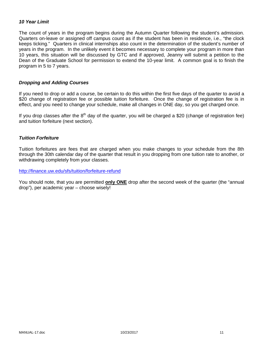### *10 Year Limit*

The count of years in the program begins during the Autumn Quarter following the student's admission. Quarters on-leave or assigned off campus count as if the student has been in residence, i.e., "the clock keeps ticking." Quarters in clinical internships also count in the determination of the student's number of years in the program. In the unlikely event it becomes necessary to complete your program in more than 10 years, this situation will be discussed by GTC and if approved, Jeanny will submit a petition to the Dean of the Graduate School for permission to extend the 10-year limit. A common goal is to finish the program in 5 to 7 years.

#### *Dropping and Adding Courses*

If you need to drop or add a course, be certain to do this within the first five days of the quarter to avoid a \$20 change of registration fee or possible tuition forfeiture. Once the change of registration fee is in effect, and you need to change your schedule, make all changes in ONE day, so you get charged once.

If you drop classes after the  $8<sup>th</sup>$  day of the quarter, you will be charged a \$20 (change of registration fee) and tuition forfeiture (next section).

#### *Tuition Forfeiture*

Tuition forfeitures are fees that are charged when you make changes to your schedule from the 8th through the 30th calendar day of the quarter that result in you dropping from one tuition rate to another, or withdrawing completely from your classes.

#### http://finance.uw.edu/sfs/tuition/forfeiture-refund

You should note, that you are permitted **only ONE** drop after the second week of the quarter (the "annual drop"), per academic year – choose wisely!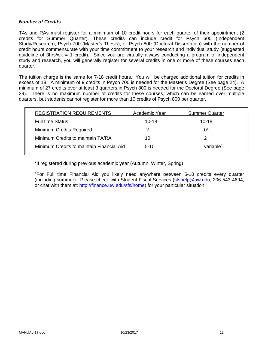#### *Number of Credits*

TAs and RAs must register for a minimum of 10 credit hours for each quarter of their appointment (2 credits for Summer Quarter). These credits can include credit for Psych 600 (Independent Study/Research), Psych 700 (Master's Thesis), or Psych 800 (Doctoral Dissertation) with the number of credit hours commensurate with your time commitment to your research and individual study (suggested guideline of 3hrs/wk = 1 credit). Since you are virtually always conducting a program of independent study and research, you will generally register for several credits in one or more of these courses each quarter.

The tuition charge is the same for 7-18 credit hours. You will be charged additional tuition for credits in excess of 18. A minimum of 9 credits in Psych 700 is needed for the Master's Degree (See page 24). A minimum of 27 credits over at least 3 quarters in Psych 800 is needed for the Doctoral Degree (See page 29). There is no maximum number of credits for these courses, which can be earned over multiple quarters, but students cannot register for more than 10 credits of Psych 800 per quarter.

| <b>REGISTRATION REQUIREMENTS</b>          | Academic Year | <b>Summer Quarter</b> |
|-------------------------------------------|---------------|-----------------------|
| <b>Full time Status</b>                   | $10 - 18$     | $10 - 18$             |
| <b>Minimum Credits Required</b>           | 2             | $0^*$                 |
| Minimum Credits to maintain TA/RA         | 10            |                       |
| Minimum Credits to maintain Financial Aid | $5-10$        | variable <sup>+</sup> |
|                                           |               |                       |

\*If registered during previous academic year (Autumn, Winter, Spring)

+ For Full time Financial Aid you likely need anywhere between 5-10 credits every quarter (including summer). Please check with Student Fiscal Services (sfshelp@uw.edu, 206-543-4694, or chat with them at: http://finance.uw.edu/sfs/home) for your particular situation.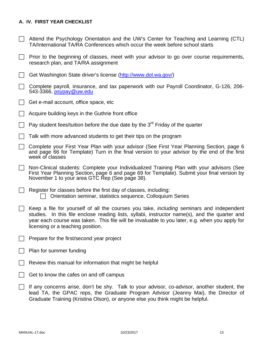## **A. IV. FIRST YEAR CHECKLIST**

- $\Box$  Attend the Psychology Orientation and the UW's Center for Teaching and Learning (CTL) TA/International TA/RA Conferences which occur the week before school starts
- $\Box$  Prior to the beginning of classes, meet with your advisor to go over course requirements, research plan, and TA/RA assignment
- Get Washington State driver's license (http://www.dol.wa.gov/)
- $\Box$  Complete payroll, insurance, and tax paperwork with our Payroll Coordinator, G-126, 206-543-3366, psypay@uw.edu
- $\Box$  Get e-mail account, office space, etc
- Acquire building keys in the Guthrie front office
- Pay student fees/tuition before the due date by the  $3<sup>rd</sup>$  Friday of the quarter
- $\Box$  Talk with more advanced students to get their tips on the program
- Complete your First Year Plan with your advisor (See First Year Planning Section, page 6 and page 66 for Template) Turn in the final version to your advisor by the end of the first week of classes
- Non-Clinical students: Complete your Individualized Training Plan with your advisors (See First Year Planning Section, page 6 and page 69 for Template). Submit your final version by November 1 to your area GTC Rep (See page 38).
- $\Box$  Register for classes before the first day of classes, including:  $\Box$  Orientation seminar, statistics sequence, Colloquium Series
- Keep a file for yourself of all the courses you take, *including* seminars and independent studies. In this file enclose reading lists, syllabi, instructor name(s), and the quarter and year each course was taken. This file will be invaluable to you later, e.g. when you apply for licensing or a teaching position.
- $\Box$  Prepare for the first/second year project
- $\Box$  Plan for summer funding
- Review this manual for information that might be helpful
- Get to know the cafes on and off campus
- $\Box$  If any concerns arise, don't be shy. Talk to your advisor, co-advisor, another student, the lead TA, the GPAC reps, the Graduate Program Advisor (Jeanny Mai), the Director of Graduate Training (Kristina Olson), or anyone else you think might be helpful.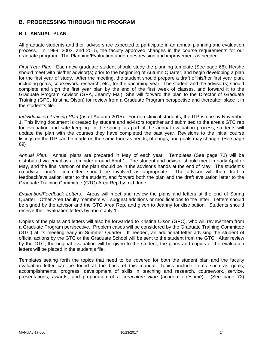## **B. PROGRESSING THROUGH THE PROGRAM**

#### **B. I. ANNUAL PLAN**

All graduate students and their advisors are expected to participate in an annual planning and evaluation process. In 1999, 2003, and 2015, the faculty approved changes in the course requirements for our graduate program. The Planning/Evaluation undergoes revision and improvement as needed.

*First Year Plan*. Each new graduate student should study the planning template (See page 66). He/she should meet with his/her advisor(s) prior to the beginning of Autumn Quarter, and begin developing a plan for the first year of study. After the meeting, the student should prepare a draft of his/her first year plan, including goals, coursework, research, etc., for the upcoming year. The student and the advisor(s) should complete and sign the first year plan by the end of the first week of classes, and forward it to the Graduate Program Advisor (GPA, Jeanny Mai). She will forward the plan to the Director of Graduate Training (GPC, Kristina Olson) for review from a Graduate Program perspective and thereafter place it in the student's file.

*Individualized Training Plan* (as of Autumn 2015). For non-clinical students, the ITP is due by November 1. This living document is created by student and advisors together and submitted to the area's GTC rep for evaluation and safe keeping. In the spring, as part of the annual evaluation process, students will update the plan with the courses they have completed the past year. Revisions to the initial course listings on the ITP can be made on the same form as needs, offerings, and goals may change. (See page 69)

*Annual Plan*. Annual plans are prepared in May of each year. Templates (See page 72) will be distributed via email as a reminder around April 1. The student and advisor should meet in early April or May, and the final version of the plan should be in the advisor's hands at the end of May. The student's co-advisor and/or committee should be involved as appropriate. The advisor will then draft a feedback/evaluation letter to the student, and forward both the plan and the draft evaluation letter to the Graduate Training Committee (GTC) Area Rep by mid-June.

*Evaluation/Feedback Letters.* Areas will meet and review the plans and letters at the end of Spring Quarter. Other Area faculty members will suggest additions or modifications to the letter. Letters should be signed by the advisor and the GTC Area Rep, and given to Jeanny for distribution. Students should receive their evaluation letters by about July 1.

Copies of the plans and letters will also be forwarded to Kristina Olson (GPC), who will review them from a Graduate Program perspective. Problem cases will be considered by the Graduate Training Committee (GTC) at its meeting early in Summer Quarter. If needed, an additional letter advising the student of official actions by the GTC or the Graduate School will be sent to the student from the GTC. After review by the GTC, the original evaluation will be given to the student, the plans and copies of the evaluation letters will be placed in the student's file.

Templates setting forth the topics that need to be covered for both the student plan and the faculty evaluation letter can be found at the back of this manual. Topics include items such as goals, accomplishments, progress, development of skills in teaching and research, coursework, service, presentations, awards, and preparation of a *curriculum vitae* (academic résumé). (See page 72)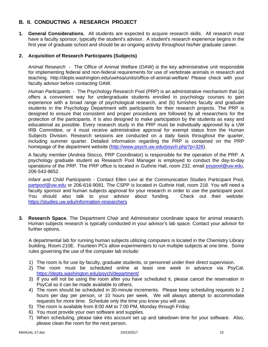## **B. II. CONDUCTING A RESEARCH PROJECT**

**1. General Considerations.** All students are expected to acquire research skills. All research must have a faculty sponsor, typically the student's advisor. A student's research experience begins in the first year of graduate school and should be an ongoing activity throughout his/her graduate career.

## **2. Acquisition of Research Participants (Subjects)**

*Animal Research* - The Office of Animal Welfare (OAW) is the key administrative unit responsible for implementing federal and non-federal requirements for use of vertebrate animals in research and teaching. http://depts.washington.edu/uwhsa/units/office-of-animal-welfare/ Please check with your faculty advisor before contacting OAW.

*Human Participants -* The Psychology Research Pool (PRP) is an administrative mechanism that (a) offers a convenient way for undergraduate students enrolled in psychology courses to gain experience with a broad range of psychological research, and (b) furnishes faculty and graduate students in the Psychology Department with participants for their research projects. The PRP is designed to ensure that consistent and proper procedures are followed by all researchers for the protection of the participants. It is also designed to make participation by the students as easy and educational as possible. Every research study in the PRP must be individually approved by a UW IRB Committee, or it must receive administrative approval for exempt status from the Human Subjects Division. Research sessions are conducted on a daily basis throughout the quarter, including summer quarter. Detailed information regarding the PRP is contained on the PRP homepage of the department website (http://www.psych.uw.edu/psych.php?p=326).

A faculty member (Andrea Stocco, PRP Coordinator) is responsible for the operation of the PRP. A psychology graduate student as Research Pool Manager is employed to conduct the day-to-day operations of the PRP. The PRP office is located in Guthrie Hall, room 232, email psypool@uw.edu, 206-543-9652.

*Infant and Child Participants* - Contact Ellen Levi at the Communication Studies Participant Pool, partpool@uw.edu or 206-616-9081. The CSPP is located in Guthrie Hall, room 218. You will need a faculty sponsor and human subjects approval for your research in order to use the participant pool. You should also talk to your advisor about funding. Check out their website: https://studies.uw.edu/information-researchers

**3. Research Space.** The Department Chair and Administrator coordinate space for animal research. Human subjects research is typically conducted in your advisor's lab space. Contact your advisor for further options.

A departmental lab for running human subjects utilizing computers is located in the Chemistry Library building, Room 210E. Fourteen PCs allow experimenters to run multiple subjects at one time. Some rules governing the use of the computer lab include:

- 1) The room is for use by faculty, graduate students, or personnel under their direct supervision.
- 2) The room must be scheduled online at least one week in advance via PsyCal, https://depts.washington.edu/psych/department/
- 3) If you will not be using the room after you have scheduled it, please cancel the reservation in PsyCal so it can be made available to others.
- 4) The room should be scheduled in 30-minute increments. Please keep scheduling requests to 2 hours per day per person, or 10 hours per week. We will always attempt to accommodate requests for more time. Schedule only the time you know you will use.
- 5) The room is available from 8:00 AM to 7:00 PM, Monday through Friday.
- 6) You must provide your own software and supplies.
- 7) When scheduling, please take into account set up and takedown time for your software. Also, please clean the room for the next person.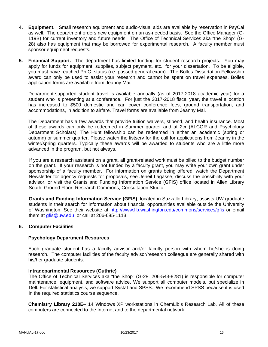- **4. Equipment.** Small research equipment and audio-visual aids are available by reservation in PsyCal as well. The department orders new equipment on an as-needed basis. See the Office Manager (G-119B) for current inventory and future needs. The Office of Technical Services aka "the Shop" (G-28) also has equipment that may be borrowed for experimental research. A faculty member must sponsor equipment requests.
- **5. Financial Support.** The department has limited funding for student research projects. You may apply for funds for equipment, supplies, subject payment, etc., for your dissertation. To be eligible, you must have reached Ph.C. status (i.e. passed general exam). The Bolles Dissertation Fellowship award can only be used to assist your research and cannot be spent on travel expenses. Bolles application forms are available from Jeanny Mai.

Department-supported student travel is available annually (as of 2017-2018 academic year) for a student who is presenting at a conference. For just the 2017-2018 fiscal year, the travel allocation has increased to \$500 domestic and can cover conference fees, ground transportation, and accommodations, in addition to airfare. Travel forms are available from Jeanny Mai.

The Department has a few awards that provide tuition waivers, stipend, and health insurance. Most of these awards can only be redeemed in Summer quarter and at 2cr (ALCOR and Psychology Department Scholars). The Hunt fellowship can be redeemed in either an academic (spring or autumn) or summer quarter. Please watch the listserv for the call for applications from Jeanny in the winter/spring quarters. Typically these awards will be awarded to students who are a little more advanced in the program, but not always.

If you are a research assistant on a grant, all grant-related work must be billed to the budget number on the grant. If your research is not funded by a faculty grant, you may write your own grant under sponsorship of a faculty member. For information on grants being offered, watch the Department Newsletter for agency requests for proposals, see Jeneil Lagasse, discuss the possibility with your advisor, or visit the Grants and Funding Information Service (GFIS) office located in Allen Library South, Ground Floor, Research Commons, Consultation Studio.

**Grants and Funding Information Service (GFIS)**, located in Suzzallo Library, assists UW graduate students in their search for information about financial opportunities available outside the University of Washington. See their website at http://www.lib.washington.edu/commons/services/gfis or email them at gfis@uw.edu or call at 206-685-1113.

#### **6. Computer Facilities**

#### **Psychology Department Resources**

Each graduate student has a faculty advisor and/or faculty person with whom he/she is doing research. The computer facilities of the faculty advisor/research colleague are generally shared with his/her graduate students.

#### **Intradepartmental Resources (Guthrie)**

The Office of Technical Services aka "the Shop" (G-28, 206-543-8281) is responsible for computer maintenance, equipment, and software advice. We support all computer models, but specialize in Dell. For statistical analysis, we support Systat and SPSS. We recommend SPSS because it is used in the required statistics course sequence.

**Chemistry Library 210E**– 14 Windows XP workstations in ChemLib's Research Lab. All of these computers are connected to the Internet and to the departmental network.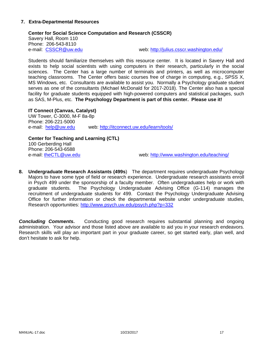#### **7. Extra-Departmental Resources**

#### **Center for Social Science Computation and Research (CSSCR)**

Savery Hall, Room 110 Phone: 206-543-8110

e-mail: CSSCR@uw.edu web: http://julius.csscr.washington.edu/

Students should familiarize themselves with this resource center. It is located in Savery Hall and exists to help social scientists with using computers in their research, particularly in the social sciences. The Center has a large number of terminals and printers, as well as microcomputer teaching classrooms. The Center offers basic courses free of charge in computing, e.g., SPSS X, MS Windows, etc. Consultants are available to assist you. Normally a Psychology graduate student serves as one of the consultants (Michael McDonald for 2017-2018). The Center also has a special facility for graduate students equipped with high-powered computers and statistical packages, such as SAS, M-Plus, etc. **The Psychology Department is part of this center. Please use it!**

**IT Connect (Canvas, Catalyst)**  UW Tower, C-3000, M-F 8a-8p Phone: 206-221-5000 e-mail: help@uw.edu web: http://itconnect.uw.edu/learn/tools/

**Center for Teaching and Learning (CTL)**  100 Gerberding Hall Phone: 206-543-6588<br>e-mail: theCTL@uw.edu

web: http://www.washington.edu/teaching/

**8. Undergraduate Research Assistants (499s**) The department requires undergraduate Psychology Majors to have some type of field or research experience. Undergraduate research assistants enroll in Psych 499 under the sponsorship of a faculty member. Often undergraduates help or work with graduate students. The Psychology Undergraduate Advising Office (G-114) manages the recruitment of undergraduate students for 499. Contact the Psychology Undergraduate Advising Office for further information or check the departmental website under undergraduate studies, Research opportunities: http://www.psych.uw.edu/psych.php?p=332

**Concluding Comments.** Conducting good research requires substantial planning and ongoing administration. Your advisor and those listed above are available to aid you in your research endeavors. Research skills will play an important part in your graduate career, so get started early, plan well, and don't hesitate to ask for help.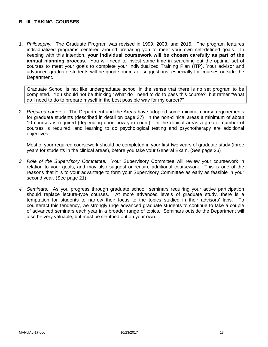## **B. III. TAKING COURSES**

1. *Philosophy.* The Graduate Program was revised in 1999, 2003, and 2015. The program features individualized programs centered around preparing you to meet your own self-defined goals. In keeping with this intention, **your individual coursework will be chosen carefully as part of the annual planning process**. You will need to invest some time in searching out the optimal set of courses to meet your goals to complete your Individualized Training Plan (ITP). Your advisor and advanced graduate students will be good sources of suggestions, especially for courses outside the Department.

Graduate School is not like undergraduate school in the sense that there is no set program to be completed. You should not be thinking "What do I need to do to pass this course?" but rather "What do I need to do to prepare myself in the best possible way for my career?"

2. *Required courses.* The Department and the Areas have adopted some minimal course requirements for graduate students (described in detail on page 37) In the non-clinical areas a minimum of about 10 courses is required (depending upon how you count). In the clinical areas a greater number of courses is required, and learning to do psychological testing and psychotherapy are additional objectives.

Most of your required coursework should be completed in your first two years of graduate study (three years for students in the clinical areas), before you take your General Exam. (See page 26)

- *3. Role of the Supervisory Committee.* Your Supervisory Committee will review your coursework in relation to your goals, and may also suggest or require additional coursework. This is one of the reasons that it is to your advantage to form your Supervisory Committee as early as feasible in your second year. (See page 21)
- *4. Seminars.* As you progress through graduate school, seminars requiring your active participation should replace lecture-type courses. At more advanced levels of graduate study, there is a temptation for students to narrow their focus to the topics studied in their advisors' labs. To counteract this tendency, we strongly urge advanced graduate students to continue to take a couple of advanced seminars each year in a broader range of topics. Seminars outside the Department will also be very valuable, but must be sleuthed out on your own.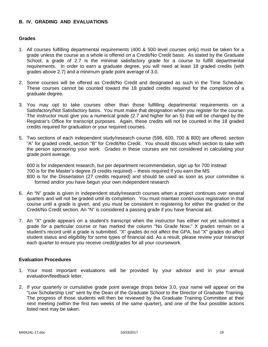## **B. IV. GRADING AND EVALUATIONS**

#### **Grades**

- 1. All courses fulfilling departmental requirements (400 & 500 level courses only) must be taken for a grade unless the course as a whole is offered on a Credit/No Credit basis. As stated by the Graduate School, a grade of 2.7 is the minimal satisfactory grade for a course to fulfill departmental requirements. In order to earn a graduate degree, you will need at least 18 graded credits (with grades above 2.7) and a minimum grade point average of 3.0.
- 2. Some courses will be offered as Credit/No Credit and designated as such in the Time Schedule. These courses cannot be counted toward the 18 graded credits required for the completion of a graduate degree.
- 3. You may opt to take courses other than those fulfilling departmental requirements on a Satisfactory/Not Satisfactory basis. You must make that designation when you register for the course. The instructor must give you a numerical grade (2.7 and higher for an S) that will be changed by the Registrar's Office for transcript purposes. Again, these credits will not be counted in the 18 graded credits required for graduation or your required courses.
- 5. Two sections of each independent study/research course (598, 600, 700 & 800) are offered; section "A" for graded credit, section "B" for Credit/No Credit. You should discuss which section to take with the person sponsoring your work. Grades in these courses are not considered in calculating your grade point average.

600 is for independent research, but per department recommendation, sign up for 700 instead 700 is for the Master's degree (9 credits required) – thesis required if you earn the MS 800 is for the Dissertation (27 credits required) and should be used as soon as your committee is formed and/or you have begun your own independent research

- 6. An "N" grade is given in independent study/research courses when a project continues over several quarters and will not be graded until its completion. You must maintain continuous registration in that course until a grade is given, and you must be consistent in registering for either the graded or the Credit/No Credit section. An "N" is considered a passing grade if you have financial aid.
- 7. An "X" grade appears on a student's transcript when the instructor has either not yet submitted a grade for a particular course or has marked the column "No Grade Now." X grades remain on a student's record until a grade is submitted. "X" grades do not affect the GPA, but "X" grades do affect student status and eligibility for some types of financial aid. As a result, please review your transcript each quarter to ensure you receive credit/grades for all your coursework.

#### **Evaluation Procedures**

- 1. Your most important evaluations will be provided by your advisor and in your annual evaluation/feedback letter.
- 2. If your quarterly or cumulative grade point average drops below 3.0, your name will appear on the "Low Scholarship List" sent by the Dean of the Graduate School to the Director of Graduate Training. The progress of those students will then be reviewed by the Graduate Training Committee at their next meeting (within the first two weeks of the same quarter), and one of the four possible actions listed next may be taken.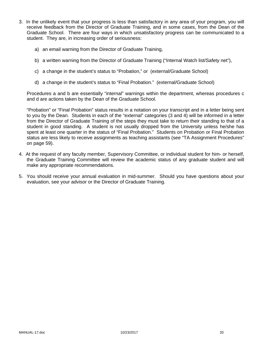- 3. In the unlikely event that your progress is less than satisfactory in any area of your program, you will receive feedback from the Director of Graduate Training, and in some cases, from the Dean of the Graduate School. There are four ways in which unsatisfactory progress can be communicated to a student. They are, in increasing order of seriousness:
	- a) an email warning from the Director of Graduate Training,
	- b) a written warning from the Director of Graduate Training ("Internal Watch list/Safety net"),
	- c) a change in the student's status to "Probation," or (external/Graduate School)
	- d) a change in the student's status to "Final Probation." (external/Graduate School)

Procedures a and b are essentially "internal" warnings within the department, whereas procedures c and d are actions taken by the Dean of the Graduate School.

"Probation" or "Final Probation" status results in a notation on your transcript and in a letter being sent to you by the Dean. Students in each of the "external" categories (3 and 4) will be informed in a letter from the Director of Graduate Training of the steps they must take to return their standing to that of a student in good standing. A student is not usually dropped from the University unless he/she has spent at least one quarter in the status of "Final Probation." Students on Probation or Final Probation status are less likely to receive assignments as teaching assistants (see "TA Assignment Procedures" on page 59).

- 4. At the request of any faculty member, Supervisory Committee, or individual student for him- or herself, the Graduate Training Committee will review the academic status of any graduate student and will make any appropriate recommendations.
- 5. You should receive your annual evaluation in mid-summer. Should you have questions about your evaluation, see your advisor or the Director of Graduate Training.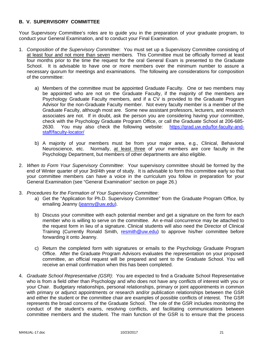## **B. V. SUPERVISORY COMMITTEE**

Your Supervisory Committee's roles are to guide you in the preparation of your graduate program, to conduct your General Examination, and to conduct your Final Examination.

- 1. *Composition of the Supervisory Committee*: You must set up a Supervisory Committee consisting of at least four and not more than seven members. This Committee must be officially formed at least four months prior to the time the request for the oral General Exam is presented to the Graduate School. It is advisable to have one or more members over the minimum number to assure a necessary quorum for meetings and examinations. The following are considerations for composition of the committee:
	- a) Members of the committee must be appointed Graduate Faculty. One or two members may be appointed who are not on the Graduate Faculty, if the majority of the members are Psychology Graduate Faculty members, and if a CV is provided to the Graduate Program Advisor for the non-Graduate Faculty member. Not every faculty member is a member of the Graduate Faculty, although most are. Some new assistant professors, lecturers, and research associates are not. If in doubt, ask the person you are considering having your committee, check with the Psychology Graduate Program Office, or call the Graduate School at 206-685- 2630. You may also check the following website: https://grad.uw.edu/for-faculty-andstaff/faculty-locator/
	- b) A majority of your members must be from your major area, e.g., Clinical, Behavioral Neuroscience, etc. Normally, at least three of your members are core faculty in the Psychology Department, but members of other departments are also eligible.
- 2. *When to Form Your Supervisory Committee*: Your supervisory committee should be formed by the end of Winter quarter of your 3rd/4th year of study. It is advisable to form this committee early so that your committee members can have a voice in the curriculum you follow in preparation for your General Examination (see "General Examination" section on page 26.)
- 3. *Procedures for the Formation of Your Supervisory Committee*:
	- a) Get the "Application for Ph.D. Supervisory Committee" from the Graduate Program Office, by emailing Jeanny (jeanny@uw.edu).
	- b) Discuss your committee with each potential member and get a signature on the form for each member who is willing to serve on the committee. An e-mail concurrence may be attached to the request form in lieu of a signature. Clinical students will also need the Director of Clinical Training (Currently Ronald Smith, resmith@uw.edu) to approve his/her committee before forwarding it onto Jeanny.
	- c) Return the completed form with signatures or emails to the Psychology Graduate Program Office. After the Graduate Program Advisors evaluates the representation on your proposed committee, an official request will be prepared and sent to the Graduate School. You will receive an email confirmation when this has been completed.
- 4. *Graduate School Representative (GSR)*: You are expected to find a Graduate School Representative who is from a field other than Psychology and who does not have any conflicts of interest with you or your Chair. Budgetary relationships, personal relationships, primary or joint appointments in common with primary or adjunct appointments or research and/or publication relationships between the GSR and either the student or the committee chair are examples of possible conflicts of interest. The GSR represents the broad concerns of the Graduate School. The role of the GSR includes monitoring the conduct of the student's exams, resolving conflicts, and facilitating communications between committee members and the student. The main function of the GSR is to ensure that the process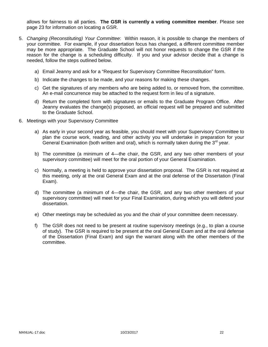allows for fairness to all parties. **The GSR is currently a voting committee member**. Please see page 23 for information on locating a GSR.

- 5. *Changing (Reconstituting) Your Committee*: Within reason, it is possible to change the members of your committee. For example, if your dissertation focus has changed, a different committee member may be more appropriate. The Graduate School will not honor requests to change the GSR if the reason for the change is a scheduling difficulty. If you and your advisor decide that a change is needed, follow the steps outlined below.
	- a) Email Jeanny and ask for a "Request for Supervisory Committee Reconstitution" form.
	- b) Indicate the changes to be made, and your reasons for making these changes.
	- c) Get the signatures of any members who are being added to, or removed from, the committee. An e-mail concurrence may be attached to the request form in lieu of a signature.
	- d) Return the completed form with signatures or emails to the Graduate Program Office. After Jeanny evaluates the change(s) proposed, an official request will be prepared and submitted to the Graduate School.
- 6. Meetings with your Supervisory Committee
	- a) As early in your second year as feasible, you should meet with your Supervisory Committee to plan the course work, reading, and other activity you will undertake in preparation for your General Examination (both written and oral), which is normally taken during the  $3<sup>rd</sup>$  year.
	- b) The committee (a minimum of 4—the chair, the GSR, and any two other members of your supervisory committee) will meet for the oral portion of your General Examination.
	- c) Normally, a meeting is held to approve your dissertation proposal. The GSR is not required at this meeting, only at the oral General Exam and at the oral defense of the Dissertation (Final Exam).
	- d) The committee (a minimum of 4—the chair, the GSR, and any two other members of your supervisory committee) will meet for your Final Examination, during which you will defend your dissertation.
	- e) Other meetings may be scheduled as you and the chair of your committee deem necessary.
	- f) The GSR does not need to be present at routine supervisory meetings (e.g., to plan a course of study). The GSR is required to be present at the oral General Exam and at the oral defense of the Dissertation (Final Exam) and sign the warrant along with the other members of the committee.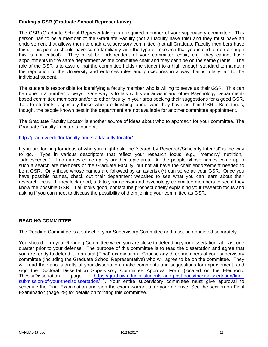## **Finding a GSR (Graduate School Representative)**

The GSR (Graduate School Representative) is a required member of your supervisory committee. This person has to be a member of the Graduate Faculty (not all faculty have this) and they must have an endorsement that allows them to chair a supervisory committee (not all Graduate Faculty members have this). This person should have some familiarity with the type of research that you intend to do (although this is not critical). They must be independent of your committee chair, e.g., they cannot have appointments in the same department as the committee chair and they can't be on the same grants. The role of the GSR is to assure that the committee holds the student to a high enough standard to maintain the reputation of the University and enforces rules and procedures in a way that is totally fair to the individual student.

The student is responsible for identifying a faculty member who is willing to serve as their GSR. This can be done in a number of ways. One way is to talk with your advisor and other Psychology Departmentbased committee members and/or to other faculty in your area seeking their suggestions for a good GSR. Talk to students, especially those who are finishing, about who they have as their GSR. Sometimes, though, the people known best in the department are not available for another committee appointment.

The Graduate Faculty Locator is another source of ideas about who to approach for your committee. The Graduate Faculty Locator is found at:

http://grad.uw.edu/for-faculty-and-staff/faculty-locator/

If you are looking for ideas of who you might ask, the "search by Research/Scholarly Interest" is the way to go. Type in various descriptors that reflect your research focus, e.g., "memory," nutrition," "adolescence." If no names come up try another topic area. All the people whose names come up in such a search are members of the Graduate Faculty, but not all have the chair endorsement needed to be a GSR. Only those whose names are followed by an asterisk (\*) can serve as your GSR. Once you have possible names, check out their department websites to see what you can learn about their research focus. If they look good, talk to your advisor and psychology committee members to see if they know the possible GSR. If all looks good, contact the prospect briefly explaining your research focus and asking if you can meet to discuss the possibility of them joining your committee as GSR.

#### **READING COMMITTEE**

The Reading Committee is a subset of your Supervisory Committee and must be appointed separately.

You should form your Reading Committee when you are close to defending your dissertation, at least one quarter prior to your defense. The purpose of this committee is to read the dissertation and agree that you are ready to defend it in an oral (Final) examination. Choose any three members of your supervisory committee (including the Graduate School Representative) who will agree to be on the committee. They will read the various drafts of your dissertation, make comments and suggestions for improvement, and sign the Doctoral Dissertation Supervisory Committee Approval Form (located on the Electronic Thesis/Dissertation page: https://grad.uw.edu/for-students-and-post-docs/thesisdissertation/finalsubmission-of-your-thesisdissertation/ ). Your entire supervisory committee must give approval to schedule the Final Examination and sign the exam warrant after your defense. See the section on Final Examination (page 29) for details on forming this committee.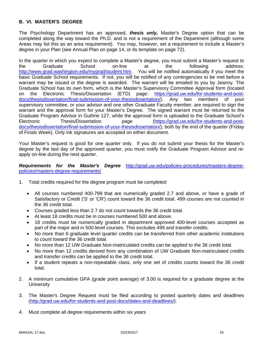### **B. VI. MASTER'S DEGREE**

The Psychology Department has an approved, *thesis only,* Master's Degree option that can be completed along the way toward the Ph.D. and is not a requirement of the Department (although some Areas may list this as an area requirement). You may, however, set a requirement to include a Master's degree in your Plan (see Annual Plan on page 14, or its template on page 72).

In the quarter in which you expect to complete a Master's degree, you must submit a Master's request to the Graduate School on-line at the following address: http://www.grad.washington.edu/mygrad/student.htm. You will be notified automatically if you meet the basic Graduate School requirements. If not, you will be notified of any contingencies to be met before a warrant may be issued or the degree is awarded. The warrant will be emailed to you by Jeanny. The Graduate School has its own form, which is the Master's Supervisory Committee Approval form (located on the Electronic Thesis/Dissertation (ETD) page: https://grad.uw.edu/for-students-and-post-<br>docs/thesisdissertation/final-submission-of-your-thesisdissertation/). Any two members of your docs/thesisdissertation/final-submission-of-your-thesisdissertation/). Any two members of your supervisory committee, or your advisor and one other Graduate Faculty member, are required to sign the warrant and the approval form for your Master's Degree. The signed warrant must be returned to the Graduate Program Advisor in Guthrie 127, while the approval form is uploaded to the Graduate School's Electronic Thesis/Dissertation page (https://grad.uw.edu/for-students-and-postdocs/thesisdissertation/final-submission-of-your-thesisdissertation/), both by the end of the quarter (Friday of Finals Week). Only ink signatures are accepted on either document.

Your Master's request is good for one quarter only. If you do not submit your thesis for the Master's degree by the last day of the approved quarter, you must notify the Graduate Program Advisor and reapply on-line during the next quarter.

*Requirements for the Master's Degree* http://grad.uw.edu/policies-procedures/masters-degreepolicies/masters-degree-requirements/

- 1. Total credits required for the degree program must be completed
	- All courses numbered 400-799 that are numerically graded 2.7 and above, or have a grade of Satisfactory or Credit ('S' or 'CR') count toward the 36 credit total. 499 courses are not counted in the 36 credit total.
	- Courses graded less than 2.7 do not count towards the 36 credit total.
	- At least 18 credits must be in courses numbered 500 and above.
	- 18 credits must be numerically graded in department approved 400-level courses accepted as part of the major and in 500-level courses. This excludes 499 and transfer credits.
	- No more than 6 graduate level quarter credits can be transferred from other academic institutions to count toward the 36 credit total.
	- No more than 12 UW Graduate Non-matriculated credits can be applied to the 36 credit total.
	- No more than 12 credits derived from any combination of UW Graduate Non-matriculated credits and transfer credits can be applied to the 36 credit total.
	- If a student repeats a non-repeatable class, only one set of credits counts toward the 36 credit total.
- 2. A minimum cumulative GPA (grade point average) of 3.00 is required for a graduate degree at the **University**
- 3. The Master's Degree Request must be filed according to posted quarterly dates and deadlines (http://grad.uw.edu/for-students-and-post-docs/dates-and-deadlines/).
- 4. Must complete all degree requirements within six years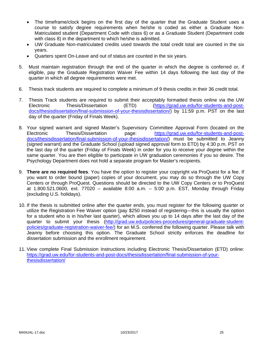- The timeframe/clock begins on the first day of the quarter that the Graduate Student uses a course to satisfy degree requirements when he/she is coded as either a Graduate Non-Matriculated student (Department Code with class 6) or as a Graduate Student (Department code with class 8) in the department to which he/she is admitted.
- UW Graduate Non-matriculated credits used towards the total credit total are counted in the six years.
- Quarters spent On-Leave and out of status are counted in the six years.
- 5. Must maintain registration through the end of the quarter in which the degree is conferred or, if eligible, pay the Graduate Registration Waiver Fee within 14 days following the last day of the quarter in which all degree requirements were met.
- 6. Thesis track students are required to complete a minimum of 9 thesis credits in their 36 credit total.
- 7. Thesis Track students are required to submit their acceptably formatted thesis online via the UW Electronic Thesis/Dissertation (ETD) (https://grad.uw.edu/for-students-and-postdocs/thesisdissertation/final-submission-of-your-thesisdissertation/) by 11:59 p.m. PST on the last day of the quarter (Friday of Finals Week).
- 8. Your signed warrant and signed Master's Supervisory Committee Approval Form (located on the Electronic Thesis/Dissertation page: https://grad.uw.edu/for-students-and-postdocs/thesisdissertation/final-submission-of-your-thesisdissertation/) must be submitted to Jeanny (signed warrant) and the Graduate School (upload signed approval form to ETD) by 4:30 p.m. PST on the last day of the quarter (Friday of Finals Week) in order for you to receive your degree within the same quarter. You are then eligible to participate in UW graduation ceremonies if you so desire. The Psychology Department does not hold a separate program for Master's recipients.
- 9. **There are no required fees**. You have the option to register your copyright via ProQuest for a fee. If you want to order bound (paper) copies of your document, you may do so through the UW Copy Centers or through ProQuest. Questions should be directed to the UW Copy Centers or to ProQuest at 1.800.521.0600, ext. 77020 – available 8:00 a.m. – 5:00 p.m. EST, Monday through Friday (excluding U.S. holidays).
- 10. If the thesis is submitted online after the quarter ends, you must register for the following quarter or utilize the Registration Fee Waiver option (pay \$250 instead of registering—this is usually the option for a student who is in his/her last quarter), which allows you up to 14 days after the last day of the quarter to submit your thesis (http://grad.uw.edu/policies-procedures/general-graduate-studentpolicies/graduate-registration-waiver-fee/) for an M.S. conferred the following quarter. Please talk with Jeanny before choosing this option. The Graduate School strictly enforces the deadline for dissertation submission and the enrollment requirement.
- 11. View complete Final Submission Instructions including Electronic Thesis/Dissertation (ETD) online: https://grad.uw.edu/for-students-and-post-docs/thesisdissertation/final-submission-of-yourthesisdissertation/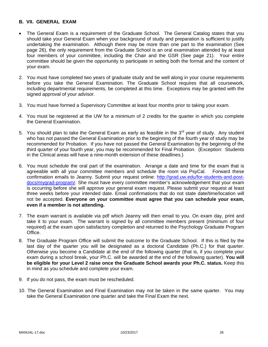## **B. VII. GENERAL EXAM**

- The General Exam is a requirement of the Graduate School. The General Catalog states that you should take your General Exam when your background of study and preparation is sufficient to justify undertaking the examination. Although there may be more than one part to the examination (See page 26), the only requirement from the Graduate School is an oral examination attended by at least four members of your committee, including the Chair and the GSR (See page 21). Your entire committee should be given the opportunity to participate in setting both the format and the content of your exam.
- 2. You must have completed two years of graduate study and be well along in your course requirements before you take the General Examination. The Graduate School requires that all coursework, including departmental requirements, be completed at this time. Exceptions may be granted with the signed approval of your advisor.
- 3. You must have formed a Supervisory Committee at least four months prior to taking your exam.
- 4. You must be registered at the UW for a minimum of 2 credits for the quarter in which you complete the General Examination.
- 5. You should plan to take the General Exam as early as feasible in the  $3<sup>rd</sup>$  year of study. Any student who has not passed the General Examination prior to the beginning of the fourth year of study may be recommended for Probation. If you have not passed the General Examination by the beginning of the third quarter of your fourth year, you may be recommended for Final Probation. (Exception: Students in the Clinical areas will have a nine-month extension of these deadlines.)
- 6. You must schedule the oral part of the examination. Arrange a date and time for the exam that is agreeable with all your committee members and schedule the room via PsyCal. Forward these confirmation emails to Jeanny. Submit your request online: http://grad.uw.edu/for-students-and-postdocs/mygrad-program/. She must have every committee member's acknowledgement that your exam is occurring before she will approve your general exam request. Please submit your request at least three weeks before your intended date. Email confirmations that do not state date/time/location will not be accepted. **Everyone on your committee must agree that you can schedule your exam, even if a member is not attending.**
- 7. The exam warrant is available via pdf which Jeanny will then email to you. On exam day, print and take it to your exam. The warrant is signed by all committee members present (minimum of four required) at the exam upon satisfactory completion and returned to the Psychology Graduate Program Office.
- 8. The Graduate Program Office will submit the outcome to the Graduate School. If this is filed by the last day of the quarter you will be designated as a doctoral Candidate (Ph.C.) for that quarter. Otherwise you become a Candidate at the end of the following quarter (that is, if you complete your exam during a school break, your Ph.C. will be awarded at the end of the following quarter). **You will be eligible for your Level 2 raise once the Graduate School awards your Ph.C. status.** Keep this in mind as you schedule and complete your exam.
- 9. If you do not pass, the exam must be rescheduled.
- 10. The General Examination and Final Examination may not be taken in the same quarter. You may take the General Examination one quarter and take the Final Exam the next.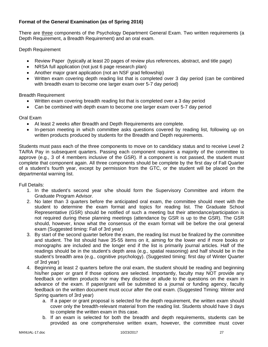## **Format of the General Examination (as of Spring 2016)**

There are three components of the Psychology Department General Exam. Two written requirements (a Depth Requirement, a Breadth Requirement) and an oral exam.

Depth Requirement

- Review Paper (typically at least 20 pages of review plus references, abstract, and title page)
- NRSA full application (not just 6 page research plan)
- Another major grant application (not an NSF grad fellowship)
- Written exam covering depth reading list that is completed over 3 day period (can be combined with breadth exam to become one larger exam over 5-7 day period)

Breadth Requirement

- Written exam covering breadth reading list that is completed over a 3 day period
- Can be combined with depth exam to become one larger exam over 5-7 day period

Oral Exam

- At least 2 weeks after Breadth and Depth Requirements are complete.
- In-person meeting in which committee asks questions covered by reading list, following up on written products produced by students for the Breadth and Depth requirements.

Students must pass each of the three components to move on to candidacy status and to receive Level 2 TA/RA Pay in subsequent quarters. Passing each component requires a majority of the committee to approve (e.g., 3 of 4 members inclusive of the GSR). If a component is not passed, the student must complete that component again. All three components should be complete by the first day of Fall Quarter of a student's fourth year, except by permission from the GTC, or the student will be placed on the departmental warning list.

Full Details:

- 1. In the student's second year s/he should form the Supervisory Committee and inform the Graduate Program Advisor.
- 2. No later than 3 quarters before the anticipated oral exam, the committee should meet with the student to determine the exam format and topics for reading list. The Graduate School Representative (GSR) should be notified of such a meeting but their attendance/participation is not required during these planning meetings (attendance by GSR is up to the GSR). The GSR should, however, know what the consensus of the exam format will be before the oral general exam (Suggested timing: Fall of 3rd year)
- 3. By start of the second quarter before the exam, the reading list must be finalized by the committee and student. The list should have 35-55 items on it, aiming for the lower end if more books or monographs are included and the longer end if the list is primarily journal articles. Half of the readings should be in the student's depth area (e.g., spatial reasoning) and half should be in the student's breadth area (e.g., cognitive psychology). (Suggested timing: first day of Winter Quarter of 3rd year)
- 4. Beginning at least 2 quarters before the oral exam, the student should be reading and beginning his/her paper or grant if those options are selected. Importantly, faculty may NOT provide any feedback on written products nor may they disclose or allude to the questions on the exam in advance of the exam. If paper/grant will be submitted to a journal or funding agency, faculty feedback on the written document must occur after the oral exam. (Suggested Timing: Winter and Spring quarters of 3rd year)
	- a. If a paper or grant proposal is selected for the depth requirement, the written exam should cover only the breadth-relevant material from the reading list. Students should have 3 days to complete the written exam in this case.
	- b. If an exam is selected for both the breadth and depth requirements, students can be provided as one comprehensive written exam, however, the committee must cover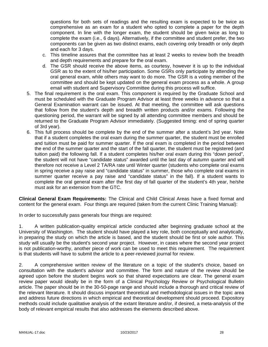questions for both sets of readings and the resulting exam is expected to be twice as comprehensive as an exam for a student who opted to complete a paper for the depth component. In line with the longer exam, the student should be given twice as long to complete the exam (i.e., 6 days). Alternatively, if the committee and student prefer, the two components can be given as two distinct exams, each covering only breadth or only depth and each for 3 days.

- c. This timeline assures that the committee has at least 2 weeks to review both the breadth and depth requirements and prepare for the oral exam.
- d. The GSR should receive the above items, as courtesy, however it is up to the individual GSR as to the extent of his/her participation. Some GSRs only participate by attending the oral general exam, while others may want to do more. The GSR is a voting member of the committee and should be kept updated on the general exam process as a whole. A group email with student and Supervisory Committee during this process will suffice.
- 5. The final requirement is the oral exam. This component is required by the Graduate School and must be scheduled with the Graduate Program Advisor at least three weeks in advance so that a General Examination warrant can be issued. At that meeting, the committee will ask questions that follow from the student's depth and breadth written products and/or exams. Following the questioning period, the warrant will be signed by all attending committee members and should be returned to the Graduate Program Advisor immediately. (Suggested timing: end of spring quarter of 3rd year).
- 6. This full process should be complete by the end of the summer after a student's 3rd year. Note that if a student completes the oral exam during the summer quarter, the student must be enrolled and tuition must be paid for summer quarter. If the oral exam is completed in the period between the end of the summer quarter and the start of the fall quarter, the student must be registered (and tuition paid) the following fall. If a student completes his/her oral exam during this "down period", the student will not have "candidate status" awarded until the last day of autumn quarter and will therefore not receive a Level 2 TA/RA rate until Winter quarter (students who complete oral exams in spring receive a pay raise and "candidate status" in summer, those who complete oral exams in summer quarter receive a pay raise and "candidate status" in the fall). If a student wants to complete the oral general exam after the first day of fall quarter of the student's 4th year, he/she must ask for an extension from the GTC.

**Clinical General Exam Requirements:** The Clinical and Child Clinical Areas have a fixed format and content for the general exam. Four things are required (taken from the current Clinic Training Manual):

In order to successfully pass generals four things are required:

1. A written publication-quality empirical article conducted after beginning graduate school at the University of Washington. The student should have played a key role, both conceptually and analytically, in preparing the study on which the article is based, and the student should be first or sole author. This study will usually be the student's second year project. However, in cases where the second year project is not publication-worthy, another piece of work can be used to meet this requirement. The requirement is that students will have to submit the article to a peer-reviewed journal for review.

2. A comprehensive written review of the literature on a topic of the student's choice, based on consultation with the student's advisor and committee. The form and nature of the review should be agreed upon before the student begins work so that shared expectations are clear. The general exam review paper would ideally be in the form of a Clinical Psychology Review or Psychological Bulletin article. The paper should be in the 30-50-page range and should include a thorough and critical review of the relevant literature. It should discuss important theoretical and methodological issues in the topic area and address future directions in which empirical and theoretical development should proceed. Expository methods could include qualitative analysis of the extant literature and/or, if desired, a meta-analysis of the body of relevant empirical results that also addresses the elements described above.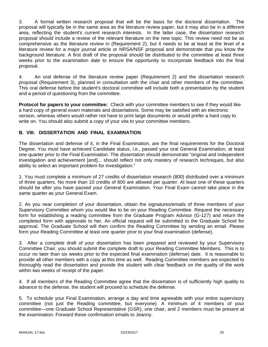3. A formal written research proposal that will be the basis for the doctoral dissertation. The proposal will typically be in the same area as the literature review paper, but it may also be in a different area, reflecting the student's current research interests. In the latter case, the dissertation research proposal should include a review of the relevant literature on the new topic. This review need not be as comprehensive as the literature review in (Requirement 2), but it needs to be at least at the level of a literature review for a major journal article or NRSA/NSF proposal and demonstrate that you know the background literature. A first draft of the proposal should be distributed to the committee at least three weeks prior to the examination date to ensure the opportunity to incorporate feedback into the final proposal.

4. An oral defense of the literature review paper (Requirement 2) and the dissertation research proposal (Requirement 3), planned in consultation with the chair and other members of the committee. This oral defense before the student's doctoral committee will include both a presentation by the student and a period of questioning from the committee.

**Protocol for papers to your committee:** Check with your committee members to see if they would like a hard copy of general exam materials and dissertations. Some may be satisfied with an electronic version, whereas others would rather not have to print large documents or would prefer a hard copy to write on. You should also submit a copy of your vita to your committee members.

## **B. VIII. DISSERTATION AND FINAL EXAMINATION**

The dissertation and defense of it, in the Final Examination, are the final requirements for the Doctoral Degree. You must have achieved Candidate status, i.e., passed your oral General Examination, at least one quarter prior to the Final Examination. The dissertation should demonstrate "original and independent investigation and achievement [and]... should reflect not only mastery of research techniques, but also ability to select an important problem for investigation."

1. You must complete a minimum of 27 credits of dissertation research (800) distributed over a minimum of three quarters. No more than 10 credits of 800 are allowed per quarter. At least one of these quarters should be after you have passed your General Examination. Your Final Exam cannot take place in the same quarter as your General Exam.

2. As you near completion of your dissertation, obtain the signatures/emails of three members of your Supervisory Committee whom you would like to be on your Reading Committee. Request the necessary form for establishing a reading committee from the Graduate Program Advisor (G-127) and return the completed form with approvals to her. An official request will be submitted to the Graduate School for approval. The Graduate School will then confirm the Reading Committee by sending an email. Please form your Reading Committee at least one quarter prior to your final examination (defense).

3. After a complete draft of your dissertation has been prepared and reviewed by your Supervisory Committee Chair, you should submit the complete draft to your Reading Committee Members. This is to occur no later than six weeks prior to the expected final examination (defense) date. It is reasonable to provide all other members with a copy at this time as well. Reading Committee members are expected to thoroughly read the dissertation and provide the student with clear feedback on the quality of the work within two weeks of receipt of the paper.

4. If all members of the Reading Committee agree that the dissertation is of sufficiently high quality to advance to the defense, the student will proceed to schedule the defense.

5. To schedule your Final Examination, arrange a day and time agreeable with your entire supervisory committee (not just the Reading committee, but everyone). A minimum of 4 members of your committee—one Graduate School Representative (GSR), one chair, and 2 members must be present at the examination. Forward these confirmation emails to Jeanny.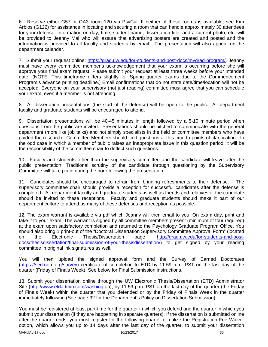6. Reserve either G57 or GA3 room 120 via PsyCal. If neither of these rooms is available, see Kim Arbios (G122) for assistance in locating and securing a room that can handle approximately 30 attendees for your defense. Information on day, time, student name, dissertation title, and a current photo, etc. will be provided to Jeanny Mai who will assure that advertising posters are created and posted and the information is provided to all faculty and students by email. The presentation will also appear on the department calendar.

7. Submit your request online: https://grad.uw.edu/for-students-and-post-docs/mygrad-program/. Jeanny must have every committee member's acknowledgement that your exam is occurring before she will approve your final exam request. Please submit your request at least three weeks before your intended date. (NOTE: This timeframe differs slightly for Spring quarter exams due to the Commencement Program's advance printing deadline.) Email confirmations that do not state date/time/location will not be accepted. Everyone on your supervisory (not just reading) committee must agree that you can schedule your exam, even if a member is not attending.

8. All dissertation presentations (the start of the defense) will be open to the public. All department faculty and graduate students will be encouraged to attend.

9. Dissertation presentations will be 40-45 minutes in length followed by a 5-10 minute period when questions from the public are invited. Presentations should be pitched to communicate with the general department (more like job talks) and not simply specialists in the field or committee members who have guided the research. Committee Members should limit questions at this time to points of clarification. In the odd case in which a member of public raises an inappropriate issue in this question period, it will be the responsibility of the committee chair to deflect such questions.

10. Faculty and students other than the supervisory committee and the candidate will leave after the public presentation. Traditional scrutiny of the candidate through questioning by the Supervisory Committee will take place during the hour following the presentation.

11. Candidates should be encouraged to refrain from bringing refreshments to their defense. The supervisory committee chair should provide a reception for successful candidates after the defense is completed. All department faculty and graduate students as well as friends and relatives of the candidate should be invited to these receptions. Faculty and graduate students should make it part of our department culture to attend as many of these defenses and reception as possible.

12. The exam warrant is available via pdf which Jeanny will then email to you. On exam day, print and take it to your exam. The warrant is signed by all committee members present (minimum of four required) at the exam upon satisfactory completion and returned to the Psychology Graduate Program Office. You should also bring 1 print-out of the "Doctoral Dissertation Supervisory Committee Approval Form" (located on the Electronic Thesis/Dissertation page: http://grad.uw.edu/for-students-and-postdocs/thesisdissertation/final-submission-of-your-thesisdissertation/) to get signed by your reading committee in original ink signatures as well.

You will then upload the signed approval form and the Survey of Earned Doctorates (https://sed.norc.org/survey) certificate of completion to ETD by 11:59 p.m. PST on the last day of the quarter (Friday of Finals Week). See below for Final Submission instructions.

13. Submit your dissertation online through the UW Electronic Thesis/Dissertation (ETD) Administrator Site (http://www.etdadmin.com/washington), by 11:59 p.m. PST on the last day of the quarter (the Friday of Finals Week) within the quarter that you defended or by the Friday of Finals Week in the quarter immediately following (See page 32 for the Department's Policy on Dissertation Submission).

You must be registered at least part-time for the quarter in which you defend and the quarter in which you submit your dissertation (if they are happening in separate quarters). If the dissertation is submitted online after the quarter ends, you must register for the following quarter or utilize the Registration Fee Waiver option, which allows you up to 14 days after the last day of the quarter, to submit your dissertation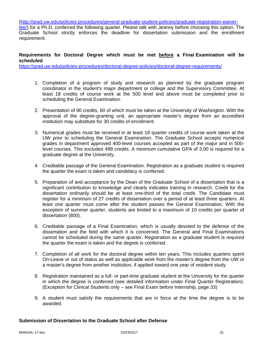(http://grad.uw.edu/policies-procedures/general-graduate-student-policies/graduate-registration-waiver-

fee/) for a Ph.D. conferred the following quarter. Please talk with Jeanny before choosing this option. The Graduate School strictly enforces the deadline for dissertation submission and the enrollment requirement.

## **Requirements for Doctoral Degree which must be met before a Final Examination will be scheduled**

https://grad.uw.edu/policies-procedures/doctoral-degree-policies/doctoral-degree-requirements/

- 1. Completion of a program of study and research as planned by the graduate program coordinator in the student's major department or college and the Supervisory Committee. At least 18 credits of course work at the 500 level and above must be completed prior to scheduling the General Examination.
- 2. Presentation of 90 credits, 60 of which must be taken at the University of Washington. With the approval of the degree-granting unit, an appropriate master's degree from an accredited institution may substitute for 30 credits of enrollment.
- 3. Numerical grades must be received in at least 18 quarter credits of course work taken at the UW prior to scheduling the General Examination. The Graduate School accepts numerical grades in department approved 400-level courses accepted as part of the major and in 500 level courses. This excludes 499 credits. A minimum cumulative GPA of 3.00 is required for a graduate degree at the University.
- 4. Creditable passage of the General Examination. Registration as a graduate student is required the quarter the exam is taken and candidacy is conferred.
- 5. Preparation of and acceptance by the Dean of the Graduate School of a dissertation that is a significant contribution to knowledge and clearly indicates training in research. Credit for the dissertation ordinarily should be at least one-third of the total credit. The Candidate must register for a minimum of 27 credits of dissertation over a period of at least three quarters. At least one quarter must come after the student passes the General Examination. With the exception of summer quarter, students are limited to a maximum of 10 credits per quarter of dissertation (800).
- 6. Creditable passage of a Final Examination, which is usually devoted to the defense of the dissertation and the field with which it is concerned. The General and Final Examinations cannot be scheduled during the same quarter. Registration as a graduate student is required the quarter the exam is taken and the degree is conferred.
- 7. Completion of all work for the doctoral degree within ten years. This includes quarters spent On-Leave or out of status as well as applicable work from the master's degree from the UW or a master's degree from another institution, if applied toward one year of resident study.
- 8. Registration maintained as a full- or part-time graduate student at the University for the quarter in which the degree is conferred (see detailed information under Final Quarter Registration). (Exception for Clinical Students only – see Final Exam before Internship, page 33)
- 9. A student must satisfy the requirements that are in force at the time the degree is to be awarded.

#### **Submission of Dissertation to the Graduate School after Defense**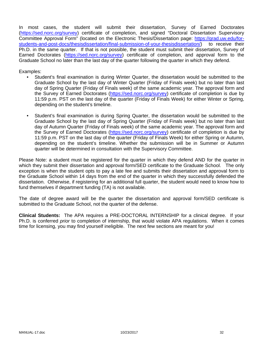In most cases, the student will submit their dissertation, Survey of Earned Doctorates (https://sed.norc.org/survey) certificate of completion, and signed "Doctoral Dissertation Supervisory Committee Approval Form" (located on the Electronic Thesis/Dissertation page: https://grad.uw.edu/forstudents-and-post-docs/thesisdissertation/final-submission-of-your-thesisdissertation/) to receive their Ph.D. in the same quarter. If that is not possible, the student must submit their dissertation, Survey of Earned Doctorates (https://sed.norc.org/survey) certificate of completion, and approval form to the Graduate School no later than the last day of the quarter following the quarter in which they defend.

Examples:

- Student's final examination is during Winter Quarter, the dissertation would be submitted to the Graduate School by the last day of Winter Quarter (Friday of Finals week) but no later than last day of Spring Quarter (Friday of Finals week) of the same academic year. The approval form and the Survey of Earned Doctorates (https://sed.norc.org/survey) certificate of completion is due by 11:59 p.m. PST on the last day of the quarter (Friday of Finals Week) for either Winter or Spring, depending on the student's timeline.
- Student's final examination is during Spring Quarter, the dissertation would be submitted to the Graduate School by the last day of Spring Quarter (Friday of Finals week) but no later than last day of Autumn Quarter (Friday of Finals week) of the same academic year. The approval form and the Survey of Earned Doctorates (https://sed.norc.org/survey) certificate of completion is due by 11:59 p.m. PST on the last day of the quarter (Friday of Finals Week) for either Spring or Autumn, depending on the student's timeline. Whether the submission will be in Summer or Autumn quarter will be determined in consultation with the Supervisory Committee.

Please Note: a student must be registered for the quarter in which they defend AND for the quarter in which they submit their dissertation and approval form/SED certificate to the Graduate School. The only exception is when the student opts to pay a late fee and submits their dissertation and approval form to the Graduate School within 14 days from the end of the quarter in which they successfully defended the dissertation. Otherwise, if registering for an additional full quarter, the student would need to know how to fund themselves if department funding (TA) is not available.

The date of degree award will be the quarter the dissertation and approval form/SED certificate is submitted to the Graduate School, not the quarter of the defense.

**Clinical Students:** The APA requires a PRE-DOCTORAL INTERNSHIP for a clinical degree. If your Ph.D. is conferred *prior* to completion of internship, that would violate APA regulations. When it comes time for licensing, you may find yourself ineligible. The next few sections are meant for you!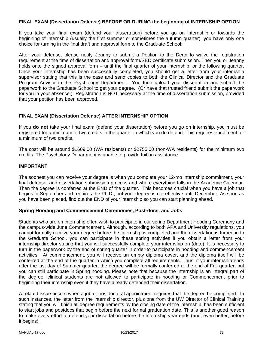#### **FINAL EXAM (Dissertation Defense) BEFORE OR DURING the beginning of INTERNSHIP OPTION**

If you take your final exam (defend your dissertation) before you go on internship or towards the beginning of internship (usually the first summer or sometimes the autumn quarter), you have only one choice for turning in the final draft and approval form to the Graduate School:

After your defense, please notify Jeanny to submit a Petition to the Dean to waive the registration requirement at the time of dissertation and approval form/SED certificate submission. Then you or Jeanny holds onto the signed approval form – until the final quarter of your internship, or the following quarter. Once your internship has been successfully completed, you should get a letter from your internship supervisor stating that this is the case and send copies to both the Clinical Director and the Graduate Program Advisor in the Psychology Department. You then upload your dissertation and submit the paperwork to the Graduate School to get your degree. (Or have that trusted friend submit the paperwork for you in your absence.) Registration is NOT necessary at the time of dissertation submission, provided that your petition has been approved.

## **FINAL EXAM (Dissertation Defense) AFTER INTERNSHIP OPTION**

If you **do not** take your final exam (defend your dissertation) before you go on internship, you must be registered for a minimum of two credits in the quarter in which you do defend. This requires enrollment for a minimum of two credits.

The cost will be around \$1609.00 (WA residents) or \$2755.00 (non-WA residents) for the minimum two credits. The Psychology Department is unable to provide tuition assistance.

#### **IMPORTANT**

The soonest you can receive your degree is when you complete your 12-mo internship commitment, your final defense, and dissertation submission process and where everything falls in the Academic Calendar. Then the degree is conferred at the END of the quarter. This becomes crucial when you have a job that begins in September and requires the Ph.D., but your degree is not effective until December! As soon as you have been placed, find out the END of your internship so you can start planning ahead.

#### **Spring Hooding and Commencement Ceremonies, Post-docs, and Jobs**

Students who are on internship often wish to participate in our spring Department Hooding Ceremony and the campus-wide June Commencement. Although, according to both APA and University regulations, you cannot formally receive your degree before the internship is completed and the dissertation is turned in to the Graduate School, you can participate in these spring activities if you obtain a letter from your internship director stating that you will successfully complete your internship on (date). It is necessary to turn in the paperwork by the end of spring quarter in order to participate in hooding and commencement activities. At commencement, you will receive an empty diploma cover, and the diploma itself will be conferred at the end of the quarter in which you complete all requirements. Thus, if your internship ends after the last day of Summer quarter, the degree will be formally conferred at the end of Fall quarter, but you can still participate in Spring hooding. Please note that because the internship is an integral part of the degree, clinical students are not allowed to participate in hooding or Commencement prior to beginning their internship even if they have already defended their dissertation.

A related issue occurs when a job or postdoctoral appointment requires that the degree be completed. In such instances, the letter from the internship director, plus one from the UW Director of Clinical Training stating that you will finish all degree requirements by the closing date of the internship, has been sufficient to start jobs and postdocs that begin before the next formal graduation date. This is another good reason to make every effort to defend your dissertation before the internship year ends (and, even better, before it begins).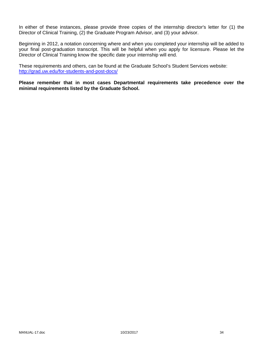In either of these instances, please provide three copies of the internship director's letter for (1) the Director of Clinical Training, (2) the Graduate Program Advisor, and (3) your advisor.

Beginning in 2012, a notation concerning where and when you completed your internship will be added to your final post-graduation transcript. This will be helpful when you apply for licensure. Please let the Director of Clinical Training know the specific date your internship will end.

These requirements and others, can be found at the Graduate School's Student Services website: http://grad.uw.edu/for-students-and-post-docs/

**Please remember that in most cases Departmental requirements take precedence over the minimal requirements listed by the Graduate School.**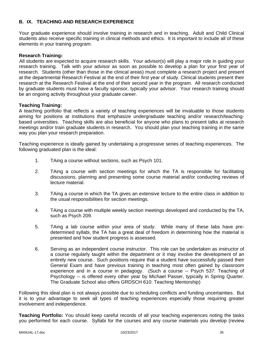## **B. IX. TEACHING AND RESEARCH EXPERIENCE**

Your graduate experience should involve training in research and in teaching. Adult and Child Clinical students also receive specific training in clinical methods and ethics. It is important to include all of these elements in your training program.

#### **Research Training:**

All students are expected to acquire research skills. Your advisor(s) will play a major role in guiding your research training. Talk with your advisor as soon as possible to develop a plan for your first year of research. Students (other than those in the clinical areas) must complete a research project and present at the departmental Research Festival at the end of their first year of study. Clinical students present their research at the Research Festival at the end of their second year in the program. All research conducted by graduate students must have a faculty sponsor, typically your advisor. Your research training should be an ongoing activity throughout your graduate career.

#### **Teaching Training:**

A teaching portfolio that reflects a variety of teaching experiences will be invaluable to those students aiming for positions at institutions that emphasize undergraduate teaching and/or research/teachingbased universities. Teaching skills are also beneficial for anyone who plans to present talks at research meetings and/or train graduate students in research. You should plan your teaching training in the same way you plan your research preparation.

Teaching experience is ideally gained by undertaking a progressive series of teaching experiences. The following graduated plan is the ideal:

- 1. TAing a course without sections, such as Psych 101.
- 2. TAing a course with section meetings for which the TA is responsible for facilitating discussions, planning and presenting some course material and/or conducting reviews of lecture material.
- 3. TAing a course in which the TA gives an extensive lecture to the entire class in addition to the usual responsibilities for section meetings.
- 4. TAing a course with multiple weekly section meetings developed and conducted by the TA, such as Psych 209.
- 5. TAing a lab course within your area of study. While many of these labs have predetermined syllabi, the TA has a great deal of freedom in determining how the material is presented and how student progress is assessed.
- 6. Serving as an independent course instructor. This role can be undertaken as instructor of a course regularly taught within the department or it may involve the development of an entirely new course. Such positions require that a student have successfully passed their General Exam and have previous training in teaching most often gained by classroom experience and in a course in pedagogy. (Such a course -- Psych 537: Teaching of Psychology -- is offered every other year by Michael Passer, typically in Spring Quarter. The Graduate School also offers GRDSCH 610: Teaching Mentorship)

Following this ideal plan is not always possible due to scheduling conflicts and funding uncertainties. But it is to your advantage to seek all types of teaching experiences especially those requiring greater involvement and independence.

**Teaching Portfolio:** You should keep careful records of all your teaching experiences noting the tasks you performed for each course. Syllabi for the courses and any course materials you develop (review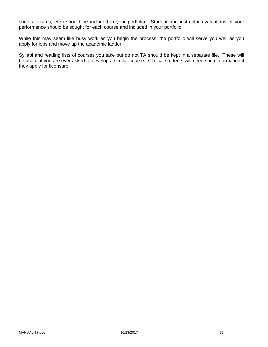sheets, exams, etc.) should be included in your portfolio. Student and instructor evaluations of your performance should be sought for each course and included in your portfolio.

While this may seem like busy work as you begin the process, the portfolio will serve you well as you apply for jobs and move up the academic ladder.

Syllabi and reading lists of courses you take but do not TA should be kept in a separate file. These will be useful if you are ever asked to develop a similar course. Clinical students will need such information if they apply for licensure.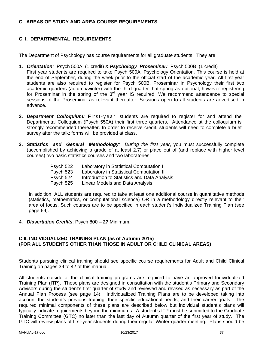# **C. AREAS OF STUDY AND AREA COURSE REQUIREMENTS**

# **C. I. DEPARTMENTAL REQUIREMENTS**

The Department of Psychology has course requirements for all graduate students. They are:

- **1.** *Orientation:* Psych 500A (1 credit) & *Psychology Proseminar:* Psych 500B (1 credit) First year students are required to take Psych 500A, Psychology Orientation. This course is held at the end of September, during the week prior to the official start of the academic year. All first year students are also required to register for Psych 500B, Proseminar in Psychology their first two academic quarters (autumn/winter) with the third quarter that spring as optional, however registering for Proseminar in the spring of the  $3<sup>rd</sup>$  year IS required. We recommend attendance to special sessions of the Proseminar as relevant thereafter. Sessions open to all students are advertised in advance.
- **2.** *Department Colloquium:* First-year students are required to register for and attend the Departmental Colloquium (Psych 550A) their first three quarters. Attendance at the colloquium is strongly recommended thereafter. In order to receive credit, students will need to complete a brief survey after the talk; forms will be provided at class.
- **3.** *Statistics and General Methodology: During the first year*, you must successfully complete (accomplished by achieving a grade of at least 2.7) or place out of (and replace with higher level courses) two basic statistics courses and two laboratories:

| Psych 522 | Laboratory in Statistical Computation I      |
|-----------|----------------------------------------------|
| Psych 523 | Laboratory in Statistical Computation II     |
| Psych 524 | Introduction to Statistics and Data Analysis |
| Psych 525 | Linear Models and Data Analysis              |

In addition, ALL students are required to take at least one additional course in quantitative methods (statistics, mathematics, or computational science) OR in a methodology directly relevant to their area of focus. Such courses are to be specified in each student's Individualized Training Plan (see page 69).

4. *Dissertation Credits*: Psych 800 – **27** Minimum.

# **C II. INDIVIDUALIZED TRAINING PLAN (as of Autumn 2015) (FOR ALL STUDENTS OTHER THAN THOSE IN ADULT OR CHILD CLINICAL AREAS)**

Students pursuing clinical training should see specific course requirements for Adult and Child Clinical Training on pages 39 to 42 of this manual.

All students outside of the clinical training programs are required to have an approved Individualized Training Plan (ITP). These plans are designed in consultation with the student's Primary and Secondary Advisors during the student's first quarter of study and reviewed and revised as necessary as part of the Annual Plan Process (see page 14). Individualized Training Plans are to be developed taking into account the student's previous training, their specific educational needs, and their career goals. The required minimal components of these plans are described below but individual student's plans will typically indicate requirements beyond the minimums. A student's ITP must be submitted to the Graduate Training Committee (GTC) no later than the last day of Autumn quarter of the first year of study. The GTC will review plans of first-year students during their regular Winter-quarter meeting. Plans should be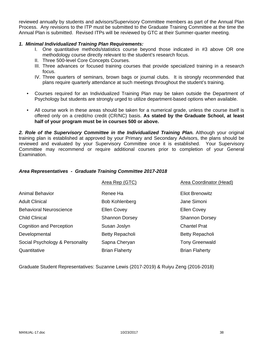reviewed annually by students and advisors/Supervisory Committee members as part of the Annual Plan Process. Any revisions to the ITP must be submitted to the Graduate Training Committee at the time the Annual Plan is submitted. Revised ITPs will be reviewed by GTC at their Summer-quarter meeting.

# *1. Minimal Individualized Training Plan Requirements:*

- I. One quantitative methods/statistics course beyond those indicated in #3 above OR one methodology course directly relevant to the student's research focus.
- II. Three 500-level Core Concepts Courses.
- III. Three advances or focused training courses that provide specialized training in a research focus.
- IV. Three quarters of seminars, brown bags or journal clubs. It is strongly recommended that plans require quarterly attendance at such meetings throughout the student's training.
- Courses required for an Individualized Training Plan may be taken outside the Department of Psychology but students are strongly urged to utilize department-based options when available.
- All course work in these areas should be taken for a numerical grade, unless the course itself is offered only on a credit/no credit (CR/NC) basis. **As stated by the Graduate School, at least half of your program must be in courses 500 or above.**

*2. Role of the Supervisory Committee in the Individualized Training Plan.* Although your original training plan is established at approved by your Primary and Secondary Advisors, the plans should be reviewed and evaluated by your Supervisory Committee once it is established. Your Supervisory Committee may recommend or require additional courses prior to completion of your General Examination.

# *Area Representatives - Graduate Training Committee 2017-2018*

|                                 | Area Rep (GTC)        | Area Coordinator (Head) |
|---------------------------------|-----------------------|-------------------------|
| <b>Animal Behavior</b>          | Renee Ha              | <b>Eliot Brenowitz</b>  |
| <b>Adult Clinical</b>           | <b>Bob Kohlenberg</b> | Jane Simoni             |
| <b>Behavioral Neuroscience</b>  | <b>Ellen Covey</b>    | <b>Ellen Covey</b>      |
| <b>Child Clinical</b>           | <b>Shannon Dorsey</b> | <b>Shannon Dorsey</b>   |
| <b>Cognition and Perception</b> | Susan Joslyn          | <b>Chantel Prat</b>     |
| Developmental                   | Betty Repacholi       | Betty Repacholi         |
| Social Psychology & Personality | Sapna Cheryan         | <b>Tony Greenwald</b>   |
| Quantitative                    | <b>Brian Flaherty</b> | <b>Brian Flaherty</b>   |

Graduate Student Representatives: Suzanne Lewis (2017-2019) & Ruiyu Zeng (2016-2018)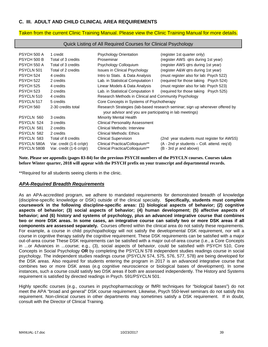# **C. III. ADULT AND CHILD CLINICAL AREA REQUIREMENTS**

#### Taken from the current Clinic Training Manual. Please view the Clinic Training Manual for more details.

#### Quick Listing of All Required Courses for Clinical Psychology

| PSYCH 500 A<br>PSYCH 500 B | 1 credit                                             | <b>Psychology Orientation</b><br>Proseminar                                                                                             | (register 1st quarter only)                                                |  |  |  |
|----------------------------|------------------------------------------------------|-----------------------------------------------------------------------------------------------------------------------------------------|----------------------------------------------------------------------------|--|--|--|
| PSYCH 550 A                | Total of 3 credits<br>Total of 3 credits             | Psychology Colloguium                                                                                                                   | (register AWS qtrs during 1st year)<br>(register AWS gtrs during 1st year) |  |  |  |
| PSYCLN 501                 | Total of 2 credits                                   | <b>Issues in Clinical Psychology</b>                                                                                                    | (register A&W gtrs during 1st year)                                        |  |  |  |
| <b>PSYCH 524</b>           | 4 credits                                            | Intro to Stats. & Data Analysis                                                                                                         | (must register also for lab: Psych 522)                                    |  |  |  |
| <b>PSYCH 522</b>           | 2 credits                                            | Lab. in Statistical Computation I                                                                                                       | (required for those taking Psych 524)                                      |  |  |  |
| <b>PSYCH 525</b>           | 4 credits                                            | Linear Models & Data Analysis                                                                                                           | (must register also for lab: Psych 523)                                    |  |  |  |
| <b>PSYCH 523</b>           | 2 credits                                            | Lab. in Statistical Computation II                                                                                                      | (required for those taking Psych 525)                                      |  |  |  |
| PSYCLN 510                 | 4 credits                                            | Research Methods in Clinical and Community Psychology                                                                                   |                                                                            |  |  |  |
| PSYCLN 517                 | 5 credits                                            | Core Concepts in Systems of Psychotherapy                                                                                               |                                                                            |  |  |  |
| <b>PSYCH 560</b>           | 2-30 credits total                                   | Research Strategies (lab-based research seminar; sign up whenever offered by<br>your advisor and you are participating in lab meetings) |                                                                            |  |  |  |
| PSYCLN 560                 | 3 credits                                            | <b>Minority Mental Health</b>                                                                                                           |                                                                            |  |  |  |
| PSYCLN 524                 | 3 credits                                            | <b>Clinical Personality Assessment</b>                                                                                                  |                                                                            |  |  |  |
| PSYCLN 581                 | 2 credits                                            | Clinical Methods: Interview                                                                                                             |                                                                            |  |  |  |
| PSYCLN 582                 | 2 credits                                            | Clinical Methods: Ethics                                                                                                                |                                                                            |  |  |  |
| PSYCLN 583                 | Total of 8 credits                                   | <b>Clinical Supervision</b>                                                                                                             | (2nd year students must register for AWSS)                                 |  |  |  |
| PSYCLN 580A<br>PSYCLN 580B | Var. credit (1-6 cr/qtr)<br>Var. credit (1-6 cr/qtr) | Clinical Practica/Colloquium**<br>Clinical Practica/Colloquium <sup>**</sup>                                                            | (A - 2nd yr students – Coll. attend. reg'd)<br>(B - 3rd yr and above)      |  |  |  |

**Note. Please see appendix (pages 83-84) for the previous PSYCH numbers of the PSYCLN courses. Courses taken before Winter quarter, 2018 will appear with the PSYCH prefix on your transcript and departmental records.** 

\*\*Required for all students seeing clients in the clinic.

#### *APA-Required Breadth Requirements*

As an APA-accredited program, we adhere to mandated requirements for demonstrated breadth of knowledge (discipline-specific knowledge or DSK) outside of the clinical specialty. **Specifically, students must complete coursework in the following discipline-specific areas: (1) biological aspects of behavior; (2) cognitive aspects of behavior; (3) social aspects of behavior; (4) human development; (5) affective aspects of behavior; and (6) history and systems of psychology, plus an advanced integrative course that combines two or more DSK areas. In some cases, an integrative course can satisfy two or more DSK areas if all components are assessed separately.** Courses offered within the clinical area do not satisfy these requirements. For example, a course in child psychopathology will not satisfy the developmental DSK requirement, nor will a course in cognitive therapy satisfy the cognitive requirement. These DSK requirements can be satisfied with a major out-of-area course These DSK requirements can be satisfied with a major out-of-area course (i.e., a Core Concepts in ...or Advances in ...course; e.g., (3), social aspects of behavior, could be satisfied with PSYCH 510, Core Concepts in Social Psychology **OR** by completing the PSYCLN 578 independent studies readings course in social psychology. The independent studies readings course (PSYCLN 574, 575, 576, 577, 578) are being developed for the DSK areas. Also required for students entering the program in 2017 is an advanced integrative course that combines two or more DSK areas (e.g cognitive neuroscience or biological bases of development). In some instances, such a course could satisfy two DSK areas if both are assessed independently. The History and Systems requirement is satisfied by directed readings in Psych. 591/PSYCLN 501.

Highly specific courses (e.g., courses in psychopharmacology or fMRI techniques for "biological bases") do not meet the APA "broad and general" DSK course requirement. Likewise, Psych 550-level seminars do not satisfy this requirement. Non-clinical courses in other departments may sometimes satisfy a DSK requirement. If in doubt, consult with the Director of Clinical Training.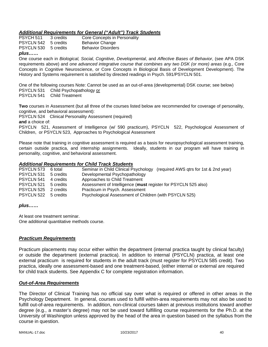# *Additional Requirements for General ("Adult") Track Students*

| plus                 |           |                              |
|----------------------|-----------|------------------------------|
| PSYCLN 530 5 credits |           | <b>Behavior Disorders</b>    |
| PSYCLN 542 5 credits |           | <b>Behavior Change</b>       |
| PSYCH 511            | 3 credits | Core Concepts in Personality |

#### One course each in *Biological, Social, Cognitive, Developmental*, and *Affective Bases of Behavior*, (see APA DSK requirements above) and *one advanced integrative course that combines any two DSK (or more) areas* (e.g., Core Concepts in Cognitive Neuroscience, or Core Concepts in Biological Basis of Development Development). The History and Systems requirement is satisfied by directed readings in Psych. 591/PSYCLN 501.

One of the following courses Note: Cannot be used as an out-of-area (developmental) DSK course; see below) PSYCLN 531 Child Psychopathology or PSYCLN 541 Child Treatment

**Two** courses in Assessment (but all three of the courses listed below are recommended for coverage of personality, cognitive, and behavioral assessment):

PSYCLN 524 Clinical Personality Assessment (required)

**and** a choice of:

PSYCLN 521, Assessment of Intelligence (w/ 590 practicum), PSYCLN 522, Psychological Assessment of Children, or PSYCLN 523, Approaches to Psychological Assessment

Please note that training in cognitive assessment is required as a basis for neuropsychological assessment training, certain outside practica, and internship assignments. Ideally, students in our program will have training in personality, cognitive, and behavioral assessment.

# *Additional Requirements for Child Track Students*

| PSYCLN 573        | 6 total   | Seminar in Child Clinical Psychology (required AWS gtrs for 1st & 2nd year) |
|-------------------|-----------|-----------------------------------------------------------------------------|
| PSYCLN 531        | 5 credits | Developmental Psychopathology                                               |
| <b>PSYCLN 541</b> | 4 credits | Approaches to Child Treatment                                               |
| PSYCLN 521        | 5 credits | Assessment of Intelligence (must register for PSYCLN 525 also)              |
| PSYCLN 525        | 2 credits | Practicum in Psych. Assessment                                              |
| PSYCLN 522        | 5 credits | Psychological Assessment of Children (with PSYCLN 525)                      |

#### *plus……*

At least one treatment seminar. One additional quantitative methods course.

#### *Practicum Requirements*

Practicum placements may occur either within the department (internal practica taught by clinical faculty) or outside the department (external practica). In addition to internal (PSYCLN) practica, at least one external practicum is required for students in the adult track (must register for PSYCLN 585 credit). Two practica, ideally one assessment-based and one treatment-based, (either internal or external are required for child track students. See Appendix C for complete registration information.

# *Out-of-Area Requirements*

The Director of Clinical Training has no official say over what is required or offered in other areas in the Psychology Department. In general, courses used to fulfill within-area requirements may not also be used to fulfill out-of-area requirements. In addition, non-clinical courses taken at previous institutions toward another degree (e.g., a master's degree) may not be used toward fulfilling course requirements for the Ph.D. at the University of Washington unless approved by the head of the area in question based on the syllabus from the course in question.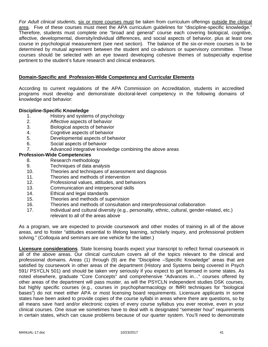*For Adult clinical students,* six or more courses must be taken from curriculum offerings outside the clinical area. Five of these courses must meet the APA curriculum guidelines for "discipline-specific knowledge." Therefore, students must complete one "broad and general" course each covering biological, cognitive, affective, developmental, diversity/individual differences, and social aspects of behavior, plus at least one course in psychological measurement (see next section). The balance of the six-or-more courses is to be determined by mutual agreement between the student and co-advisors or supervisory committee. These courses should be selected with an eye toward developing cohesive themes of subspecialty expertise pertinent to the student's future research and clinical endeavors.

# **Domain-Specific and Profession-Wide Competency and Curricular Elements**

According to current regulations of the APA Commission on Accreditation, students in accredited programs must develop and demonstrate doctoral-level competency in the following domains of knowledge and behavior:

#### **Discipline-Specific Knowledge**

- 1. History and systems of psychology
- 2. Affective aspects of behavior
- 3. Biological aspects of behavior
- 4. Cognitive aspects of behavior
- 5. Developmental aspects of behavior
- 6. Social aspects of behavior
- 7. Advanced integrative knowledge combining the above areas

# **Profession-Wide Competencies**

- 8. Research methodology
- 9. Techniques of data analysis
- 10. Theories and techniques of assessment and diagnosis
- 11. Theories and methods of intervention
- 12. Professional values, attitudes, and behaviors
- 13. Communication and interpersonal skills
- 14. Ethical and legal standards
- 15. Theories and methods of supervision
- 16. Theories and methods of consultation and interprofessional collaboration
- 17. Individual and cultural diversity (e.g., personality, ethnic, cultural, gender-related, etc.) relevant to all of the areas above

As a program, we are expected to provide coursework and other modes of training in all of the above areas, and to foster "attitudes essential to lifelong learning, scholarly inquiry, and professional problem solving." (Colloquia and seminars are one vehicle for the latter.)

**Licensure considerations**. State licensing boards expect your transcript to reflect formal coursework in all of the above areas. Our clinical curriculum covers all of the topics relevant to the clinical and professional domains. Areas (1) through (9) are the "Discipline –Specific Knowledge" areas that are satisfied by coursework in other areas of the department (History and Systems being covered in Psych 591/ PSYCLN 501) and should be taken very seriously if you expect to get licensed in some states. As noted elsewhere, graduate "Core Concepts" and comprehensive "Advances in…" courses offered by other areas of the department will pass muster, as will the PSYCLN independent studies DSK courses, but highly specific courses (e.g., courses in psychopharmacology or fMRI techniques for "biological bases") do not meet either APA or most licensing board requirements. Licensure applicants in some states have been asked to provide copies of the course syllabi in areas where there are questions, so by all means save hard and/or electronic copies of every course syllabus you ever receive, even in your clinical courses. One issue we sometimes have to deal with is designated "semester hour" requirements in certain states, which can cause problems because of our quarter system. You'll need to demonstrate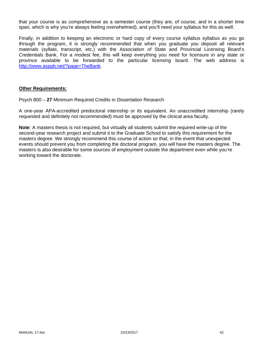that your course is as comprehensive as a semester course (they are, of course, and in a shorter time span, which is why you're always feeling overwhelmed), and you'll need your syllabus for this as well.

Finally, in addition to keeping an electronic or hard copy of every course syllabus syllabus as you go through the program, it is strongly recommended that when you graduate you deposit all relevant materials (syllabi, transcript, etc.) with the Association of State and Provincial Licensing Board's Credentials Bank. For a modest fee, this will keep everything you need for licensure in any state or province available to be forwarded to the particular licensing board. The web address is http://www.asppb.net/?page=TheBank.

# **Other Requirements:**

Psych 800 – **27** Minimum Required Credits in Dissertation Research

A one-year APA-accredited predoctoral internship or its equivalent. An unaccredited internship (rarely requested and definitely not recommended) must be approved by the clinical area faculty.

**Note**: A masters thesis is not required, but virtually all students submit the required write-up of the second-year research project and submit it to the Graduate School to satisfy this requirement for the masters degree. We strongly recommend this course of action so that, in the event that unexpected events should prevent you from completing the doctoral program, you will have the masters degree. The masters is also desirable for some sources of employment outside the department even while you're working toward the doctorate.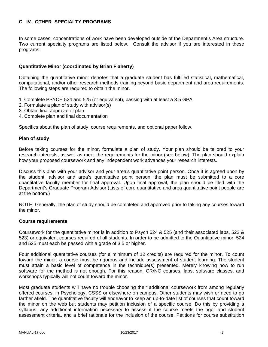# **C. IV. OTHER SPECIALTY PROGRAMS**

In some cases, concentrations of work have been developed outside of the Department's Area structure. Two current specialty programs are listed below. Consult the advisor if you are interested in these programs.

# **Quantitative Minor (coordinated by Brian Flaherty)**

Obtaining the quantitative minor denotes that a graduate student has fulfilled statistical, mathematical, computational, and/or other research methods training beyond basic department and area requirements. The following steps are required to obtain the minor.

- 1. Complete PSYCH 524 and 525 (or equivalent), passing with at least a 3.5 GPA
- 2. Formulate a plan of study with advisor(s)
- 3. Obtain final approval of plan
- 4. Complete plan and final documentation

Specifics about the plan of study, course requirements, and optional paper follow.

#### **Plan of study**

Before taking courses for the minor, formulate a plan of study. Your plan should be tailored to your research interests, as well as meet the requirements for the minor (see below). The plan should explain how your proposed coursework and any independent work advances your research interests.

Discuss this plan with your advisor and your area's quantitative point person. Once it is agreed upon by the student, advisor and area's quantitative point person, the plan must be submitted to a core quantitative faculty member for final approval. Upon final approval, the plan should be filed with the Department's Graduate Program Advisor (Lists of core quantitative and area quantitative point people are at the bottom.)

NOTE: Generally, the plan of study should be completed and approved prior to taking any courses toward the minor.

#### **Course requirements**

Coursework for the quantitative minor is in addition to Psych 524 & 525 (and their associated labs, 522 & 523) or equivalent courses required of all students. In order to be admitted to the Quantitative minor, 524 and 525 must each be passed with a grade of 3.5 or higher.

Four additional quantitative courses (for a minimum of 12 credits) are required for the minor. To count toward the minor, a course must be rigorous and include assessment of student learning. The student must attain a basic level of competence in the technique(s) presented. Merely knowing how to run software for the method is not enough. For this reason, CR/NC courses, labs, software classes, and workshops typically will not count toward the minor.

Most graduate students will have no trouble choosing their additional coursework from among regularly offered courses, in Psychology, CSSS or elsewhere on campus. Other students may wish or need to go farther afield. The quantitative faculty will endeavor to keep an up-to-date list of courses that count toward the minor on the web but students may petition inclusion of a specific course. Do this by providing a syllabus, any additional information necessary to assess if the course meets the rigor and student assessment criteria, and a brief rationale for the inclusion of the course. Petitions for course substitution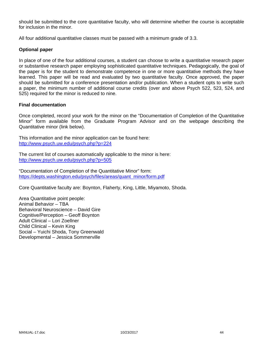should be submitted to the core quantitative faculty, who will determine whether the course is acceptable for inclusion in the minor.

All four additional quantitative classes must be passed with a minimum grade of 3.3.

# **Optional paper**

In place of one of the four additional courses, a student can choose to write a quantitative research paper or substantive research paper employing sophisticated quantitative techniques. Pedagogically, the goal of the paper is for the student to demonstrate competence in one or more quantitative methods they have learned. This paper will be read and evaluated by two quantitative faculty. Once approved, the paper should be submitted for a conference presentation and/or publication. When a student opts to write such a paper, the minimum number of additional course credits (over and above Psych 522, 523, 524, and 525) required for the minor is reduced to nine.

#### **Final documentation**

Once completed, record your work for the minor on the "Documentation of Completion of the Quantitative Minor" form available from the Graduate Program Advisor and on the webpage describing the Quantitative minor (link below).

This information and the minor application can be found here: http://www.psych.uw.edu/psych.php?p=224

The current list of courses automatically applicable to the minor is here: http://www.psych.uw.edu/psych.php?p=505

"Documentation of Completion of the Quantitative Minor" form: https://depts.washington.edu/psych/files/areas/quant\_minor/form.pdf

Core Quantitative faculty are: Boynton, Flaherty, King, Little, Miyamoto, Shoda.

Area Quantitative point people: Animal Behavior – TBA Behavioral Neuroscience – David Gire Cognitive/Perception – Geoff Boynton Adult Clinical – Lori Zoellner Child Clinical – Kevin King Social – Yuichi Shoda, Tony Greenwald Developmental – Jessica Sommerville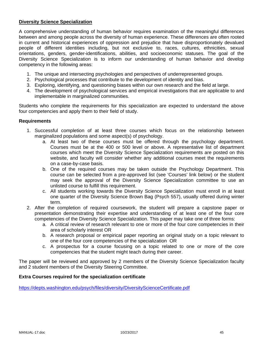# **Diversity Science Specialization**

A comprehensive understanding of human behavior requires examination of the meaningful differences between and among people across the diversity of human experience. These differences are often rooted in current and historical experiences of oppression and prejudice that have disproportionately devalued people of different identities including, but not exclusive to, races, cultures, ethnicities, sexual orientations, genders, gender-identifications, abilities, and socioeconomic statuses. The goal of the Diversity Science Specialization is to inform our understanding of human behavior and develop competency in the following areas:

- 1. The unique and intersecting psychologies and perspectives of underrepresented groups.
- 2. Psychological processes that contribute to the development of identity and bias.
- 3. Exploring, identifying, and questioning biases within our own research and the field at large.
- 4. The development of psychological services and empirical investigations that are applicable to and implementable in marginalized communities.

Students who complete the requirements for this specialization are expected to understand the above four competencies and apply them to their field of study.

#### **Requirements**

- 1. Successful completion of at least three courses which focus on the relationship between marginalized populations and some aspect(s) of psychology.
	- a. At least two of these courses must be offered through the psychology department. Courses must be at the 400 or 500 level or above. A representative list of department courses which meet the Diversity Science Specialization requirements are posted on this website, and faculty will consider whether any additional courses meet the requirements on a case-by-case basis.
	- b. One of the required courses may be taken outside the Psychology Department. This course can be selected from a pre-approved list (see 'Courses' link below) or the student may seek the approval of the Diversity Science Specialization committee to use an unlisted course to fulfill this requirement.
	- c. All students working towards the Diversity Science Specialization must enroll in at least one quarter of the Diversity Science Brown Bag (Psych 557), usually offered during winter term.
- 2. After the completion of required coursework, the student will prepare a capstone paper or presentation demonstrating their expertise and understanding of at least one of the four core competencies of the Diversity Science Specialization. This paper may take one of three forms:
	- a. A critical review of research relevant to one or more of the four core competencies in their area of scholarly interest OR
	- b. A research proposal or empirical paper reporting an original study on a topic relevant to one of the four core competencies of the specialization OR
	- c. A prospectus for a course focusing on a topic related to one or more of the core competencies that the student might teach during their career.

The paper will be reviewed and approved by 2 members of the Diversity Science Specialization faculty and 2 student members of the Diversity Steering Committee.

#### **Extra Courses required for the specialization certificate**

https://depts.washington.edu/psych/files/diversity/DiversityScienceCertificate.pdf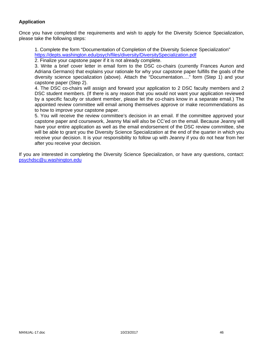# **Application**

Once you have completed the requirements and wish to apply for the Diversity Science Specialization, please take the following steps:

1. Complete the form "Documentation of Completion of the Diversity Science Specialization" https://depts.washington.edu/psych/files/diversity/DiversitySpecialization.pdf

2. Finalize your capstone paper if it is not already complete.

3. Write a brief cover letter in email form to the DSC co-chairs (currently Frances Aunon and Adriana Germano) that explains your rationale for why your capstone paper fulfills the goals of the diversity science specialization (above). Attach the "Documentation…." form (Step 1) and your capstone paper (Step 2).

4. The DSC co-chairs will assign and forward your application to 2 DSC faculty members and 2 DSC student members. (If there is any reason that you would not want your application reviewed by a specific faculty or student member, please let the co-chairs know in a separate email.) The appointed review committee will email among themselves approve or make recommendations as to how to improve your capstone paper.

5. You will receive the review committee's decision in an email. If the committee approved your capstone paper and coursework, Jeanny Mai will also be CC'ed on the email. Because Jeanny will have your entire application as well as the email endorsement of the DSC review committee, she will be able to grant you the Diversity Science Specialization at the end of the quarter in which you receive your decision. It is your responsibility to follow up with Jeanny if you do not hear from her after you receive your decision.

If you are interested in completing the Diversity Science Specialization, or have any questions, contact: psychdsc@u.washington.edu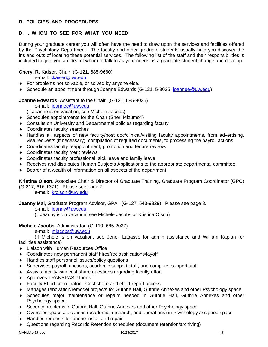# **D. POLICIES AND PROCEDURES**

# **D. I. WHOM TO SEE FOR WHAT YOU NEED**

During your graduate career you will often have the need to draw upon the services and facilities offered by the Psychology Department. The faculty and other graduate students usually help you discover the ins and outs of locating these potential services. The following list of the staff and their responsibilities is included to give you an idea of whom to talk to as your needs as a graduate student change and develop.

# **Cheryl R. Kaiser**, Chair (G-121, 685-9660)

e-mail: ckaiser@uw.edu

- **For problems not solvable, or solved by anyone else.**
- ◆ Schedule an appointment through Joanne Edwards (G-121, 5-8035, joannee@uw.edu)

# **Joanne Edwards**, Assistant to the Chair (G-121, 685-8035)

e-mail: joannee@uw.edu

(if Joanne is on vacation, see Michele Jacobs)

- Schedules appointments for the Chair (Sheri Mizumori)
- Consults on University and Departmental policies regarding faculty
- Coordinates faculty searches
- Handles all aspects of new faculty/post doc/clinical/visiting faculty appointments, from advertising, visa requests (if necessary), compilation of required documents, to processing the payroll actions
- Coordinates faculty reappointment, promotion and tenure reviews
- Coordinates faculty merit reviews
- Coordinates faculty professional, sick leave and family leave
- Receives and distributes Human Subjects Applications to the appropriate departmental committee
- Bearer of a wealth of information on all aspects of the department

**Kristina Olson**, Associate Chair & Director of Graduate Training, Graduate Program Coordinator (GPC) (G-217, 616-1371) Please see page 7.

e-mail: krolson@uw.edu

**Jeanny Mai**, Graduate Program Advisor, GPA (G-127, 543-9329) Please see page 8.

e-mail: jeanny@uw.edu

(if Jeanny is on vacation, see Michele Jacobs or Kristina Olson)

# **Michele Jacobs**, Administrator (G-119, 685-2027)

e-mail: mjacobs@uw.edu

 (If Michele is on vacation, see Jeneil Lagasse for admin assistance and William Kaplan for facilities assistance)

- ◆ Liaison with Human Resources Office
- Coordinates new permanent staff hires/reclassifications/layoff
- Handles staff personnel issues/policy questions
- Supervises payroll functions, academic support staff, and computer support staff
- Assists faculty with cost share questions regarding faculty effort
- ◆ Approves TRANSPASU forms
- Faculty Effort coordinator—Cost share and effort report access
- Manages renovation/remodel projects for Guthrie Hall, Guthrie Annexes and other Psychology space
- Schedules major maintenance or repairs needed in Guthrie Hall, Guthrie Annexes and other Psychology space
- Security problems in Guthrie Hall, Guthrie Annexes and other Psychology space
- Oversees space allocations (academic, research, and operations) in Psychology assigned space
- ◆ Handles requests for phone install and repair
- Questions regarding Records Retention schedules (document retention/archiving)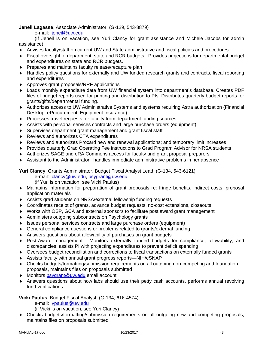**Jeneil Lagasse**, Associate Administrator (G-129, 543-8879)

e-mail: jeneil@uw.edu

 (If Jeneil is on vacation, see Yuri Clancy for grant assistance and Michele Jacobs for admin assistance)

- Advises faculty/staff on current UW and State administrative and fiscal policies and procedures
- Fiscal oversight of department, state and RCR budgets. Provides projections for departmental budget and expenditures on state and RCR budgets.
- ◆ Prepares and maintains faculty release/recapture plan
- Handles policy questions for externally and UW funded research grants and contracts, fiscal reporting and expenditures
- Approves grant proposals/RRF applications
- Loads monthly expenditure data from UW financial system into department's database. Creates PDF files of budget reports used for printing and distribution to PIs. Distributes quarterly budget reports for grants/gifts/departmental funding.
- Authorizes access to UW Administrative Systems and systems requiring Astra authorization (Financial Desktop, eProcurement, Equipment Insurance)
- Processes travel requests for faculty from department funding sources
- Assists with personal services contracts and large purchase orders (equipment)
- Supervises department grant management and grant fiscal staff
- ◆ Reviews and authorizes CTA expenditures
- Reviews and authorizes Procard new and renewal applications; and temporary limit increases
- Provides quarterly Grad Operating Fee instructions to Grad Program Advisor for NRSA students
- Authorizes SAGE and eRA Commons access for faculty and grant proposal preparers
- Assistant to the Administrator: handles immediate administrative problems in her absence

**Yuri Clancy**, Grants Administrator, Budget Fiscal Analyst Lead (G-134, 543-6121),

e-mail: clancy@uw.edu, psygrant@uw.edu

(if Yuri is on vacation, see Vicki Paulus)

- Maintains information for preparation of grant proposals re: fringe benefits, indirect costs, proposal application materials
- Assists grad students on NRSA/external fellowship funding requests
- Coordinates receipt of grants, advance budget requests, no-cost extensions, closeouts
- Works with OSP, GCA and external sponsors to facilitate post award grant management
- Administers outgoing subcontracts on Psychology grants
- Issues personal services contracts and large purchase orders (equipment)
- General compliance questions or problems related to grants/external funding
- Answers questions about allowability of purchases on grant budgets
- Post-Award management: Monitors externally funded budgets for compliance, allowability, and discrepancies; assists PI with projecting expenditures to prevent deficit spending
- Oversees budget reconciliation and corrections to fiscal transactions on externally funded grants
- Assists faculty with annual grant progress reports—NIH/eSNAP
- Checks budgets/formatting/submission requirements on all outgoing non-competing and foundation proposals, maintains files on proposals submitted
- ◆ Monitors psygrant@uw.edu email account
- Answers questions about how labs should use their petty cash accounts, performs annual revolving fund verifications

**Vicki Paulus**, Budget Fiscal Analyst (G-134, 616-4574)

e-mail: vpaulus@uw.edu

(if Vicki is on vacation, see Yuri Clancy)

 Checks budgets/formatting/submission requirements on all outgoing new and competing proposals, maintains files on proposals submitted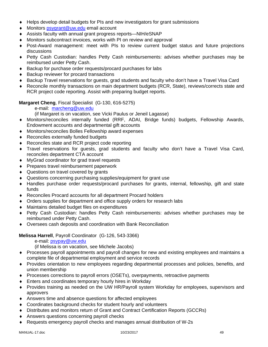- Helps develop detail budgets for PIs and new investigators for grant submissions
- ◆ Monitors psygrant@uw.edu email account
- Assists faculty with annual grant progress reports—NIH/eSNAP
- Monitors subcontract invoices, works with PI on review and approval
- Post-Award management: meet with PIs to review current budget status and future projections discussions
- Petty Cash Custodian: handles Petty Cash reimbursements: advises whether purchases may be reimbursed under Petty Cash.
- ◆ Backup for purchase order requests/procard purchases for labs
- ◆ Backup reviewer for procard transactions
- Backup Travel reservations for guests, grad students and faculty who don't have a Travel Visa Card
- Reconcile monthly transactions on main department budgets (RCR, State), reviews/corrects state and RCR project code reporting. Assist with preparing budget reports.

**Margaret Cheng**, Fiscal Specialist (G-130, 616-5275)

e-mail: marcheng@uw.edu

(if Margaret is on vacation, see Vicki Paulus or Jeneil Lagasse)

- Monitors/reconciles internally funded (RRF, ADAI, Bridge funds) budgets, Fellowship Awards, Endowment accounts and departmental gift accounts
- Monitors/reconciles Bolles Fellowship award expenses
- ◆ Reconciles externally funded budgets
- ◆ Reconciles state and RCR project code reporting
- Travel reservations for guests, grad students and faculty who don't have a Travel Visa Card, reconciles department CTA account
- MyGrad coordinator for grad travel requests
- ◆ Prepares travel reimbursement paperwork
- ◆ Questions on travel covered by grants
- Questions concerning purchasing supplies/equipment for grant use
- Handles purchase order requests/procard purchases for grants, internal, fellowship, gift and state funds
- Reconciles Procard accounts for all department Procard holders
- Orders supplies for department and office supply orders for research labs
- Maintains detailed budget files on expenditures
- Petty Cash Custodian: handles Petty Cash reimbursements: advises whether purchases may be reimbursed under Petty Cash.
- Oversees cash deposits and coordination with Bank Reconciliation

# **Melissa Harrell**, Payroll Coordinator (G-126, 543-3366)

e-mail: psypay@uw.edu

(if Melissa is on vacation, see Michele Jacobs)

- Processes payroll appointments and payroll changes for new and existing employees and maintains a complete file of departmental employment and service records
- Provides orientation to new employees regarding departmental processes and policies, benefits, and union membership
- Processes corrections to payroll errors (OSETs), overpayments, retroactive payments
- Enters and coordinates temporary hourly hires in Workday
- Provides training as needed on the UW HR/Payroll system Workday for employees, supervisors and approvers
- Answers time and absence questions for affected employees
- Coordinates background checks for student hourly and volunteers
- Distributes and monitors return of Grant and Contract Certification Reports (GCCRs)
- Answers questions concerning payroll checks
- Requests emergency payroll checks and manages annual distribution of W-2s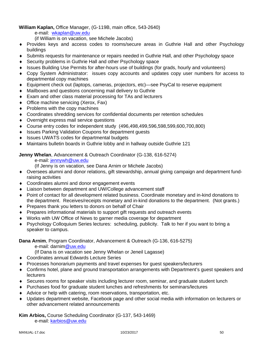# **William Kaplan,** Office Manager, (G-119B, main office, 543-2640)

e-mail: wkaplan@uw.edu

(if William is on vacation, see Michele Jacobs)

- Provides keys and access codes to rooms/secure areas in Guthrie Hall and other Psychology buildings
- Submits requests for maintenance or repairs needed in Guthrie Hall, and other Psychology space
- ◆ Security problems in Guthrie Hall and other Psychology space
- Issues Building Use Permits for after-hours use of buildings (for grads, hourly and volunteers)
- Copy System Administrator: issues copy accounts and updates copy user numbers for access to departmental copy machines
- Equipment check out (laptops, cameras, projectors, etc)—see PsyCal to reserve equipment
- Mailboxes and questions concerning mail delivery to Guthrie
- Exam and other class material processing for TAs and lecturers
- ◆ Office machine servicing (Xerox, Fax)
- $\bullet$  Problems with the copy machines
- Coordinates shredding services for confidential documents per retention schedules
- Overnight express mail service questions
- Course entry codes for independent study (496,498,499,596,598,599,600,700,800)
- ◆ Issues Parking Validation Coupons for department guests
- ◆ Issues UWATS codes for departmental budgets
- Maintains bulletin boards in Guthrie lobby and in hallway outside Guthrie 121

**Jenny Whelan**, Advancement & Outreach Coordinator (G-138, 616-5274)

e-mail: jennywh@uw.edu

- (If Jenny is on vacation, see Dana Arnim or Michele Jacobs)
- Oversees alumni and donor relations, gift stewardship, annual giving campaign and department fundraising activities
- Coordinates alumni and donor engagement events
- Liaison between department and UW/College advancement staff
- Point of contact for all development related business. Coordinate monetary and in-kind donations to the department. Receives/receipts monetary and in-kind donations to the department. (Not grants.)
- ◆ Prepares thank you letters to donors on behalf of Chair
- Prepares informational materials to support gift requests and outreach events
- Works with UW Office of News to garner media coverage for department
- Psychology Colloquium Series lectures: scheduling, publicity. Talk to her if you want to bring a speaker to campus.

**Dana Arnim**, Program Coordinator, Advancement & Outreach (G-136, 616-5275)

e-mail: darnim@uw.edu

(If Dana is on vacation see Jenny Whelan or Jeneil Lagasse)

- Coordinates annual Edwards Lecture Series
- Processes honorarium payments and travel expenses for guest speakers/lecturers
- Confirms hotel, plane and ground transportation arrangements with Department's guest speakers and **lecturers**
- Secures rooms for speaker visits including lecturer room, seminar, and graduate student lunch
- Purchases food for graduate student lunches and refreshments for seminars/lectures
- Advice or help with catering, room reservations, transportation, etc.
- Updates department website, Facebook page and other social media with information on lecturers or other advancement related announcements

**Kim Arbios,** Course Scheduling Coordinator (G-137, 543-1469)

e-mail: karbios@uw.edu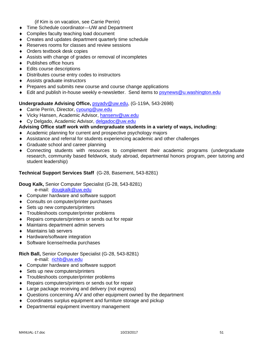(if Kim is on vacation, see Carrie Perrin)

- Time Schedule coordinator—UW and Department
- Compiles faculty teaching load document
- Creates and updates department quarterly time schedule
- ◆ Reserves rooms for classes and review sessions
- ◆ Orders textbook desk copies
- Assists with change of grades or removal of incompletes
- ◆ Publishes office hours
- ◆ Edits course descriptions
- Distributes course entry codes to instructors
- Assists graduate instructors
- ◆ Prepares and submits new course and course change applications
- $\bullet$  Edit and publish in-house weekly e-newsletter. Send items to psynews@u.washington.edu

# **Undergraduate Advising Office,** psyadv@uw.edu, (G-119A, 543-2698)

- ◆ Carrie Perrin, Director, cyoung@uw.edu
- ◆ Vicky Hansen, Academic Advisor, hansenv@uw.edu
- ◆ Cy Delgado, Academic Advisor, delgadoc@uw.edu

# **Advising Office staff work with undergraduate students in a variety of ways, including:**

- Academic planning for current and prospective psychology majors
- Assistance and referral for students experiencing academic and other challenges
- ◆ Graduate school and career planning
- Connecting students with resources to complement their academic programs (undergraduate research, community based fieldwork, study abroad, departmental honors program, peer tutoring and student leadership)

# **Technical Support Services Staff** (G-28, Basement, 543-8281)

# **Doug Kalk,** Senior Computer Specialist (G-28, 543-8281)

e-mail: dougkalk@uw.edu

- ◆ Computer hardware and software support
- ◆ Consults on computer/printer purchases
- ◆ Sets up new computers/printers
- Troubleshoots computer/printer problems
- ◆ Repairs computers/printers or sends out for repair
- Maintains department admin servers
- Maintains lab servers
- ◆ Hardware/software integration
- ◆ Software license/media purchases

# **Rich Ball,** Senior Computer Specialist (G-28, 543-8281)

e-mail: richb@uw.edu

- ◆ Computer hardware and software support
- ◆ Sets up new computers/printers
- Troubleshoots computer/printer problems
- ◆ Repairs computers/printers or sends out for repair
- Large package receiving and delivery (not express)
- ◆ Questions concerning A/V and other equipment owned by the department
- Coordinates surplus equipment and furniture storage and pickup
- ◆ Departmental equipment inventory management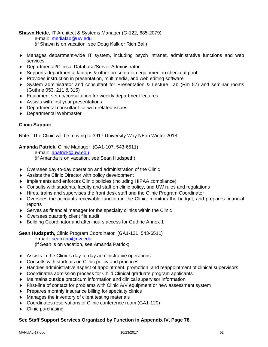**Shawn Heide**, IT Architect & Systems Manager (G-122, 685-2079)

e-mail: medialab@uw.edu

- (if Shawn is on vacation, see Doug Kalk or Rich Ball)
- Manages department-wide IT system, including psych intranet, administrative functions and web services
- Departmental/Clinical Database/Server Administrator
- Supports departmental laptops & other presentation equipment in checkout pool
- Provides instruction in presentation, multimedia, and web editing software
- System administrator and consultant for Presentation & Lecture Lab (Rm 57) and seminar rooms (Guthrie 053, 211 & 315)
- Equipment set up/consultation for weekly department lectures
- Assists with first year presentations
- Departmental consultant for web-related issues
- Departmental Webmaster

# **Clinic Support**

Note: The Clinic will be moving to 3917 University Way NE in Winter 2018

# **Amanda Patrick,** Clinic Manager (GA1-107, 543-6511)

 e-mail: apatrick@uw.edu (if Amanda is on vacation, see Sean Hudspeth)

- Oversees day-to-day operation and administration of the Clinic
- Assists the Clinic Director with policy development
- Implements and enforces Clinic policies (including HIPAA compliance)
- Consults with students, faculty and staff on clinic policy, and UW rules and regulations
- Hires, trains and supervises the front desk staff and the Clinic Program Coordinator
- Oversees the accounts receivable function in the Clinic, monitors the budget, and prepares financial reports
- Serves as financial manager for the specialty clinics within the Clinic
- Oversees quarterly client file audit
- Building Coordinator and after-hours access for Guthrie Annex 1

# **Sean Hudspeth,** Clinic Program Coordinator (GA1-121, 543-6511)

 e-mail: seanxiao@uw.edu (if Sean is on vacation, see Amanda Patrick)

- Assists in the Clinic's day-to-day administrative operations
- ◆ Consults with students on Clinic policy and practices
- Handles administrative aspect of appointment, promotion, and reappointment of clinical supervisors
- Coordinates admission process for Child Clinical graduate program applicants
- Maintains outside practicum information and clinical supervisor information
- First-line of contact for problems with Clinic A/V equipment or new assessment system
- Prepares monthly insurance billing for specialty clinics
- Manages the inventory of client testing materials
- Coordinates reservations of Clinic conference room (GA1-120)
- $\triangleleft$  Clinic purchasing

# **See Staff Support Services Organized by Function in Appendix IV, Page 78.**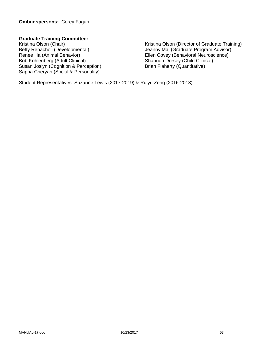# **Ombudspersons:** Corey Fagan

# **Graduate Training Committee:**

Susan Joslyn (Cognition & Perception) Sapna Cheryan (Social & Personality)

Kristina Olson (Chair)<br>
Betty Repacholi (Developmental) Setty Repacholi (Developmental) Setty Repacholi (Developmental) Jeanny Mai (Graduate Program Advisor) Renee Ha (Animal Behavior)<br>
Bob Kohlenberg (Adult Clinical)<br>
Shannon Dorsey (Child Clinical)<br>
Shannon Dorsey (Child Clinical) Shannon Dorsey (Child Clinical)<br>Brian Flaherty (Quantitative)

Student Representatives: Suzanne Lewis (2017-2019) & Ruiyu Zeng (2016-2018)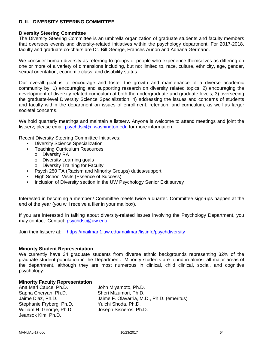# **D. II. DIVERSITY STEERING COMMITTEE**

#### **Diversity Steering Committee**

The Diversity Steering Committee is an umbrella organization of graduate students and faculty members that oversees events and diversity-related initiatives within the psychology department. For 2017-2018, faculty and graduate co-chairs are Dr. Bill George, Frances Aunon and Adriana Germano.

We consider human diversity as referring to groups of people who experience themselves as differing on one or more of a variety of dimensions including, but not limited to, race, culture, ethnicity, age, gender, sexual orientation, economic class, and disability status.

Our overall goal is to encourage and foster the growth and maintenance of a diverse academic community by: 1) encouraging and supporting research on diversity related topics; 2) encouraging the development of diversity related curriculum at both the undergraduate and graduate levels; 3) overseeing the graduate-level Diversity Science Specialization; 4) addressing the issues and concerns of students and faculty within the department on issues of enrollment, retention, and curriculum, as well as larger societal concerns.

We hold quarterly meetings and maintain a listserv. Anyone is welcome to attend meetings and joint the listserv; please email psychdsc@u.washington.edu for more information.

Recent Diversity Steering Committee Initiatives:

- Diversity Science Specialization
- Teaching Curriculum Resources
	- o Diversity RA
	- o Diversity Learning goals
	- o Diversity Training for Faculty
- Psych 250 TA (Racism and Minority Groups) duties/support
- High School Visits (Essence of Success)
- Inclusion of Diversity section in the UW Psychology Senior Exit survey

Interested in becoming a member? Committee meets twice a quarter. Committee sign-ups happen at the end of the year (you will receive a flier in your mailbox).

If you are interested in talking about diversity-related issues involving the Psychology Department, you may contact: Contact: psychdsc@uw.edu

Join their listserv at: https://mailman1.uw.edu/mailman/listinfo/psychdiversity

#### **Minority Student Representation**

We currently have 34 graduate students from diverse ethnic backgrounds representing 32% of the graduate student population in the Department. Minority students are found in almost all major areas of the department, although they are most numerous in clinical, child clinical, social, and cognitive psychology.

#### **Minority Faculty Representation**

Ana Mari Cauce, Ph.D. John Miyamoto, Ph.D. Sapna Cheryan, Ph.D. Sheri Mizumori, Ph.D. Stephanie Fryberg, Ph.D. Yuichi Shoda, Ph.D. William H. George, Ph.D. Joseph Sisneros, Ph.D. Jeansok Kim, Ph.D.

Jaime Diaz, Ph.D. Jaime F. Olavarria, M.D., Ph.D. (emeritus)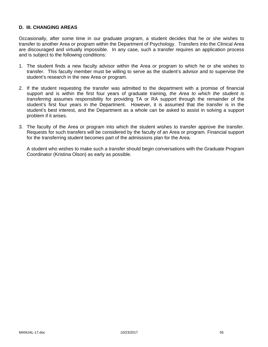# **D. III. CHANGING AREAS**

Occasionally, after some time in our graduate program, a student decides that he or she wishes to transfer to another Area or program within the Department of Psychology. Transfers into the Clinical Area are discouraged and virtually impossible. In any case, such a transfer requires an application process and is subject to the following conditions:

- 1. The student finds a new faculty advisor within the Area or program to which he or she wishes to transfer. This faculty member must be willing to serve as the student's advisor and to supervise the student's research in the new Area or program.
- 2. If the student requesting the transfer was admitted to the department with a promise of financial support and is within the first four years of graduate training, *the Area to which the student is transferring* assumes responsibility for providing TA or RA support through the remainder of the student's first four years in the Department. However, it is assumed that the transfer is in the student's best interest, and the Department as a whole can be asked to assist in solving a support problem if it arises.
- 3. The faculty of the Area or program into which the student wishes to transfer approve the transfer. Requests for such transfers will be considered by the faculty of an Area or program. Financial support for the transferring student becomes part of the admissions plan for the Area.

 A student who wishes to make such a transfer should begin conversations with the Graduate Program Coordinator (Kristina Olson) as early as possible.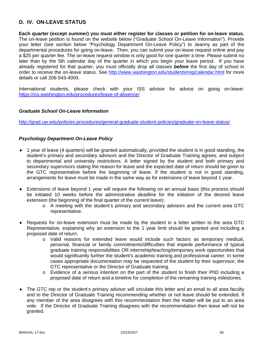# **D. IV. ON-LEAVE STATUS**

**Each quarter (except summer) you must either register for classes or petition for on-leave status.** The on-leave petition is found on the website below ("Graduate School On-Leave Information"). Provide your letter (see section below "Psychology Department On-Leave Policy") to Jeanny as part of the departmental procedures for going on-leave. Then, you can submit your on-leave request online and pay a \$25 per quarter fee. The on-leave request window is only good for one quarter a time. Please submit no later than by the 5th calendar day of the quarter in which you begin your leave period. If you have already registered for that quarter, you must officially drop all classes *before* the first day of school in order to receive the on-leave status. See http://www.washington.edu/students/reg/calendar.html for more details or call 206-543-4000.

International students, please check with your ISS advisor for advice on going on-leave: https://iss.washington.edu/procedures/leave-of-absence/

#### *Graduate School On-Leave Information*

http://grad.uw.edu/policies-procedures/general-graduate-student-policies/graduate-on-leave-status/

#### *Psychology Department On-Leave Policy*

- 1 year of leave (4 quarters) will be granted automatically, provided the student is in good standing, the student's primary and secondary advisors and the Director of Graduate Training agrees, and subject to departmental and university restrictions. A letter signed by the student and both primary and secondary supervisors stating the reason for leave and the expected date of return should be given to the GTC representative before the beginning of leave. If the student is not in good standing, arrangements for leave must be made in the same way as for extensions of leave beyond 1 year.
- Extensions of leave beyond 1 year will require the following on an annual basis (this process should be initiated 10 weeks before the administrative deadline for the initiation of the desired leave extension (the beginning of the final quarter of the current leave).
	- o A meeting with the student's primary and secondary advisors and the current area GTC representative.
- Requests for on-leave extension must be made by the student in a letter written to the area GTC Representative, explaining why an extension to the 1 year limit should be granted and including a proposed date of return.
	- o Valid reasons for extended leave would include such factors as temporary medical, personal, financial or family commitments/difficulties that impede performance of typical graduate training responsibilities OR internship/teaching/temporary work opportunities that would significantly further the student's academic training and professional career. In some cases appropriate documentation may be requested of the student by their supervisor, the GTC representative or the Director of Graduate training.
	- o Evidence of a serious intention on the part of the student to finish their PhD including a proposed date of return and a timeline for completion of the remaining training milestones.
- The GTC rep or the student's primary advisor will circulate this letter and an email to all area faculty and to the Director of Graduate Training recommending whether or not leave should be extended. If any member of the area disagrees with this recommendation then the matter will be put to an area vote. If the Director of Graduate Training disagrees with the recommendation then leave will not be granted.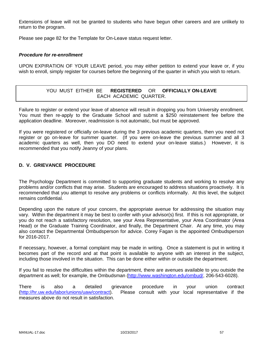Extensions of leave will not be granted to students who have begun other careers and are unlikely to return to the program.

Please see page 82 for the Template for On-Leave status request letter.

#### *Procedure for re-enrollment*

UPON EXPIRATION OF YOUR LEAVE period, you may either petition to extend your leave or, if you wish to enroll, simply register for courses before the beginning of the quarter in which you wish to return.

# YOU MUST EITHER BE **REGISTERED** OR **OFFICIALLY ON-LEAVE** EACH ACADEMIC QUARTER.

Failure to register or extend your leave of absence will result in dropping you from University enrollment. You must then re-apply to the Graduate School and submit a \$250 reinstatement fee before the application deadline. Moreover, readmission is not automatic, but must be approved.

If you were registered or officially on-leave during the 3 previous academic quarters, then you need not register or go on-leave for summer quarter. (If you were on-leave the previous summer and all 3 academic quarters as well, then you DO need to extend your on-leave status.) However, it is recommended that you notify Jeanny of your plans.

# **D. V. GRIEVANCE PROCEDURE**

The Psychology Department is committed to supporting graduate students and working to resolve any problems and/or conflicts that may arise. Students are encouraged to address situations proactively. It is recommended that you attempt to resolve any problems or conflicts informally. At this level, the subject remains confidential.

Depending upon the nature of your concern, the appropriate avenue for addressing the situation may vary. Within the department it may be best to confer with your advisor(s) first. If this is not appropriate, or you do not reach a satisfactory resolution, see your Area Representative, your Area Coordinator (Area Head) or the Graduate Training Coordinator, and finally, the Department Chair. At any time, you may also contact the Departmental Ombudsperson for advice. Corey Fagan is the appointed Ombudsperson for 2016-2017.

If necessary, however, a formal complaint may be made in writing. Once a statement is put in writing it becomes part of the record and at that point is available to anyone with an interest in the subject, including those involved in the situation. This can be done either within or outside the department.

If you fail to resolve the difficulties within the department, there are avenues available to you outside the department as well; for example, the Ombudsman (http://www.washington.edu/ombud/, 206-543-6028).

There is also a detailed grievance procedure in your union contract (http://hr.uw.edu/labor/unions/uaw/contract). Please consult with your local representative if the measures above do not result in satisfaction.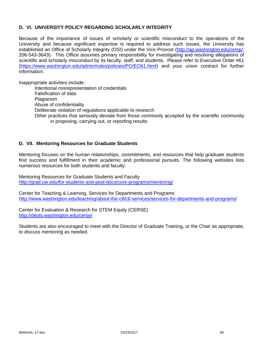# **D. VI. UNIVERSITY POLICY REGARDING SCHOLARLY INTEGRITY**

Because of the importance of issues of scholarly or scientific misconduct to the operations of the University and because significant expertise is required to address such issues, the University has established an Office of Scholarly Integrity (OSI) under the Vice Provost (http://ap.washington.edu/ormp/, 206-543-3643). This Office assumes primary responsibility for investigating and resolving allegations of scientific and scholarly misconduct by its faculty, staff, and students. Please refer to Executive Order #61 (https://www.washington.edu/admin/rules/policies/PO/EO61.html) and your union contract for further information.

Inappropriate activities include:

Intentional misrepresentation of credentials Falsification of data Plagiarism Abuse of confidentiality Deliberate violation of regulations applicable to research Other practices that seriously deviate from those commonly accepted by the scientific community in proposing, carrying out, or reporting results

# **D. VII. Mentoring Resources for Graduate Students**

Mentoring focuses on the human relationships, commitments, and resources that help graduate students find success and fulfillment in their academic and professional pursuits. The following websites lists numerous resources for both students and faculty.

Mentoring Resources for Graduate Students and Faculty http://grad.uw.edu/for-students-and-post-docs/core-programs/mentoring/

Center for Teaching & Learning, Services for Departments and Programs http://www.washington.edu/teaching/about-the-ctl/ctl-services/services-for-departments-and-programs/

Center for Evaluation & Research for STEM Equity (CERSE) http://depts.washington.edu/cerse/

Students are also encouraged to meet with the Director of Graduate Training, or the Chair as appropriate, to discuss mentoring as needed.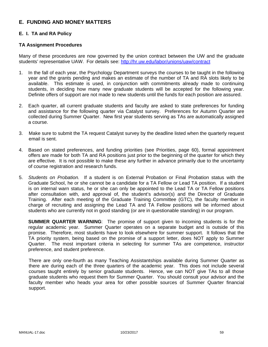# **E. FUNDING AND MONEY MATTERS**

# **E. I. TA and RA Policy**

# **TA Assignment Procedures**

Many of these procedures are now governed by the union contract between the UW and the graduate students' representative UAW. For details see: http://hr.uw.edu/labor/unions/uaw/contract

- 1. In the fall of each year, the Psychology Department surveys the courses to be taught in the following year and the grants pending and makes an estimate of the number of TA and RA slots likely to be available. This estimate is used, in conjunction with commitments already made to continuing students, in deciding how many new graduate students will be accepted for the following year. Definite offers of support are not made to new students until the funds for each position are assured.
- 2. Each quarter, all current graduate students and faculty are asked to state preferences for funding and assistance for the following quarter via Catalyst survey. Preferences for Autumn Quarter are collected during Summer Quarter. New first year students serving as TAs are automatically assigned a course.
- 3. Make sure to submit the TA request Catalyst survey by the deadline listed when the quarterly request email is sent.
- 4. Based on stated preferences, and funding priorities (see Priorities, page 60), formal appointment offers are made for both TA and RA positions just prior to the beginning of the quarter for which they are effective. It is not possible to make these any further in advance primarily due to the uncertainty of course registration and research funds.
- 5. *Students on Probation.* If a student is on External Probation or Final Probation status with the Graduate School, he or she cannot be a candidate for a TA Fellow or Lead TA position. If a student is on internal warn status, he or she can only be appointed to the Lead TA or TA Fellow positions after consultation with, and approval of, the student's advisor(s) and the Director of Graduate Training. After each meeting of the Graduate Training Committee (GTC), the faculty member in charge of recruiting and assigning the Lead TA and TA Fellow positions will be informed about students who are currently not in good standing (or are in questionable standing) in our program.

**SUMMER QUARTER WARNING**: The promise of support given to incoming students is for the regular academic year. Summer Quarter operates on a separate budget and is outside of this promise. Therefore, most students have to look elsewhere for summer support. It follows that the TA priority system, being based on the promise of a support letter, does NOT apply to Summer Quarter. The most important criteria in selecting for summer TAs are competence, instructor preference, and student preference.

There are only one-fourth as many Teaching Assistantships available during Summer Quarter as there are during each of the three quarters of the academic year. This does not include several courses taught entirely by senior graduate students. Hence, we can NOT give TAs to all those graduate students who request them for Summer Quarter. You should consult your advisor and the faculty member who heads your area for other possible sources of Summer Quarter financial support.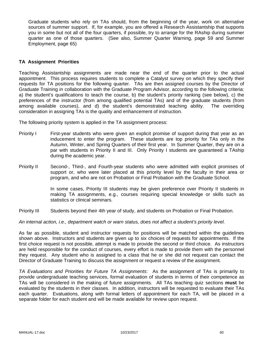Graduate students who rely on TAs should, from the beginning of the year, work on alternative sources of summer support. If, for example, you are offered a Research Assistantship that supports you in some but not all of the four quarters, if possible, try to arrange for the RAship during summer quarter as one of those quarters. (See also, Summer Quarter Warning, page 59 and Summer Employment, page 65)

# **TA Assignment Priorities**

Teaching Assistantship assignments are made near the end of the quarter prior to the actual appointment. This process requires students to complete a Catalyst survey on which they specify their requests for TA positions for the following quarter. TAs are then assigned courses by the Director of Graduate Training in collaboration with the Graduate Program Advisor, according to the following criteria: a) the student's qualifications to teach the course, b) the student's priority ranking (see below), c) the preferences of the instructor (from among qualified potential TAs) and of the graduate students (from among available courses), and d) the student's demonstrated teaching ability. The overriding consideration in assigning TAs is the quality and enhancement of instruction.

The following priority system is applied in the TA assignment process:

- Priority I First-year students who were given an explicit promise of support during that year as an inducement to enter the program. These students are top priority for TAs only in the Autumn, Winter, and Spring Quarters of their first year. In Summer Quarter, they are on a par with students in Priority II and III. Only Priority I students are guaranteed a TAship during the academic year.
- Priority II Second-, Third-, and Fourth-year students who were admitted with explicit promises of support or, who were later placed at this priority level by the faculty in their area or program, and who are not on Probation or Final Probation with the Graduate School.

In some cases, Priority III students may be given preference over Priority II students in making TA assignments, e.g., courses requiring special knowledge or skills such as statistics or clinical seminars.

Priority III Students beyond their 4th year of study, and students on Probation or Final Probation.

*An internal action, i.e., department watch or warn status, does not affect a student's priority level.* 

As far as possible, student and instructor requests for positions will be matched within the guidelines shown above. Instructors and students are given up to six choices of requests for appointments. If the first choice request is not possible, attempt is made to provide the second or third choice. As instructors are held responsible for the conduct of courses, every effort is made to provide them with the personnel they request. Any student who is assigned to a class that he or she did not request can contact the Director of Graduate Training to discuss the assignment or request a review of the assignment.

*TA Evaluations and Priorities for Future TA Assignments*: As the assignment of TAs is primarily to provide undergraduate teaching services, formal evaluation of students in terms of their competence as TAs will be considered in the making of future assignments. All TAs teaching quiz sections **must** be evaluated by the students in their classes. In addition, instructors will be requested to evaluate their TAs each quarter. Evaluations, along with formal letters of appointment for each TA, will be placed in a separate folder for each student and will be made available for review upon request.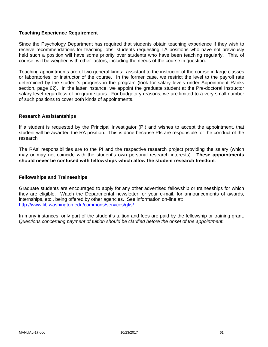# **Teaching Experience Requirement**

Since the Psychology Department has required that students obtain teaching experience if they wish to receive recommendations for teaching jobs, students requesting TA positions who have not previously held such a position will have some priority over students who have been teaching regularly. This, of course, will be weighed with other factors, including the needs of the course in question.

Teaching appointments are of two general kinds: assistant to the instructor of the course in large classes or laboratories; or instructor of the course. In the former case, we restrict the level to the payroll rate determined by the student's progress in the program (look for salary levels under Appointment Ranks section, page 62). In the latter instance, we appoint the graduate student at the Pre-doctoral Instructor salary level regardless of program status. For budgetary reasons, we are limited to a very small number of such positions to cover both kinds of appointments.

#### **Research Assistantships**

If a student is requested by the Principal Investigator (PI) and wishes to accept the appointment, that student will be awarded the RA position. This is done because PIs are responsible for the conduct of the research

The RAs' responsibilities are to the PI and the respective research project providing the salary (which may or may not coincide with the student's own personal research interests). **These appointments should never be confused with fellowships which allow the student research freedom**.

#### **Fellowships and Traineeships**

Graduate students are encouraged to apply for any other advertised fellowship or traineeships for which they are eligible. Watch the Departmental newsletter, or your e-mail, for announcements of awards, internships, etc., being offered by other agencies. See information on-line at: http://www.lib.washington.edu/commons/services/gfis/

In many instances, only part of the student's tuition and fees are paid by the fellowship or training grant. *Questions concerning payment of tuition should be clarified before the onset of the appointment.*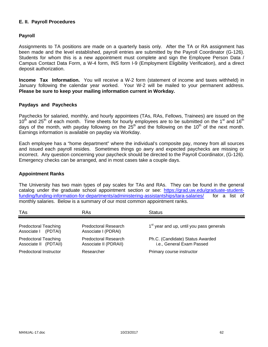# **E. II. Payroll Procedures**

# **Payroll**

Assignments to TA positions are made on a quarterly basis only. After the TA or RA assignment has been made and the level established, payroll entries are submitted by the Payroll Coordinator (G-126). Students for whom this is a new appointment must complete and sign the Employee Person Data / Campus Contact Data Form, a W-4 form, INS form I-9 (Employment Eligibility Verification), and a direct deposit authorization.

**Income Tax Information.** You will receive a W-2 form (statement of income and taxes withheld) in January following the calendar year worked. Your W-2 will be mailed to your permanent address. **Please be sure to keep your mailing information current in Workday.**

#### **Paydays and Paychecks**

Paychecks for salaried, monthly, and hourly appointees (TAs, RAs, Fellows, Trainees) are issued on the  $10<sup>th</sup>$  and 25<sup>th</sup> of each month. Time sheets for hourly employees are to be submitted on the 1<sup>st</sup> and 16<sup>th</sup> days of the month, with payday following on the  $25<sup>th</sup>$  and the following on the 10<sup>th</sup> of the next month. Earnings information is available on payday via Workday.

Each employee has a "home department" where the individual's composite pay, money from all sources and issued each payroll resides. Sometimes things go awry and expected paychecks are missing or incorrect. Any question concerning your paycheck should be directed to the Payroll Coordinator, (G-126). Emergency checks can be arranged, and in most cases take a couple days.

#### **Appointment Ranks**

The University has two main types of pay scales for TAs and RAs. They can be found in the general catalog under the graduate school appointment section or see: https://grad.uw.edu/graduate-studentfunding/funding-information-for-departments/administering-assistantships/tara-salaries/ for a list of monthly salaries. Below is a summary of our most common appointment ranks.

| TAs                                                  | <b>RAs</b>                                    | <b>Status</b>                                                 |
|------------------------------------------------------|-----------------------------------------------|---------------------------------------------------------------|
| <b>Predoctoral Teaching</b><br>Associate I (PDTAI)   | Predoctoral Research<br>Associate I (PDRAI)   | 1 <sup>st</sup> year and up, until you pass generals          |
| <b>Predoctoral Teaching</b><br>Associate II (PDTAII) | Predoctoral Research<br>Associate II (PDRAII) | Ph.C. (Candidate) Status Awarded<br>i.e., General Exam Passed |
| Predoctoral Instructor                               | Researcher                                    | Primary course instructor                                     |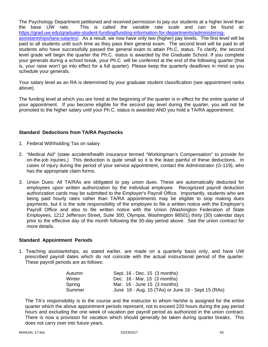The Psychology Department petitioned and received permission to pay our students at a higher level than the base UW rate. This is called the variable rate scale and can be found at: https://grad.uw.edu/graduate-student-funding/funding-information-for-departments/administeringassistantships/tara-salaries/. As a result, we now have only two (higher) pay levels. The first level will be paid to all students until such time as they pass their general exam. The second level will be paid to all students who have successfully passed the general exam to attain Ph.C. status. To clarify, the second level grade will begin the quarter the Ph.C. status is awarded by the Graduate School. If you complete your generals during a school break, your Ph.C. will be conferred at the end of the following quarter (that is, your raise won't go into effect for a full quarter). Please keep the quarterly deadlines in mind as you schedule your generals.

Your salary level as an RA is determined by your graduate student classification (see appointment ranks above).

The funding level at which you are hired at the beginning of the quarter is in effect for the entire quarter of your appointment. If you become eligible for the second pay level during the quarter, you will not be promoted to the higher salary until your Ph.C. status is awarded AND you hold a TA/RA appointment.

# **Standard Deductions from TA/RA Paychecks**

- 1. Federal Withholding Tax on salary
- 2. "Medical Aid" (state accident/health insurance termed "Workingman's Compensation" to provide for on-the-job injuries.) This deduction is quite small so it is the least painful of these deductions. In cases of injury during the period of your service appointment, contact the Administrator (G-119), who has the appropriate claim forms.
- 3. Union Dues: All TA/RAs are obligated to pay union dues. These are automatically deducted for employees upon written authorization by the individual employee. Recognized payroll deduction authorization cards may be submitted to the Employer's Payroll Office. Importantly, students who are being paid hourly rates rather than TA/RA appointments may be eligible to stop making dues payments, but it is the sole responsibility of the employee to file a written notice with the Employer's Payroll Office and also to file written notice with the Union (Washington Federation of State Employees, 1212 Jefferson Street, Suite 300, Olympia, Washington 98501) thirty (30) calendar days prior to the effective day of the month following the 30-day period above. See the union contract for more details.

# **Standard Appointment Periods**

1. Teaching assistantships, as stated earlier, are made on a quarterly basis only, and have UW prescribed payroll dates which do not coincide with the actual instructional period of the quarter. These payroll periods are as follows:

| Sept. 16 - Dec. 15 (3 months)                      |
|----------------------------------------------------|
| Dec. 16 - Mar. 15 (3 months)                       |
| Mar. $16$ - June $15$ (3 months)                   |
| June 16 - Aug. 15 (TAs) or June 16 - Sept 15 (RAs) |
|                                                    |

The TA's responsibility is to the course and the instructor to whom he/she is assigned for the entire quarter which the above appointment periods represent, not to exceed 220 hours during the pay period hours and excluding the one week of vacation per payroll period as authorized in the union contract. There is now a provision for vacation which should generally be taken during quarter breaks. This does not carry over into future years.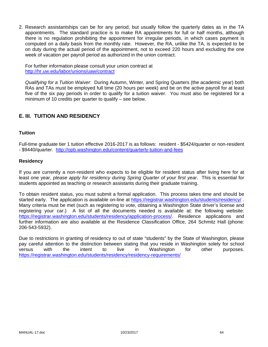2. Research assistantships can be for any period, but usually follow the quarterly dates as in the TA appointments. The standard practice is to make RA appointments for full or half months, although there is no regulation prohibiting the appointment for irregular periods, in which cases payment is computed on a daily basis from the monthly rate. However, the RA, unlike the TA, is expected to be on duty during the actual period of the appointment, not to exceed 220 hours and excluding the one week of vacation per payroll period as authorized in the union contract.

For further information please consult your union contract at http://hr.uw.edu/labor/unions/uaw/contract

*Qualifying for a Tuition Waiver*: During Autumn, Winter, and Spring Quarters (the academic year) both RAs and TAs must be employed full time (20 hours per week) and be on the active payroll for at least five of the six pay periods in order to qualify for a tuition waiver. You must also be registered for a minimum of 10 credits per quarter to qualify – see below.

# **E. III. TUITION AND RESIDENCY**

#### **Tuition**

Full-time graduate tier 1 tuition effective 2016-2017 is as follows: resident - \$5424/quarter or non-resident - \$9440/quarter. http://opb.washington.edu/content/quarterly-tuition-and-fees

#### **Residency**

If you are currently a non-resident who expects to be eligible for resident status after living here for at least one year, *please apply for residency during Spring Quarter of your first year*. This is essential for students appointed as teaching or research assistants during their graduate training.

To obtain resident status, you must submit a formal application. This process takes time and should be started early. The application is available on-line at https://registrar.washington.edu/students/residency/ Many criteria must be met (such as registering to vote, obtaining a Washington State driver's license and registering your car.) A list of all the documents needed is available at: the following website: https://registrar.washington.edu/students/residency/application-process/. Residence applications and further information are also available at the Residence Classification Office, 264 Schmitz Hall (phone: 206-543-5932).

Due to restrictions in granting of residency to out of state "students" by the State of Washington, please pay careful attention to the distinction between stating that you reside in Washington solely for school versus with the intent to live in Washington for other purposes. https://registrar.washington.edu/students/residency/residency-requirements/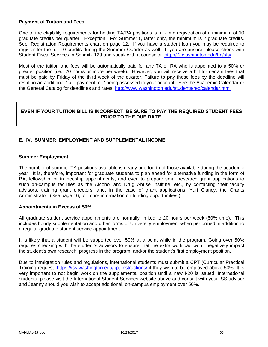#### **Payment of Tuition and Fees**

One of the eligibility requirements for holding TA/RA positions is full-time registration of a minimum of 10 graduate credits per quarter. Exception: For Summer Quarter only, the minimum is 2 graduate credits. See: Registration Requirements chart on page 12. If you have a student loan you may be required to register for the full 10 credits during the Summer Quarter as well. If you are unsure, please check with Student Fiscal Services in Schmitz 129 and speak with a counselor. http://f2.washington.edu/fm/sfs/

Most of the tuition and fees will be automatically paid for any TA or RA who is appointed to a 50% or greater position (i.e., 20 hours or more per week). However, you will receive a bill for certain fees that must be paid by Friday of the third week of the quarter. Failure to pay these fees by the deadline will result in an additional "late payment fee" being assessed to your account. See the Academic Calendar or the General Catalog for deadlines and rates. http://www.washington.edu/students/reg/calendar.html

# **EVEN IF YOUR TUITION BILL IS INCORRECT, BE SURE TO PAY THE REQUIRED STUDENT FEES PRIOR TO THE DUE DATE.**

# **E. IV. SUMMER EMPLOYMENT AND SUPPLEMENTAL INCOME**

# **Summer Employment**

The number of summer TA positions available is nearly one fourth of those available during the academic year. It is, therefore, important for graduate students to plan ahead for alternative funding in the form of RA, fellowship, or traineeship appointments, and even to prepare small research grant applications to such on-campus facilities as the Alcohol and Drug Abuse Institute, etc., by contacting their faculty advisors, training grant directors, and, in the case of grant applications, Yuri Clancy, the Grants Administrator. (See page 16, for more information on funding opportunities.)

#### **Appointments in Excess of 50%**

All graduate student service appointments are normally limited to 20 hours per week (50% time). This includes hourly supplementation and other forms of University employment when performed in addition to a regular graduate student service appointment.

It is likely that a student will be supported over 50% at a point while in the program. Going over 50% requires checking with the student's advisors to ensure that the extra workload won't negatively impact the student's own research, progress in the program, and/or the student's first employment position.

Due to immigration rules and regulations, international students must submit a CPT (Curricular Practical Training request: https://iss.washington.edu/cpt-instructions/ if they wish to be employed above 50%. It is very important to not begin work on the supplemental position until a new I-20 is issued. International students, please visit the International Student Services website above and consult with your ISS advisor and Jeanny should you wish to accept additional, on-campus employment over 50%.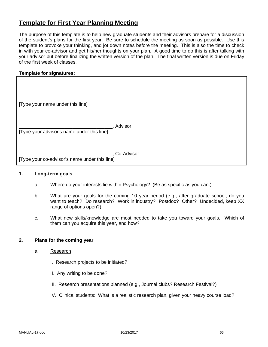# **Template for First Year Planning Meeting**

The purpose of this template is to help new graduate students and their advisors prepare for a discussion of the student's plans for the first year. Be sure to schedule the meeting as soon as possible. Use this template to provoke your thinking, and jot down notes before the meeting. This is also the time to check in with your co-advisor and get his/her thoughts on your plan. A good time to do this is after talking with your advisor but before finalizing the written version of the plan. The final written version is due on Friday of the first week of classes.

# **Template for signatures:**

| [Type your name under this line] |  |
|----------------------------------|--|

\_\_\_\_\_\_\_\_\_\_\_\_\_\_\_\_\_\_\_\_\_\_\_\_\_\_\_\_\_\_\_\_\_\_\_, Advisor [Type your advisor's name under this line]

\_\_\_\_\_\_\_\_\_\_\_\_\_\_\_\_\_\_\_\_\_\_\_\_\_\_\_\_\_\_\_\_\_\_\_, Co-Advisor

[Type your co-advisor's name under this line]

#### **1. Long-term goals**

- a. Where do your interests lie within Psychology? (Be as specific as you can.)
- b. What are your goals for the coming 10 year period (e.g., after graduate school, do you want to teach? Do research? Work in industry? Postdoc? Other? Undecided, keep XX range of options open?)
- c. What new skills/knowledge are most needed to take you toward your goals. Which of them can you acquire this year, and how?

#### **2. Plans for the coming year**

- a. Research
	- I. Research projects to be initiated?
	- II. Any writing to be done?
	- III. Research presentations planned (e.g., Journal clubs? Research Festival?)
	- IV. Clinical students: What is a realistic research plan, given your heavy course load?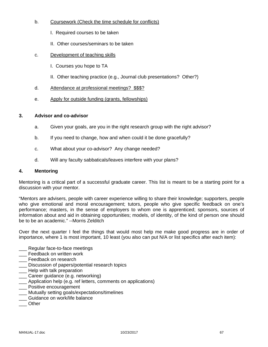# b. Coursework (Check the time schedule for conflicts)

- I. Required courses to be taken
- II. Other courses/seminars to be taken
- c. Development of teaching skills
	- I. Courses you hope to TA
	- II. Other teaching practice (e.g., Journal club presentations? Other?)
- d. Attendance at professional meetings? \$\$\$?
- e. Apply for outside funding (grants, fellowships)

# **3. Advisor and co-advisor**

- a. Given your goals, are you in the right research group with the right advisor?
- b. If you need to change, how and when could it be done gracefully?
- c. What about your co-advisor? Any change needed?
- d. Will any faculty sabbaticals/leaves interfere with your plans?

# **4. Mentoring**

Mentoring is a critical part of a successful graduate career. This list is meant to be a starting point for a discussion with your mentor.

"Mentors are advisers, people with career experience willing to share their knowledge; supporters, people who give emotional and moral encouragement; tutors, people who give specific feedback on one's performance; masters, in the sense of employers to whom one is apprenticed; sponsors, sources of information about and aid in obtaining opportunities; models, of identity, of the kind of person one should be to be an academic." --Morris Zelditch

Over the next quarter I feel the things that would most help me make good progress are in order of importance, where 1 is most important, 10 least (you also can put N/A or list specifics after each item):

- Regular face-to-face meetings
- \_\_\_ Feedback on written work
- **\_\_\_** Feedback on research
- \_\_\_ Discussion of papers/potential research topics
- **\_\_\_** Help with talk preparation
- Career guidance (e.g. networking)
- \_\_\_ Application help (e.g. ref letters, comments on applications)
- \_\_\_ Positive encouragement
- \_\_\_ Mutually setting goals/expectations/timelines
- \_\_\_ Guidance on work/life balance
- \_\_\_ Other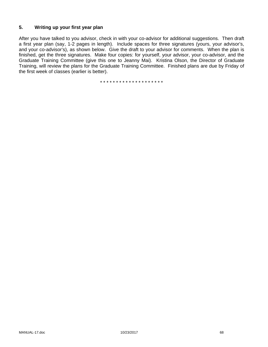# **5. Writing up your first year plan**

After you have talked to you advisor, check in with your co-advisor for additional suggestions. Then draft a first year plan (say, 1-2 pages in length). Include spaces for three signatures (yours, your advisor's, and your co-advisor's), as shown below. Give the draft to your advisor for comments. When the plan is finished, get the three signatures. Make four copies: for yourself, your advisor, your co-advisor, and the Graduate Training Committee (give this one to Jeanny Mai). Kristina Olson, the Director of Graduate Training, will review the plans for the Graduate Training Committee. Finished plans are due by Friday of the first week of classes (earlier is better).

\* \* \* \* \* \* \* \* \* \* \* \* \* \* \* \* \* \* \* \*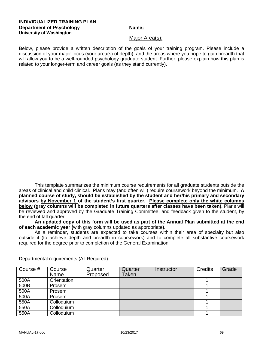#### **INDIVIDUALIZED TRAINING PLAN Department of Psychology Name:** Name: **University of Washington**

#### Major Area(s):

Below, please provide a written description of the goals of your training program. Please include a discussion of your major focus (your area(s) of depth), and the areas where you hope to gain breadth that will allow you to be a well-rounded psychology graduate student. Further, please explain how this plan is related to your longer-term and career goals (as they stand currently).

This template summarizes the minimum course requirements for all graduate students outside the areas of clinical and child clinical. Plans may (and often will) require coursework beyond the minimum. **A planned course of study, should be established by the student and her/his primary and secondary advisors by November 1 of the student's first quarter. Please complete only the white columns below (gray columns will be completed in future quarters after classes have been taken).** Plans will be reviewed and approved by the Graduate Training Committee, and feedback given to the student, by the end of fall quarter.

**An updated copy of this form will be used as part of the Annual Plan submitted at the end of each academic year (**with gray columns updated as appropriate**).** 

As a reminder, students are expected to take courses within their area of specialty but also outside it (to achieve depth and breadth in coursework) and to complete all substantive coursework required for the degree prior to completion of the General Examination.

| Course # | Course<br>Name | Quarter<br>Proposed | Quarter<br>Taken | Instructor | <b>Credits</b> | Grade |
|----------|----------------|---------------------|------------------|------------|----------------|-------|
| 500A     | Orientation    |                     |                  |            |                |       |
| 500B     | Prosem         |                     |                  |            |                |       |
| 500A     | Prosem         |                     |                  |            |                |       |
| 500A     | Prosem         |                     |                  |            |                |       |
| 550A     | Colloquium     |                     |                  |            |                |       |
| 550A     | Colloquium     |                     |                  |            |                |       |
| 550A     | Colloquium     |                     |                  |            |                |       |

Departmental requirements (All Required):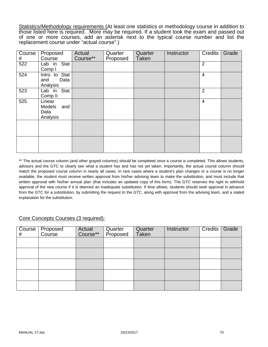Statistics/Methodology requirements (At least one statistics or methodology course in addition to those listed here is required. More may be required. If a student took the exam and passed out of one or more courses, add an asterisk next to the typical course number and list the replacement course under "actual course".)

| Course<br># | Proposed<br>Course                                 | Actual<br>Course** | Quarter<br>Proposed | Quarter<br><b>Taken</b> | Instructor | <b>Credits</b> | Grade |
|-------------|----------------------------------------------------|--------------------|---------------------|-------------------------|------------|----------------|-------|
| 522         | Lab in Stat<br>Comp I                              |                    |                     |                         |            | $\overline{2}$ |       |
| 524         | Intro to Stat<br>and<br>Data<br>Analysis           |                    |                     |                         |            | 4              |       |
| 523         | Lab in Stat<br>Comp <sub>II</sub>                  |                    |                     |                         |            | $\overline{2}$ |       |
| 525         | Linear<br><b>Models</b><br>and<br>Data<br>Analysis |                    |                     |                         |            | $\overline{4}$ |       |
|             |                                                    |                    |                     |                         |            |                |       |
|             |                                                    |                    |                     |                         |            |                |       |

\*\* The actual course column (and other grayed columns) should be completed once a course is completed. This allows students, advisors and the GTC to clearly see what a student has and has not yet taken. Importantly, the actual course column should match the proposed course column in nearly all cases. In rare cases where a student's plan changes or a course is no longer available, the student must receive written approval from his/her advising team to make the substitution, and must include that written approval with his/her annual plan (that includes an updated copy of this form). The GTC reserves the right to withhold approval of the new course if it is deemed an inadequate substitution. If time allows, students should seek approval in advance from the GTC for a substitution, by submitting the request to the GTC, along with approval from the advising team, and a stated explanation for the substitution.

# Core Concepts Courses (3 required):

| Course  <br># | Proposed<br>Course | Actual<br>Course** | Quarter<br>Proposed | Quarter<br>Taken | <b>Instructor</b> | <b>Credits</b> | Grade |
|---------------|--------------------|--------------------|---------------------|------------------|-------------------|----------------|-------|
|               |                    |                    |                     |                  |                   |                |       |
|               |                    |                    |                     |                  |                   |                |       |
|               |                    |                    |                     |                  |                   |                |       |
|               |                    |                    |                     |                  |                   |                |       |
|               |                    |                    |                     |                  |                   |                |       |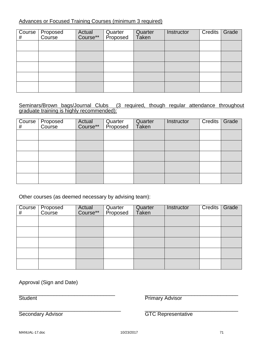# Advances or Focused Training Courses (minimum 3 required)

| # | Course Proposed<br>Course | Actual<br>Course** | Quarter<br>Proposed | Quarter<br>Taken | Instructor | Credits | Grade |
|---|---------------------------|--------------------|---------------------|------------------|------------|---------|-------|
|   |                           |                    |                     |                  |            |         |       |
|   |                           |                    |                     |                  |            |         |       |
|   |                           |                    |                     |                  |            |         |       |
|   |                           |                    |                     |                  |            |         |       |
|   |                           |                    |                     |                  |            |         |       |

# Seminars/Brown bags/Journal Clubs (3 required, though regular attendance throughout graduate training is highly recommended):

| $\overline{C}$ ourse<br># | Proposed<br>Course | Actual<br>Course** | Quarter<br>Proposed | Quarter<br>Taken | Instructor | Credits | Grade |
|---------------------------|--------------------|--------------------|---------------------|------------------|------------|---------|-------|
|                           |                    |                    |                     |                  |            |         |       |
|                           |                    |                    |                     |                  |            |         |       |
|                           |                    |                    |                     |                  |            |         |       |
|                           |                    |                    |                     |                  |            |         |       |
|                           |                    |                    |                     |                  |            |         |       |

Other courses (as deemed necessary by advising team):

| <b>Course</b><br># | Proposed<br>Course | Actual<br>Course** | Quarter<br>Proposed | Quarter<br>Taken | Instructor | Credits | Grade |
|--------------------|--------------------|--------------------|---------------------|------------------|------------|---------|-------|
|                    |                    |                    |                     |                  |            |         |       |
|                    |                    |                    |                     |                  |            |         |       |
|                    |                    |                    |                     |                  |            |         |       |
|                    |                    |                    |                     |                  |            |         |       |
|                    |                    |                    |                     |                  |            |         |       |

Approval (Sign and Date)

 $\overline{\phantom{a}}$  , and the contribution of the contribution of the contribution of the contribution of the contribution of the contribution of the contribution of the contribution of the contribution of the contribution of the Student **Primary Advisor** 

\_\_\_\_\_\_\_\_\_\_\_\_\_\_\_\_\_\_\_\_\_\_\_\_\_\_\_\_\_\_\_\_\_\_\_ \_\_\_\_\_\_\_\_\_\_\_\_\_\_\_\_\_\_\_\_\_\_\_\_\_\_\_\_\_\_\_\_

Secondary Advisor **GTC** Representative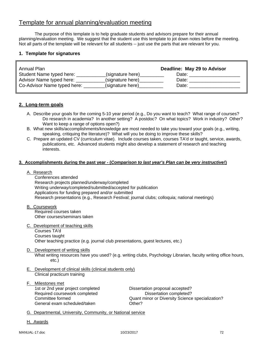# Template for annual planning/evaluation meeting

The purpose of this template is to help graduate students and advisors prepare for their annual planning/evaluation meeting. We suggest that the student use this template to jot down notes before the meeting. Not all parts of the template will be relevant for all students -- just use the parts that are relevant for you.

### **1. Template for signatures**

| Annual Plan                 |                  | Deadline: May 29 to Advisor |
|-----------------------------|------------------|-----------------------------|
| Student Name typed here:    | (signature here) | Date:                       |
| Advisor Name typed here:    | (signature here) | Date:                       |
| Co-Advisor Name typed here: | (signature here) | Date:                       |

### **2. Long-term goals**

- A. Describe your goals for the coming 5-10 year period (e.g., Do you want to teach? What range of courses? Do research in academia? In another setting? A postdoc? On what topics? Work in industry? Other? Want to keep a range of options open?)
- B. What new skills/accomplishments/knowledge are most needed to take you toward your goals (e.g., writing, speaking, critiquing the literature)? What will you be doing to improve these skills?
- C. Prepare an updated CV (curriculum vitae). Include courses taken, courses TA'd or taught, service, awards, publications, etc. Advanced students might also develop a statement of research and teaching interests.

#### **3. Accomplishments during the past year - (***Comparison to last year's Plan can be very instructive!***)**

#### A. Research

 Conferences attended Research projects planned/underway/completed Writing underway/completed/submitted/accepted for publication Applications for funding prepared and/or submitted Research presentations (e.g., Research Festival; journal clubs; colloquia; national meetings)

- B. Coursework Required courses taken Other courses/seminars taken
- C. Development of teaching skills Courses TA'd Courses taught Other teaching practice (e.g. journal club presentations, guest lectures, etc.)
- D. Development of writing skills

 What writing resources have you used? (e.g. writing clubs, Psychology Librarian, faculty writing office hours, etc.)

- E. Development of clinical skills (clinical students only) Clinical practicum training
- F. Milestones met 1st or 2nd year project completed Dissertation proposal accepted? Required coursework completed Dissertation completed? General exam scheduled/taken **Communists** Other?

Committee formed Quant minor or Diversity Science specialization?

- G. Departmental, University, Community, or National service
- H. Awards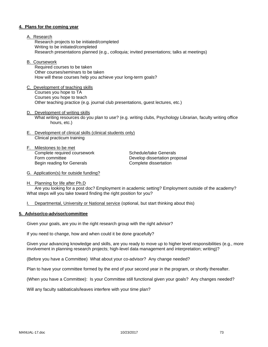#### **4. Plans for the coming year**

- A. Research Research projects to be initiated/completed Writing to be initiated/completed Research presentations planned (e.g., colloquia; invited presentations; talks at meetings)
- B. Coursework

 Required courses to be taken Other courses/seminars to be taken How will these courses help you achieve your long-term goals?

- C. Development of teaching skills Courses you hope to TA Courses you hope to teach Other teaching practice (e.g. journal club presentations, guest lectures, etc.)
- D. Development of writing skills What writing resources do you plan to use? (e.g. writing clubs, Psychology Librarian, faculty writing office hours, etc.)
- E. Development of clinical skills (clinical students only) Clinical practicum training
- F. Milestones to be met Complete required coursework Schedule/take Generals Form committee **Develop dissertation proposal** Begin reading for Generals **Complete** dissertation

- G. Application(s) for outside funding?
- H. Planning for life after Ph.D

 Are you looking for a post doc? Employment in academic setting? Employment outside of the academy? What steps will you take toward finding the right position for you?

I. Departmental, University or National service (optional, but start thinking about this)

#### **5. Advisor/co-advisor/committee**

Given your goals, are you in the right research group with the right advisor?

If you need to change, how and when could it be done gracefully?

Given your advancing knowledge and skills, are you ready to move up to higher level responsibilities (e.g., more involvement in planning research projects; high-level data management and interpretation; writing)?

(Before you have a Committee) What about your co-advisor? Any change needed?

Plan to have your committee formed by the end of your second year in the program, or shortly thereafter.

(When you have a Committee): Is your Committee still functional given your goals? Any changes needed?

Will any faculty sabbaticals/leaves interfere with your time plan?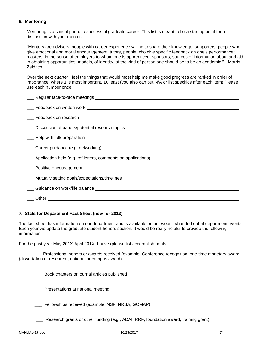### **6. Mentoring**

Mentoring is a critical part of a successful graduate career. This list is meant to be a starting point for a discussion with your mentor.

"Mentors are advisers, people with career experience willing to share their knowledge; supporters, people who give emotional and moral encouragement; tutors, people who give specific feedback on one's performance; masters, in the sense of employers to whom one is apprenticed; sponsors, sources of information about and aid in obtaining opportunities; models, of identity, of the kind of person one should be to be an academic." --Morris **Zelditch** 

Over the next quarter I feel the things that would most help me make good progress are ranked in order of importance, where 1 is most important, 10 least (you also can put N/A or list specifics after each item) Please use each number once:

| Career guidance (e.g. networking) example and the contract of the contract of the contract of the contract of the contract of the contract of the contract of the contract of the contract of the contract of the contract of |
|-------------------------------------------------------------------------------------------------------------------------------------------------------------------------------------------------------------------------------|
| ____ Application help (e.g. ref letters, comments on applications) _________________________________                                                                                                                          |
|                                                                                                                                                                                                                               |
|                                                                                                                                                                                                                               |
|                                                                                                                                                                                                                               |
|                                                                                                                                                                                                                               |
|                                                                                                                                                                                                                               |

#### **7. Stats for Department Fact Sheet (new for 2013)**

The fact sheet has information on our department and is available on our website/handed out at department events. Each year we update the graduate student honors section. It would be really helpful to provide the following information:

For the past year May 201X-April 201X, I have (please list accomplishments):

 \_\_\_ Professional honors or awards received (example: Conference recognition, one-time monetary award (dissertation or research), national or campus award).

\_\_\_ Book chapters or journal articles published

\_\_\_ Presentations at national meeting

Fellowships received (example: NSF, NRSA, GOMAP)

\_\_\_ Research grants or other funding (e.g., ADAI, RRF, foundation award, training grant)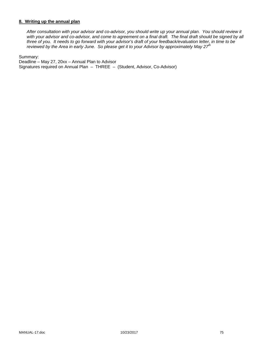### **8. Writing up the annual plan**

*After consultation with your advisor and co-advisor, you should write up your annual plan. You should review it*  with your advisor and co-advisor, and come to agreement on a final draft. The final draft should be signed by all *three of you. It needs to go forward with your advisor's draft of your feedback/evaluation letter, in time to be reviewed by the Area in early June. So please get it to your Advisor by approximately May 27th* 

Summary:

Deadline – May 27, 20xx – Annual Plan to Advisor Signatures required on Annual Plan – THREE – (Student, Advisor, Co-Advisor)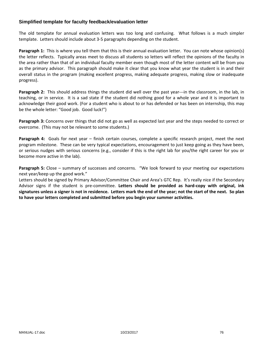## **Simplified template for faculty feedback/evaluation letter**

The old template for annual evaluation letters was too long and confusing. What follows is a much simpler template. Letters should include about 3‐5 paragraphs depending on the student.

**Paragraph 1:** This is where you tell them that this is their annual evaluation letter. You can note whose opinion(s) the letter reflects. Typically areas meet to discuss all students so letters will reflect the opinions of the faculty in the area rather than that of an individual faculty member even though most of the letter content will be from you as the primary advisor. This paragraph should make it clear that you know what year the student is in and their overall status in the program (making excellent progress, making adequate progress, making slow or inadequate progress).

**Paragraph 2:** This should address things the student did well over the past year---in the classroom, in the lab, in teaching, or in service. It is a sad state if the student did nothing good for a whole year and it is important to acknowledge their good work. (For a student who is about to or has defended or has been on internship, this may be the whole letter: "Good job. Good luck!")

**Paragraph 3:** Concerns over things that did not go as well as expected last year and the steps needed to correct or overcome. (This may not be relevant to some students.)

**Paragraph 4:** Goals for next year – finish certain courses, complete a specific research project, meet the next program milestone. These can be very typical expectations, encouragement to just keep going as they have been, or serious nudges with serious concerns (e.g., consider if this is the right lab for you/the right career for you or become more active in the lab).

**Paragraph 5:** Close – summary of successes and concerns. "We look forward to your meeting our expectations next year/keep up the good work."

Letters should be signed by Primary Advisor/Committee Chair and Area's GTC Rep. It's really nice if the Secondary Advisor signs if the student is pre‐committee. **Letters should be provided as hard‐copy with original, ink** signatures unless a signer is not in residence. Letters mark the end of the year; not the start of the next. So plan **to have your letters completed and submitted before you begin your summer activities.**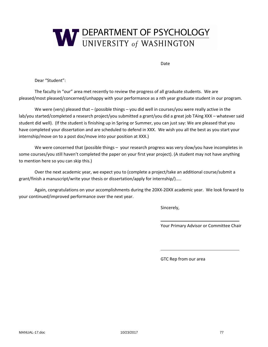

Date

Dear "Student":

The faculty in "our" area met recently to review the progress of all graduate students. We are pleased/most pleased/concerned/unhappy with your performance as a nth year graduate student in our program.

We were (very) pleased that – (possible things – you did well in courses/you were really active in the lab/you started/completed a research project/you submitted a grant/you did a great job TAing XXX – whatever said student did well). (If the student is finishing up in Spring or Summer, you can just say: We are pleased that you have completed your dissertation and are scheduled to defend in XXX. We wish you all the best as you start your internship/move on to a post doc/move into your position at XXX.)

We were concerned that (possible things – your research progress was very slow/you have incompletes in some courses/you still haven't completed the paper on your first year project). (A student may not have anything to mention here so you can skip this.)

Over the next academic year, we expect you to (complete a project/take an additional course/submit a grant/finish a manuscript/write your thesis or dissertation/apply for internship/)…..

Again, congratulations on your accomplishments during the 20XX‐20XX academic year. We look forward to your continued/improved performance over the next year.

<u> 1989 - Johann Stein, fransk politiker (d. 1989)</u>

<u> 1989 - John Stein, Amerikaansk politiker († 1989)</u>

Sincerely,

Your Primary Advisor or Committee Chair

GTC Rep from our area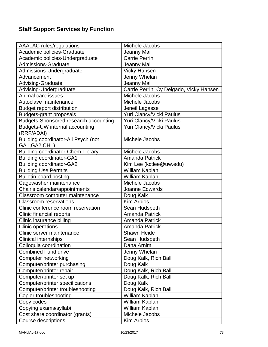# **Staff Support Services by Function**

| <b>AAALAC</b> rules/regulations              | Michele Jacobs                          |
|----------------------------------------------|-----------------------------------------|
| Academic policies-Graduate                   | Jeanny Mai                              |
| Academic policies-Undergraduate              | <b>Carrie Perrin</b>                    |
| <b>Admissions-Graduate</b>                   | Jeanny Mai                              |
| Admissions-Undergraduate                     | <b>Vicky Hansen</b>                     |
| Advancement                                  | Jenny Whelan                            |
| Advising-Graduate                            | Jeanny Mai                              |
| Advising-Undergraduate                       | Carrie Perrin, Cy Delgado, Vicky Hansen |
| Animal care issues                           | Michele Jacobs                          |
| Autoclave maintenance                        | Michele Jacobs                          |
| <b>Budget report distribution</b>            | Jeneil Lagasse                          |
| <b>Budgets-grant proposals</b>               | Yuri Clancy/Vicki Paulus                |
| <b>Budgets-Sponsored research accounting</b> | Yuri Clancy/Vicki Paulus                |
| Budgets-UW internal accounting<br>(RRF/ADAI) | Yuri Clancy/Vicki Paulus                |
| Building coordinator-All Psych (not          | Michele Jacobs                          |
| GA1, GA2, CHL)                               |                                         |
| <b>Building coordinator-Chem Library</b>     | Michele Jacobs                          |
| <b>Building coordinator-GA1</b>              | <b>Amanda Patrick</b>                   |
| <b>Building coordinator-GA2</b>              | Kim Lee (kctlee@uw.edu)                 |
| <b>Building Use Permits</b>                  | William Kaplan                          |
| <b>Bulletin board posting</b>                | William Kaplan                          |
| Cagewasher maintenance                       | Michele Jacobs                          |
| Chair's calendar/appointments                | Joanne Edwards                          |
| Classroom computer maintenance               | Doug Kalk                               |
| <b>Classroom reservations</b>                | <b>Kim Arbios</b>                       |
| Clinic conference room reservation           | Sean Hudspeth                           |
| Clinic financial reports                     | <b>Amanda Patrick</b>                   |
| Clinic insurance billing                     | <b>Amanda Patrick</b>                   |
| <b>Clinic operations</b>                     | <b>Amanda Patrick</b>                   |
| Clinic server maintenance                    | <b>Shawn Heide</b>                      |
| <b>Clinical internships</b>                  | Sean Hudspeth                           |
| Colloquia coordination                       | Dana Arnim                              |
| <b>Combined Fund drive</b>                   | Jenny Whelan                            |
| Computer networking                          | Doug Kalk, Rich Ball                    |
| Computer/printer purchasing                  | Doug Kalk                               |
| Computer/printer repair                      | Doug Kalk, Rich Ball                    |
| Computer/printer set up                      | Doug Kalk, Rich Ball                    |
| Computer/printer specifications              | Doug Kalk                               |
| Computer/printer troubleshooting             | Doug Kalk, Rich Ball                    |
| Copier troubleshooting                       | William Kaplan                          |
| Copy codes                                   | William Kaplan                          |
| Copying exams/syllabi                        | William Kaplan                          |
| Cost share coordinator (grants)              | Michele Jacobs                          |
| Course descriptions                          | <b>Kim Arbios</b>                       |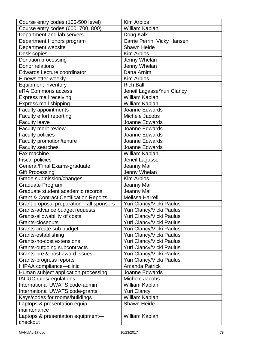| Course entry codes (100-500 level)                | <b>Kim Arbios</b>                    |
|---------------------------------------------------|--------------------------------------|
| Course entry codes (600, 700, 800)                | William Kaplan                       |
| Department and lab servers                        | Doug Kalk                            |
| Department Honors program                         | Carrie Perrin, Vicky Hansen          |
| Department website                                | <b>Shawn Heide</b>                   |
| Desk copies                                       | <b>Kim Arbios</b>                    |
| Donation processing                               | Jenny Whelan                         |
| Donor relations                                   | <b>Jenny Whelan</b>                  |
| <b>Edwards Lecture coordinator</b>                | Dana Arnim                           |
| E-newsletter-weekly                               | <b>Kim Arbios</b>                    |
| <b>Equipment inventory</b>                        | <b>Rich Ball</b>                     |
| eRA Commons access                                | Jeneil Lagasse/Yuri Clancy           |
| Express mail receiving                            | William Kaplan                       |
| Express mail shipping                             | William Kaplan                       |
| Faculty appointments                              | Joanne Edwards                       |
| Faculty effort reporting                          | Michele Jacobs                       |
| <b>Faculty leave</b>                              | Joanne Edwards                       |
| Faculty merit review                              | Joanne Edwards                       |
| <b>Faculty policies</b>                           | Joanne Edwards                       |
| Faculty promotion/tenure                          | Joanne Edwards                       |
| <b>Faculty searches</b>                           | Joanne Edwards                       |
| Fax machine                                       | William Kaplan                       |
| <b>Fiscal policies</b>                            | Jeneil Lagasse                       |
| General/Final Exams-graduate                      | Jeanny Mai                           |
| <b>Gift Processing</b>                            | Jenny Whelan                         |
| Grade submission/changes                          | <b>Kim Arbios</b>                    |
| Graduate Program                                  | Jeanny Mai                           |
| Graduate student academic records                 | Jeanny Mai                           |
| <b>Grant &amp; Contract Certification Reports</b> | <b>Melissa Harrell</b>               |
| Grant proposal preparation-all sponsors           | Yuri Clancy/Vicki Paulus             |
| Grants-advance budget requests                    | Yuri Clancy/Vicki Paulus             |
| Grants-allowability of costs                      | Yuri Clancy/Vicki Paulus             |
| Grants-closeouts                                  | Yuri Clancy/Vicki Paulus             |
| Grants-create sub budget                          | Yuri Clancy/Vicki Paulus             |
| Grants-establishing                               | Yuri Clancy/Vicki Paulus             |
| Grants-no-cost extensions                         | Yuri Clancy/Vicki Paulus             |
| Grants-outgoing subcontracts                      | Yuri Clancy/Vicki Paulus             |
| Grants-pre & post award issues                    | Yuri Clancy/Vicki Paulus             |
| Grants-progress reports                           | Yuri Clancy/Vicki Paulus             |
| HIPAA compliance-clinic                           | <b>Amanda Patrick</b>                |
| Human subject application processing              | Joanne Edwards                       |
| <b>IACUC</b> rules/regulations                    | Michele Jacobs                       |
| International UWATS code-admin                    | William Kaplan                       |
| International UWATS code-grants                   | <b>Yuri Clancy</b>                   |
|                                                   |                                      |
| Keys/codes for rooms/buildings                    | William Kaplan<br><b>Shawn Heide</b> |
| Laptops & presentation equip-<br>maintenance      |                                      |
| Laptops & presentation equipment-                 | William Kaplan                       |
| checkout                                          |                                      |
|                                                   |                                      |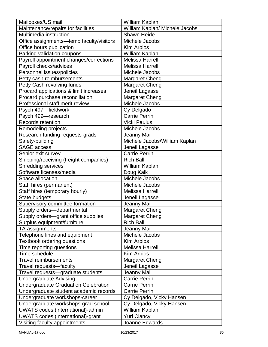| Mailboxes/US mail                           | William Kaplan                 |
|---------------------------------------------|--------------------------------|
| Maintenance/repairs for facilities          | William Kaplan/ Michele Jacobs |
| Multimedia instruction                      | <b>Shawn Heide</b>             |
| Office assignments-temp faculty/visitors    | Michele Jacobs                 |
| Office hours publication                    | <b>Kim Arbios</b>              |
| Parking validation coupons                  | William Kaplan                 |
| Payroll appointment changes/corrections     | <b>Melissa Harrell</b>         |
| Payroll checks/advices                      | <b>Melissa Harrell</b>         |
| Personnel issues/policies                   | Michele Jacobs                 |
| Petty cash reimbursements                   | <b>Margaret Cheng</b>          |
| Petty Cash revolving funds                  | Margaret Cheng                 |
| Procard applications & limit increases      | Jeneil Lagasse                 |
| Procard purchase reconciliation             | <b>Margaret Cheng</b>          |
| Professional staff merit review             | Michele Jacobs                 |
| Psych 497-fieldwork                         | Cy Delgado                     |
| Psych 499-research                          | <b>Carrie Perrin</b>           |
| Records retention                           | <b>Vicki Paulus</b>            |
| Remodeling projects                         | Michele Jacobs                 |
| Research funding requests-grads             | Jeanny Mai                     |
| Safety-building                             | Michele Jacobs/William Kaplan  |
| <b>SAGE access</b>                          | Jeneil Lagasse                 |
| Senior exit survey                          | <b>Carrie Perrin</b>           |
| Shipping/receiving (freight companies)      | <b>Rich Ball</b>               |
| <b>Shredding services</b>                   | William Kaplan                 |
| Software licenses/media                     | Doug Kalk                      |
| Space allocation                            | Michele Jacobs                 |
| Staff hires (permanent)                     | Michele Jacobs                 |
| Staff hires (temporary hourly)              | <b>Melissa Harrell</b>         |
| State budgets                               | Jeneil Lagasse                 |
| Supervisory committee formation             | Jeanny Mai                     |
| Supply orders-departmental                  | <b>Margaret Cheng</b>          |
| Supply orders-grant office supplies         | <b>Margaret Cheng</b>          |
| Surplus equipment/furniture                 | <b>Rich Ball</b>               |
| TA assignments                              | Jeanny Mai                     |
| Telephone lines and equipment               | Michele Jacobs                 |
| Textbook ordering questions                 | <b>Kim Arbios</b>              |
| Time reporting questions                    | <b>Melissa Harrell</b>         |
| Time schedule                               | Kim Arbios                     |
| <b>Travel reimbursements</b>                | <b>Margaret Cheng</b>          |
| Travel requests-faculty                     | Jeneil Lagasse                 |
| Travel requests-graduate students           | Jeanny Mai                     |
| <b>Undergraduate Advising</b>               | <b>Carrie Perrin</b>           |
| <b>Undergraduate Graduation Celebration</b> | <b>Carrie Perrin</b>           |
| Undergraduate student academic records      | <b>Carrie Perrin</b>           |
| Undergraduate workshops-career              | Cy Delgado, Vicky Hansen       |
| Undergraduate workshops-grad school         | Cy Delgado, Vicky Hansen       |
| <b>UWATS</b> codes (international)-admin    | William Kaplan                 |
| UWATS codes (international)-grant           | <b>Yuri Clancy</b>             |
| Visiting faculty appointments               | Joanne Edwards                 |
|                                             |                                |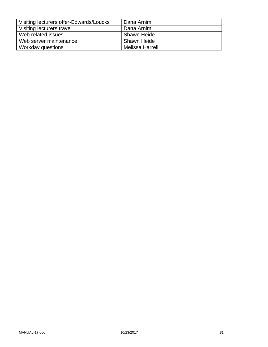| Visiting lecturers offer-Edwards/Loucks | Dana Arnim         |
|-----------------------------------------|--------------------|
| Visiting lecturers travel               | Dana Arnim         |
| Web related issues                      | <b>Shawn Heide</b> |
| Web server maintenance                  | Shawn Heide        |
| Workday questions                       | Melissa Harrell    |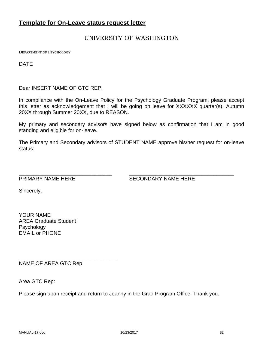# **Template for On-Leave status request letter**

# UNIVERSITY OF WASHINGTON

DEPARTMENT OF PSYCHOLOGY

DATE

Dear INSERT NAME OF GTC REP,

In compliance with the On-Leave Policy for the Psychology Graduate Program, please accept this letter as acknowledgement that I will be going on leave for XXXXXX quarter(s), Autumn 20XX through Summer 20XX, due to REASON.

My primary and secondary advisors have signed below as confirmation that I am in good standing and eligible for on-leave.

The Primary and Secondary advisors of STUDENT NAME approve his/her request for on-leave status:

\_\_\_\_\_\_\_\_\_\_\_\_\_\_\_\_\_\_\_\_\_\_\_\_\_\_\_\_\_\_\_\_ \_\_\_\_\_\_\_\_\_\_\_\_\_\_\_\_\_\_\_\_\_\_\_\_\_\_\_\_\_\_\_\_\_\_\_\_

PRIMARY NAME HERE SECONDARY NAME HERE

Sincerely,

YOUR NAME AREA Graduate Student Psychology EMAIL or PHONE

NAME OF AREA GTC Rep

\_\_\_\_\_\_\_\_\_\_\_\_\_\_\_\_\_\_\_\_\_\_\_\_\_\_\_\_\_\_\_\_\_\_

Area GTC Rep:

Please sign upon receipt and return to Jeanny in the Grad Program Office. Thank you.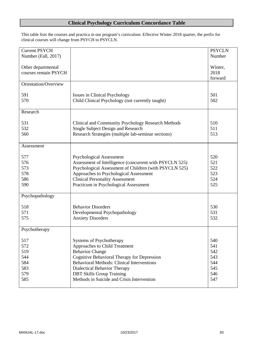# **Clinical Psychology Curriculum Concordance Table**

This table lists the courses and practica in our program's curriculum. Effective Winter 2018 quarter, the prefix for clinical courses will change from PSYCH to PSYCLN.

| <b>Current PSYCH</b> |                                                         | <b>PSYCLN</b> |
|----------------------|---------------------------------------------------------|---------------|
| Number (Fall, 2017)  |                                                         | Number        |
|                      |                                                         |               |
| Other departmental   |                                                         | Winter,       |
| courses remain PSYCH |                                                         | 2018          |
|                      |                                                         | forward       |
| Orientation/Overview |                                                         |               |
|                      |                                                         |               |
| 591                  | Issues in Clinical Psychology                           | 501           |
| 570                  | Child Clinical Psychology (not currently taught)        | 502           |
|                      |                                                         |               |
| Research             |                                                         |               |
|                      |                                                         |               |
| 531                  | Clinical and Community Psychology Research Methods      | 510           |
| 532                  | Single Subject Design and Research                      | 511           |
| 560                  | Research Strategies (multiple lab-seminar sections)     | 513           |
|                      |                                                         |               |
| Assessment           |                                                         |               |
|                      |                                                         |               |
| 577                  | <b>Psychological Assessment</b>                         | 520           |
| 576                  | Assessment of Intelligence (concurrent with PSYCLN 525) | 521           |
| 573                  | Psychological Assessment of Children (with PSYCLN 525)  | 522           |
| 578                  | Approaches to Psychological Assessment                  | 523           |
| 586                  | <b>Clinical Personality Assessment</b>                  | 524           |
| 590                  | Practicum in Psychological Assessment                   | 525           |
|                      |                                                         |               |
| Psychopathology      |                                                         |               |
|                      |                                                         |               |
| 518                  | <b>Behavior Disorders</b>                               | 530           |
| 571                  | Developmental Psychopathology                           | 531           |
| 575                  | <b>Anxiety Disorders</b>                                | 532           |
|                      |                                                         |               |
| Psychotherapy        |                                                         |               |
|                      |                                                         |               |
| 517                  | <b>Systems of Psychotherapy</b>                         | 540           |
| 572                  | Approaches to Child Treatment                           | 541           |
| 519                  | <b>Behavior Change</b>                                  | 542           |
| 544                  | Cognitive Behavioral Therapy for Depression             | 543           |
| 584                  | <b>Behavioral Methods: Clinical Interventions</b>       | 544           |
| 583                  | Dialectical Behavior Therapy                            | 545           |
| 579                  | <b>DBT Skills Group Training</b>                        | 546           |
| 585                  | Methods in Suicide and Crisis Intervention              | 547           |
|                      |                                                         |               |